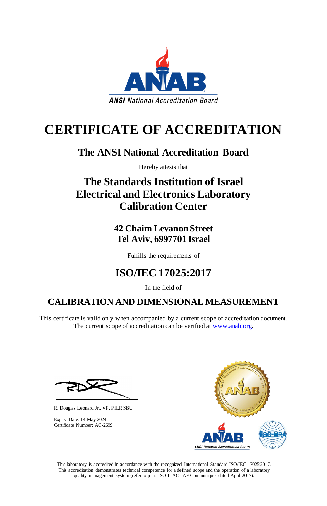This laboratory is accredited in accordance with the recognized International Standard ISO/IEC 17025:2017. This accreditation demonstrates technical competence for a defined scope and the operation of a laboratory quality management system (refer to joint ISO-ILAC-IAF Communiqué dated April 2017).



# **CERTIFICATE OF ACCREDITATION**

This certificate is valid only when accompanied by a current scope of accreditation document. The current scope of accreditation can be verified at [www.anab.org.](http://www.anab.org/)





## **The ANSI National Accreditation Board**

Hereby attests that

# **The Standards Institution of Israel Electrical and Electronics Laboratory Calibration Center**

**42 Chaim Levanon Street Tel Aviv, 6997701 Israel**

Fulfills the requirements of

# **ISO/IEC 17025:2017**

In the field of

## **CALIBRATION AND DIMENSIONAL MEASUREMENT**

R. Douglas Leonard Jr., VP, PILR SBU

Expiry Date: 14 May 2024 Certificate Number: AC-2699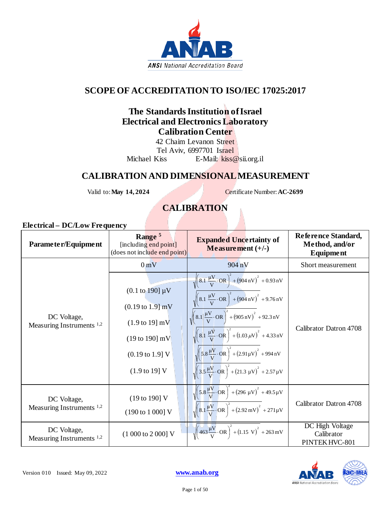

## **SCOPE OF ACCREDITATION TO ISO/IEC 17025:2017**

### **The Standards Institution of Israel Electrical and Electronics Laboratory Calibration Center**

42 Chaim Levanon Street Tel Aviv, 6997701 Israel Michael Kiss E-Mail: kiss@sii.org.il

### **CALIBRATION AND DIMENSIONAL MEASUREMENT**

Valid to: **May 14, 2024** Certificate Number: **AC-2699**

## **CALIBRATION**

| Parameter/Equipment                                 | Range <sup>5</sup><br>[including end point]<br>(does not include end point)                                                                                                                             | <b>Expanded Uncertainty of</b><br>Measurement $(+/-)$                                                                                                                                                                                                                                                                                                                                                                                                                                                                                                                                                              | Reference Standard,<br>Method, and/or<br>Equipment |
|-----------------------------------------------------|---------------------------------------------------------------------------------------------------------------------------------------------------------------------------------------------------------|--------------------------------------------------------------------------------------------------------------------------------------------------------------------------------------------------------------------------------------------------------------------------------------------------------------------------------------------------------------------------------------------------------------------------------------------------------------------------------------------------------------------------------------------------------------------------------------------------------------------|----------------------------------------------------|
|                                                     | $0m$ V                                                                                                                                                                                                  | 904 nV                                                                                                                                                                                                                                                                                                                                                                                                                                                                                                                                                                                                             | Short measurement                                  |
| DC Voltage,<br>Measuring Instruments $1,2$          | $(0.1 \text{ to } 190] \mu V$<br>$(0.19 \text{ to } 1.9) \text{ mV}$<br>$(1.9 \text{ to } 19) \text{ mV}$<br>$(19 to 190)$ mV<br>$(0.19 \text{ to } 1.9) \text{ V}$<br>$(1.9 \text{ to } 19) \text{ V}$ | $\sqrt{\frac{1}{8.1} \frac{\mu V}{V} \cdot \text{OR}} + (904 \text{ nV})^2 + 0.93 \text{ nV}$<br>$\sqrt{\left(8.1 \frac{\mu V}{V} \cdot \text{OR}\right)^2 + \left(904 \text{ nV}\right)^2 + 9.76 \text{ nV}}$<br>$\sqrt{\left(8.1\left \frac{\mu V}{V}\cdot\text{OR}\right \right)^2 + (905 \text{ nV})^2 + 92.3 \text{ nV}}$<br>$\sqrt{\left(8.1 \frac{\mu V}{V} \cdot \text{OR}\right)^2 + (1.03 \,\mu V)^2 + 4.33 \text{ nV}}$<br>$\sqrt{\left(5.8 \frac{\mu V}{V} \cdot \text{OR}\right)^2 + (2.91 \mu V)^2 + 994 \text{ nV}}$<br>$\sqrt{3.5\frac{\mu V}{V} \cdot \text{OR}}^2 + (21.3 \mu V)^2 + 2.57 \mu V$ | Calibrator Datron 4708                             |
| DC Voltage,<br>Measuring Instruments <sup>1,2</sup> | (19 to 190] V<br>(190 to 1 000] V                                                                                                                                                                       | $\sqrt{\left(5.8\frac{\mu V}{V}\cdot\right)$ $\left(\frac{\mu V}{V}\right)^2 + (296 \mu V)^2 + 49.5 \mu V}$<br>$\sqrt{\left(8.1\frac{\mu V}{V}\cdot\right)CR\right)^2 + (2.92 \text{ mV})^2 + 271 \mu V}$                                                                                                                                                                                                                                                                                                                                                                                                          | Calibrator Datron 4708                             |
| DC Voltage,<br>Measuring Instruments $1,2$          | $(1000 to 2000)$ V                                                                                                                                                                                      | $\sqrt{463\frac{\mu V}{V}}$ OR $\bigg)^2$ + (1.15 V) <sup>2</sup> + 263 mV                                                                                                                                                                                                                                                                                                                                                                                                                                                                                                                                         | DC High Voltage<br>Calibrator<br>PINTEK HVC-801    |

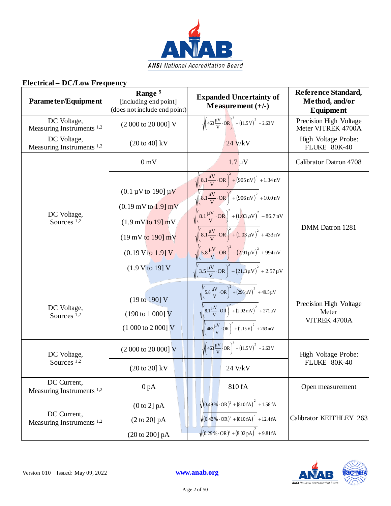

| Parameter/Equipment                                 | Range <sup>5</sup><br>[including end point]<br>(does not include end point)                                                                                                                                                    | <b>Expanded Uncertainty of</b><br>Measurement $(+/-)$                                                                                                                                                                                                                                                                                                                                                                                                                                                                                                                                                                                            | Reference Standard,<br>Method, and/or<br><b>Equipment</b> |
|-----------------------------------------------------|--------------------------------------------------------------------------------------------------------------------------------------------------------------------------------------------------------------------------------|--------------------------------------------------------------------------------------------------------------------------------------------------------------------------------------------------------------------------------------------------------------------------------------------------------------------------------------------------------------------------------------------------------------------------------------------------------------------------------------------------------------------------------------------------------------------------------------------------------------------------------------------------|-----------------------------------------------------------|
| DC Voltage,<br>Measuring Instruments $1,2$          | (2 000 to 20 000] V                                                                                                                                                                                                            | $\sqrt{463\frac{\mu V}{V}\cdot\text{OR}}$ + (11.5 V) <sup>2</sup> + 2.63 V                                                                                                                                                                                                                                                                                                                                                                                                                                                                                                                                                                       | Precision High Voltage<br>Meter VITREK 4700A              |
| DC Voltage,<br>Measuring Instruments <sup>1,2</sup> | $(20 \text{ to } 40) \text{ kV}$                                                                                                                                                                                               | 24 V/kV                                                                                                                                                                                                                                                                                                                                                                                                                                                                                                                                                                                                                                          | High Voltage Probe:<br>FLUKE 80K-40                       |
|                                                     | 0 <sub>m</sub>                                                                                                                                                                                                                 | $1.7 \mu V$                                                                                                                                                                                                                                                                                                                                                                                                                                                                                                                                                                                                                                      | Calibrator Datron 4708                                    |
| DC Voltage,<br>Sources $^{1,2}$                     | $(0.1 \,\mu\text{V}$ to 190] $\mu\text{V}$<br>$(0.19 \,\mathrm{mV}$ to $1.9 \,\mathrm{mV}$<br>$(1.9 \,\mathrm{mV}$ to $19 \,\mathrm{mV}$<br>$(19 \,\mathrm{mV}$ to $190 \,\mathrm{mV}$<br>(0.19 V to 1.9 V)<br>(1.9 V to 19) V | $\sqrt{\left(8.1\frac{\mu V}{V}\cdot\text{OR}\right)^2+\left(905\,\text{nV}\right)^2+1.34\,\text{nV}}$<br>$\sqrt{\left(8.1\frac{\mu V}{V}\cdot\text{OR}\right)^2 + (906 \text{ nV})^2 + 10.0 \text{ nV}}$<br>$\sqrt{\left(8.1\frac{\mu V}{V}\cdot\text{OR}\right)^2 + \left(1.03 \,\mu V\right)^2} + 86.7 \,\text{nV}$<br>$\sqrt{\left(8.1\frac{\mu V}{V}\cdot\text{OR}\right)^2 + \left(1.03 \,\mu V\right)^2 + 433 \text{ nV}}$<br>$\sqrt{\left(5.8 \frac{\mu V}{V} \cdot \text{OR}\right)^2 + \left(2.91 \mu V\right)^2} + 994 \text{ nV}$<br>$\sqrt{\left(3.5\frac{\mu V}{V}\cdot\text{OR}\right)^2 + \left(21.3\mu V\right)^2 + 2.57\mu V}$ | DMM Datron 1281                                           |
| DC Voltage,<br>Sources <sup>1,2</sup>               | (19 to 190] V<br>$(190 \text{ to } 1000) \text{ V}$<br>$(1000 to 2000)$ V                                                                                                                                                      | $\sqrt{\left(5.8 \frac{\mu V}{V} \cdot \text{OR}\right)^2 + (296 \mu V)^2 + 49.5 \mu V}$<br>$\sqrt{\left(8.1\frac{\mu V}{V}\cdot\text{OR}\right)^2 + (2.92 \text{ mV})^2 + 271 \mu V}$<br>$\sqrt{\left(463\frac{\mu V}{V}\cdot\text{OR}\right)^2+\left(1.15\text{ V}\right)^2+263\text{ mV}}$                                                                                                                                                                                                                                                                                                                                                    | Precision High Voltage<br>Meter<br>VITREK 4700A           |
| DC Voltage,<br>Sources <sup>1,2</sup>               | (2 000 to 20 000] V                                                                                                                                                                                                            | $\sqrt{\left(463\frac{\mu V}{V}\right)$ OR $\right)^2 + (11.5 V)^2 + 2.63 V$                                                                                                                                                                                                                                                                                                                                                                                                                                                                                                                                                                     | High Voltage Probe:<br>FLUKE 80K-40                       |
| DC Current,                                         | $(20 \text{ to } 30) \text{ kV}$                                                                                                                                                                                               | 24 V/kV                                                                                                                                                                                                                                                                                                                                                                                                                                                                                                                                                                                                                                          |                                                           |
| Measuring Instruments <sup>1,2</sup>                | 0 <sub>pA</sub>                                                                                                                                                                                                                | 810 fA                                                                                                                                                                                                                                                                                                                                                                                                                                                                                                                                                                                                                                           | Open measurement                                          |
| DC Current,<br>Measuring Instruments <sup>1,2</sup> | (0 to 2] pA<br>(2 to 20] pA<br>(20 to 200] pA                                                                                                                                                                                  | $\sqrt{(0.49\%)}\cdot \text{OR})^2 + (810 \text{ fA})^2 + 1.58 \text{ fA}$<br>$\sqrt{(0.43\% \cdot \text{OR})^2 + (810 \text{ fA})^2 + 12.4 \text{ fA}}$<br>$\sqrt{(0.29\% \cdot \text{OR})^2 + (8.02 \text{ pA})^2 + 9.81 \text{ fA}}$                                                                                                                                                                                                                                                                                                                                                                                                          | Calibrator KEITHLEY 263                                   |

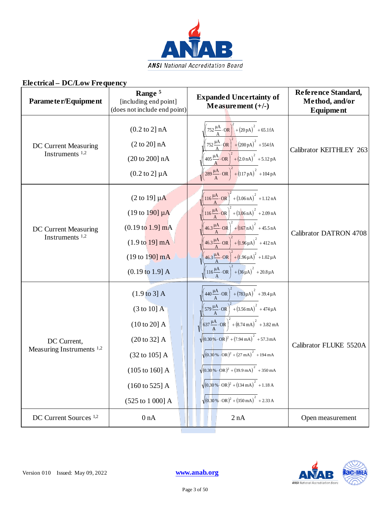

| Parameter/Equipment                                       | Range <sup>5</sup><br>[including end point]<br>(does not include end point)                                                                                                                          | <b>Expanded Uncertainty of</b><br>Measurement $(+/-)$                                                                                                                                                                                                                                                                                                                                                                                                                                                                                                                                                                                                                                | Reference Standard,<br>Method, and/or<br>Equipment |
|-----------------------------------------------------------|------------------------------------------------------------------------------------------------------------------------------------------------------------------------------------------------------|--------------------------------------------------------------------------------------------------------------------------------------------------------------------------------------------------------------------------------------------------------------------------------------------------------------------------------------------------------------------------------------------------------------------------------------------------------------------------------------------------------------------------------------------------------------------------------------------------------------------------------------------------------------------------------------|----------------------------------------------------|
| DC Current Measuring<br>Instruments <sup>1,2</sup>        | $(0.2 \text{ to } 2] \text{ nA}$<br>(2 to 20] nA<br>(20 to 200] nA<br>$(0.2 \text{ to } 2] \mu A$                                                                                                    | $752 \frac{\mu A}{A} \cdot QR \left[ + (20 pA)^2 + 65.1 fA \right]$<br>$752 \frac{\mu A}{A} \cdot \text{OR}$ + $(200 \text{ pA})^2$ + 554 fA<br>$(405 \frac{\mu A}{A} \cdot \text{OR})^2 + (2.0 \text{ nA})^2 + 5.12 \text{ pA}$<br>$\left(289 \frac{\mu A}{A} \cdot \text{OR}\right)^2 + (117 \text{ pA})^2 + 104 \text{ pA}$                                                                                                                                                                                                                                                                                                                                                       | Calibrator KEITHLEY 263                            |
| <b>DC Current Measuring</b><br>Instruments <sup>1,2</sup> | $(2 \text{ to } 19] \mu\text{A}$<br>$(19 \text{ to } 190) \mu\text{A}$<br>$(0.19 \text{ to } 1.9] \text{ mA}$<br>$(1.9 \text{ to } 19) \text{ mA}$<br>$(19 to 190)$ mA<br>$(0.19 \text{ to } 1.9]$ A | $\left(116 \frac{\mu A}{A} \cdot \text{OR}\right)^2 + (3.06 \text{ nA})^2 + 1.12 \text{ nA}$<br>$\left(116\frac{\mu A}{A}\cdot$ OR $\right)^2 + (3.06 \text{ nA})^2 + 2.09 \text{ nA}$<br>$\left(46.3 \frac{\mu A}{A} \cdot OR\right)^2 + \left(167 \text{ nA}\right)^2 + 45.5 \text{ nA}$<br>$46.3 \frac{\mu A}{A} \cdot OR \bigg)^2 + (1.96 \mu A)^2 + 412 nA$<br>$\left(46.3 \frac{\mu A}{A} \cdot \text{OR}\right)^2 + (1.96 \mu A)^2 + 1.02 \mu A$<br>$\left(116\frac{\mu A}{A}\cdot\text{OR}\right)^{2} + \left(36\mu A\right)^{2} + 20.8\mu A$                                                                                                                                | <b>Calibrator DATRON 4708</b>                      |
| DC Current,<br>Measuring Instruments <sup>1,2</sup>       | $(1.9 \text{ to } 3)$ A<br>$(3 \text{ to } 10]$ A<br>$(10 to 20]$ A<br>(20 to 32] A<br>$(32 \text{ to } 105]$ A<br>$(105 \text{ to } 160)$ A<br>$(160 \text{ to } 525)$ A<br>(525 to 1 000] A        | $\left(440 \frac{\mu A}{A} \cdot \text{OR}\right)^2 + \left(783 \mu A\right)^2 + 39.4 \mu A$<br>$\left(579 \frac{\mu A}{A} \cdot \text{OR}\right)^2 + (3.56 \text{ mA})^2 + 474 \mu A$<br>$\sqrt{\left(637 \frac{\mu A}{A} \cdot OR\right)^2 + \left(8.74 \text{ mA}\right)^2 + 3.82 \text{ mA}}$<br>$\sqrt{(0.30\% \cdot \text{OR})^2 + (7.94 \text{ mA})}^2 + 57.3 \text{ mA}$<br>$\sqrt{(0.30\% \cdot \text{OR})^2 + (27 \text{ mA})^2}$ + 194 mA<br>$\sqrt{(0.30\% \cdot \text{OR})^2 + (39.9 \text{ mA})^2}$ + 350 mA<br>$\sqrt{(0.30\% \cdot \text{OR})^2 + (134 \text{ mA})^2 + 1.18 \text{ A}}$<br>$\sqrt{(0.30\% \cdot \text{OR})^2 + (350 \text{ mA})^2 + 2.33 \text{ A}}$ | Calibrator FLUKE 5520A                             |
| DC Current Sources <sup>1,2</sup>                         | 0 nA                                                                                                                                                                                                 | 2 nA                                                                                                                                                                                                                                                                                                                                                                                                                                                                                                                                                                                                                                                                                 | Open measurement                                   |



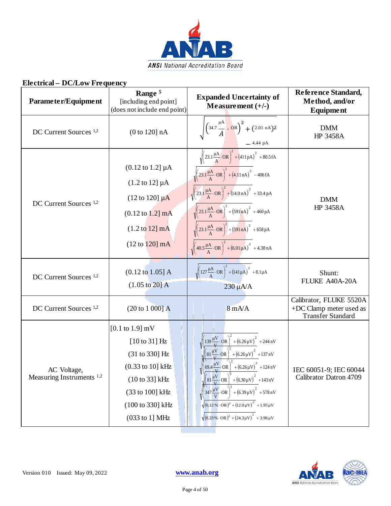

| Parameter/Equipment                                 | Range <sup>5</sup><br>[including end point]<br>(does not include end point)                                                                                                                        | <b>Expanded Uncertainty of</b><br>$Meas$ urement $(+/-)$                                                                                                                                                                                                                                                                                                                                                                                                                                                                                                                                                                                                    | Reference Standard,<br>Method, and/or<br><b>Equipment</b>                      |
|-----------------------------------------------------|----------------------------------------------------------------------------------------------------------------------------------------------------------------------------------------------------|-------------------------------------------------------------------------------------------------------------------------------------------------------------------------------------------------------------------------------------------------------------------------------------------------------------------------------------------------------------------------------------------------------------------------------------------------------------------------------------------------------------------------------------------------------------------------------------------------------------------------------------------------------------|--------------------------------------------------------------------------------|
| DC Current Sources <sup>1,2</sup>                   | (0 to 120] nA                                                                                                                                                                                      | $\sqrt{\left(34.7 \frac{\mu A}{A}\right) \cdot \text{OR}\right)^2 + (2.01 \text{ nA})^2}$<br>- 4.44 pA                                                                                                                                                                                                                                                                                                                                                                                                                                                                                                                                                      | <b>DMM</b><br>HP 3458A                                                         |
| DC Current Sources <sup>1,2</sup>                   | $(0.12 \text{ to } 1.2] \mu A$<br>$(1.2 \text{ to } 12] \mu A$<br>$(12 \text{ to } 120) \mu A$<br>$(0.12 \text{ to } 1.2] \text{ mA}$<br>$(1.2 \text{ to } 12) \text{ mA}$<br>$(12 to 120)$ mA     | $\sqrt{\left(23.1\frac{\mu A}{A}\cdot\overrightarrow{OR}\right)^{2}+\left(411pA\right)^{2}+80.5fA}$<br>$\sqrt{\left(23.1\frac{\mu A}{A}\cdot\text{OR}\right)^2 + \left(4.11\,\text{nA}\right)^2} - 406\,\text{fA}$<br>$\sqrt{\left(23.1\frac{\mu A}{A}\cdot\text{OR}\right)^2+\left(14.0\,\text{nA}\right)^2+33.4\,\text{pA}}$<br>$\sqrt{\left(23.1\frac{\mu A}{A}\cdot\text{OR}\right)^2 + \left(591\text{ nA}\right)^2 + 460\text{ pA}}$<br>$\sqrt{\left(23.1\frac{\mu A}{A}\cdot\text{OR}\right)^2 + \left(591\text{ nA}\right)^2} + 658\text{ pA}$<br>$\sqrt{\left(40.5\frac{\mu A}{A}\cdot\text{OR}\right)^2+\left(6.01\mu A\right)^2+4.38\text{ nA}}$ | <b>DMM</b><br>HP 3458A                                                         |
| DC Current Sources <sup>1,2</sup>                   | $(0.12 \text{ to } 1.05]$ A<br>$(1.05 \text{ to } 20)$ A                                                                                                                                           | $\sqrt{\left(127 \frac{\mu A}{A} \cdot \text{OR}\right)^2 + \left(141 \mu A\right)^2 + 8.1 \mu A}$<br>$230 \mu A/A$                                                                                                                                                                                                                                                                                                                                                                                                                                                                                                                                         | Shunt:<br>FLUKE A40A-20A                                                       |
| DC Current Sources <sup>1,2</sup>                   | (20 to 1 000] A                                                                                                                                                                                    | $8 \text{ mA}$                                                                                                                                                                                                                                                                                                                                                                                                                                                                                                                                                                                                                                              | Calibrator, FLUKE 5520A<br>+DC Clamp meter used as<br><b>Transfer Standard</b> |
| AC Voltage,<br>Measuring Instruments <sup>1,2</sup> | $[0.1 \text{ to } 1.9] \text{ mV}$<br>$[10 \text{ to } 31]$ Hz<br>(31 to 330) Hz<br>$(0.33 \text{ to } 10] \text{ kHz}$<br>(10 to 33] kHz<br>(33 to 100] kHz<br>(100 to 330) kHz<br>(033 to 1] MHz | $\left(139 \frac{\mu V}{V} \cdot \text{OR}\right) + \left(6.26 \mu V\right)^2 + 244 \text{ nV}$<br>$\left[81\frac{\mu V}{V} \cdot \text{OR}\right]^2 + (6.26 \,\mu\text{V})^2 + 137 \,\text{nV}$<br>69.4 $\frac{\mu V}{V}$ OR $\Big)^2$ + (6.26 $\mu$ V) <sup>2</sup> + 124 nV<br>$81\frac{\mu V}{V}$ OR<br>$+(6.30 \,\mu\text{V})^2 + 143 \,\text{nV}$<br>$\left(347\frac{\mu\text{V}}{\text{V}}\right)$ OR<br>$+(6.39 \,\mu\text{V})$ + 578 nV<br>$\sqrt{(0.12\% \cdot \text{OR})^2 + (12.0 \,\mu\text{V})}^2 + 1.95 \,\mu\text{V}$<br>$\sqrt{(0.23\% \cdot \text{OR})^2 + (24.3\,\mu\text{V})}^2 + 3.96\,\mu\text{V}$                                    | IEC 60051-9; IEC 60044<br>Calibrator Datron 4709                               |

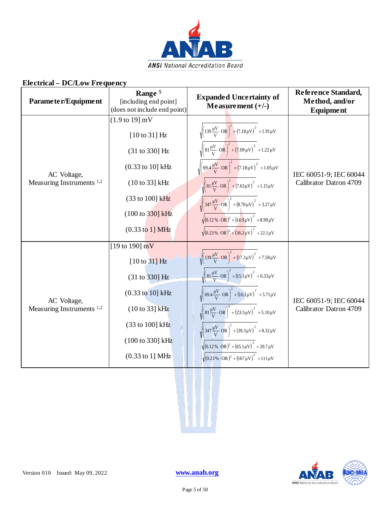

| Parameter/Equipment                                 | Range <sup>5</sup><br>[including end point]<br>(does not include end point)                                                                                                                                                        | <b>Expanded Uncertainty of</b><br>Measurement $(+/-)$                                                                                                                                                                                                                                                                                                                                                                                                                                                                                                                                                                                                                             | Reference Standard,<br>Method, and/or<br><b>Equipment</b> |
|-----------------------------------------------------|------------------------------------------------------------------------------------------------------------------------------------------------------------------------------------------------------------------------------------|-----------------------------------------------------------------------------------------------------------------------------------------------------------------------------------------------------------------------------------------------------------------------------------------------------------------------------------------------------------------------------------------------------------------------------------------------------------------------------------------------------------------------------------------------------------------------------------------------------------------------------------------------------------------------------------|-----------------------------------------------------------|
| AC Voltage,<br>Measuring Instruments <sup>1,2</sup> | $(1.9 \text{ to } 19) \text{ mV}$<br>$[10 \text{ to } 31]$ Hz<br>(31 to 330) Hz<br>$(0.33 \text{ to } 10] \text{ kHz}$<br>$(10 to 33)$ kHz<br>(33 to 100] kHz<br>$(100 \text{ to } 330) \text{ kHz}$<br>$(0.33 \text{ to } 1)$ MHz | $\sqrt{\left(139 \frac{\mu V}{V} \cdot \text{OR}\right)^2 + \left(7.18 \mu V\right)^2 + 1.91 \mu V}$<br>$\sqrt{\left(81\frac{\mu V}{V}\cdot\text{OR}\right)^2+\left(7.09\,\mu V\right)^2\ +1.22\,\mu V}$<br>$\sqrt{\left(69.4\frac{\mu V}{V}\cdot\text{OR}\right)^2+\left(7.18\mu V\right)^2+1.05\,\mu V}$<br>$\sqrt{\left(81\frac{\mu V}{V}\cdot\text{OR}\right)^2 + (7.63\,\mu\text{V})^2 + 1.15\,\mu\text{V}}$<br>$\sqrt{\left(347\frac{\mu V}{V}\cdot\text{OR}\right)^2+\left(8.70\,\mu\text{V}\right)^2+3.27\,\mu\text{V}}$<br>$\sqrt{(0.12\% \cdot OR)^2 + (14.9 \mu V)^2} + 8.99 \mu V$<br>$\sqrt{(0.23\% \cdot \text{OR})^2 + (36.2 \mu \text{V})}^2 + 22.1 \mu \text{V}$ | IEC 60051-9; IEC 60044<br>Calibrator Datron 4709          |
| AC Voltage,<br>Measuring Instruments <sup>1,2</sup> | [19 to 190] $mV$<br>$[10 \text{ to } 31]$ Hz<br>(31 to 330] Hz<br>(0.33 to 10] kHz<br>$(10 \text{ to } 33)$ kHz<br>(33 to 100] kHz<br>(100 to 330) kHz<br>$(0.33 \text{ to } 1) \text{ MHz}$                                       | $\sqrt{\left(139 \frac{\mu V}{V} \cdot \text{OR}\right)^2 + \left(17.3 \mu V\right)^2 + 7.58 \mu V}$<br>$\sqrt{\left(81\frac{\mu V}{V}\cdot\text{OR}\right)^2 + (15.1\mu V)^2 + 6.33\mu V}$<br>$\sqrt{\left(69.4 \frac{\mu V}{V} \cdot \text{OR}\right)^2 + \left(16.1 \mu V\right)^2 + 5.71 \mu V}$<br>$\sqrt{\left(81\frac{\mu V}{V}\cdot \text{OR}\right)^2 + (23.5\mu V)^2} + 5.10\mu V$<br>$\sqrt{\left(347\,\frac{\mu V}{V}\cdot\text{OR}\right)^2 + \left(39.3\mu V\right)^2 + 8.32\,\mu V}$<br>$\sqrt{(0.12\% \cdot \text{OR})^2 + (65.1\,\mu\text{V})}^2 + 20.7\,\mu\text{V}$<br>$\sqrt{(0.23\% \cdot \text{OR})^2 + (167 \mu \text{V})}^2 + 111 \mu \text{V}$           | IEC 60051-9; IEC 60044<br>Calibrator Datron 4709          |



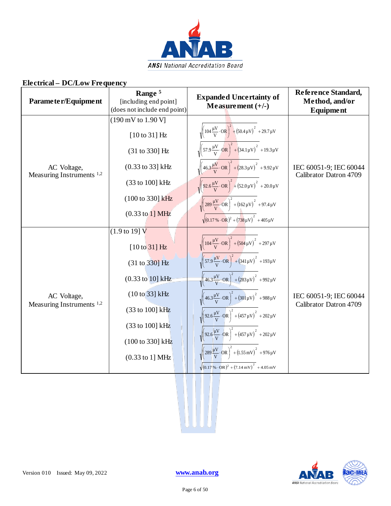

| Parameter/Equipment                                 | Range <sup>5</sup><br>[including end point]<br>(does not include end point) | <b>Expanded Uncertainty of</b><br>Measurement $(+/-)$                                                          | Reference Standard,<br>Method, and/or<br><b>Equipment</b> |
|-----------------------------------------------------|-----------------------------------------------------------------------------|----------------------------------------------------------------------------------------------------------------|-----------------------------------------------------------|
|                                                     | (190 mV to 1.90 V]                                                          |                                                                                                                |                                                           |
|                                                     | $[10 \text{ to } 31]$ Hz                                                    | $\sqrt{\left(104 \frac{\mu V}{V} \cdot \text{OR}\right)^2 + \left(50.4 \mu V\right)^2 + 29.7 \mu V}$           |                                                           |
|                                                     | (31 to 330] Hz                                                              | $\sqrt{\left(57.9 \frac{\mu V}{V} \cdot \text{OR}\right)^2 + \left(34.1 \mu V\right)^2 + 19.3 \mu V}$          |                                                           |
| AC Voltage,<br>Measuring Instruments <sup>1,2</sup> | (0.33 to 33] kHz                                                            | $\sqrt{\left(46.3\frac{\mu V}{V}\cdot\text{OR}\right)^2+\left(28.3\mu V\right)^2+9.92\,\mu V}$                 | IEC 60051-9; IEC 60044<br>Calibrator Datron 4709          |
|                                                     | (33 to 100] kHz                                                             | $\sqrt{\left(92.6\frac{\mu V}{V}\cdot\text{OR}\right)^2 + \left(52.0\,\mu V\right)^2} + 20.0\,\mu V$           |                                                           |
|                                                     | (100 to 330) kHz                                                            | $\sqrt{\left(289\frac{\mu V}{V}\cdot\text{OR}\right)^2 + \left(162\,\mu\text{V}\right)^2} + 97.4\,\mu\text{V}$ |                                                           |
|                                                     | $(0.33 \text{ to } 1)$ MHz                                                  | $\sqrt{(0.17\% \cdot \text{OR})^2 + (738 \,\mu\text{V})^2} + 405 \,\mu\text{V}$                                |                                                           |
|                                                     | $(1.9 \text{ to } 19) \text{ V}$                                            |                                                                                                                |                                                           |
|                                                     | $[10 \text{ to } 31]$ Hz                                                    | $\sqrt{\left(104 \frac{\mu V}{V} \cdot \text{OR}\right)^2 + \left(504 \mu V\right)^2 + 297 \mu V}$             |                                                           |
|                                                     | (31 to 330) Hz                                                              | $\sqrt{\left(57.9 \frac{\mu V}{V} \cdot \text{OR}\right)^2 + \left(341 \mu V\right)^2 + 193 \mu V}$            |                                                           |
|                                                     | $(0.33 \text{ to } 10] \text{ kHz}$                                         | $\sqrt{\left(46.3\frac{\mu V}{V}\cdot\text{OR}\right)^2 + (283\mu V)^2 + 992\mu V}$                            |                                                           |
| AC Voltage,<br>Measuring Instruments <sup>1,2</sup> | (10 to 33] kHz                                                              | $\sqrt{\left(46.3\frac{\mu V}{V}\cdot\text{OR}\right)^2 + \left(301\mu V\right)^2 + 988\mu V}$                 | IEC 60051-9; IEC 60044<br>Calibrator Datron 4709          |
|                                                     | (33 to 100] kHz                                                             | $\sqrt{\left(92.6\frac{\mu V}{V}\cdot\text{OR}\right)^2 + \left(457\,\mu\text{V}\right)^2 + 202\,\mu\text{V}}$ |                                                           |
|                                                     | (33 to 100] kHz                                                             | $\sqrt{\frac{92.6 \frac{\mu V}{V} \cdot \dot{O}R}{V}}$ + $(457 \mu V)^2$ + 202 $\mu V$                         |                                                           |
|                                                     | (100 to 330) kHz                                                            |                                                                                                                |                                                           |
|                                                     | (0.33 to 1] MHz                                                             | $\sqrt{\left(289 \frac{\mu V}{V} \cdot \text{OR}\right)^2 + (1.55 \text{ mV})^2 + 976 \mu V}$                  |                                                           |
|                                                     |                                                                             | $\sqrt{(0.17\% \cdot \text{OR})^2 + (7.14 \text{ mV})}^2 + 4.05 \text{ mV}$                                    |                                                           |



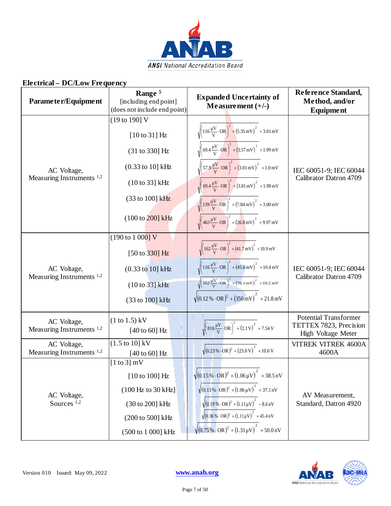

| Parameter/Equipment                                 | Range <sup>5</sup><br>[including end point]<br>(does not include end point) | <b>Expanded Uncertainty of</b><br>Measurement $(+/-)$                                                           | Reference Standard,<br>Method, and/or<br>Equipment                           |
|-----------------------------------------------------|-----------------------------------------------------------------------------|-----------------------------------------------------------------------------------------------------------------|------------------------------------------------------------------------------|
|                                                     | (19 to 190] V<br>$[10 \text{ to } 31]$ Hz                                   | $\sqrt{\left(116\frac{\mu V}{V}\cdot\text{OR}\right)^2+\left(5.35\,\text{mV}\right)^2+3.01\,\text{mV}}$         |                                                                              |
|                                                     | (31 to 330] Hz                                                              | $\sqrt{\left(69.4 \frac{\mu V}{V} \cdot \text{OR}\right)^2 + \left(3.57 \text{ mV}\right)^2} + 1.99 \text{ mV}$ |                                                                              |
| AC Voltage,                                         | $(0.33 \text{ to } 10] \text{ kHz}$                                         | $\sqrt{\left(57.9 \frac{\mu V}{V} \cdot \text{OR}\right)^2 + (3.01 \text{ mV})^2 + 1.0 \text{ mV}}$             | IEC 60051-9; IEC 60044<br>Calibrator Datron 4709                             |
| Measuring Instruments <sup>1,2</sup>                | (10 to 33) kHz                                                              | $\sqrt{\left(69.4 \frac{\mu V}{V} \cdot \text{OR}\right)^2 + (3.81 \text{ mV})^2} + 1.98 \text{ mV}$            |                                                                              |
|                                                     | (33 to 100] kHz                                                             | $\sqrt{\left(139\frac{\mu V}{V}\cdot\text{OR}\right)^2 + \left(7.84 \text{ mV}\right)^2} + 3.00 \text{ mV}$     |                                                                              |
|                                                     | $(100 \text{ to } 200) \text{ kHz}$                                         | $\sqrt{\left(463 \frac{\mu V}{V} \cdot \text{OR}\right)^2 + \left(26.8 \text{ mV}\right)^2} + 9.97 \text{ mV}$  |                                                                              |
|                                                     | $(190 \text{ to } 1000) \text{ V}$                                          | $\sqrt{\left(162\frac{\mu V}{V}\cdot\text{OR}\right)^2+\left(41.7\,\text{mV}\right)^2+10.9\,\text{mV}}$         |                                                                              |
|                                                     | $[50 \text{ to } 330]$ Hz                                                   |                                                                                                                 |                                                                              |
| AC Voltage,<br>Measuring Instruments <sup>1,2</sup> | $(0.33 \text{ to } 10] \text{ kHz}$                                         | $\sqrt{\left(116\frac{\mu V}{V}\cdot\text{OR}\right)^2+\left(45.6\,\text{mV}\right)^2+10.4\,\text{mV}}$         | IEC 60051-9; IEC 60044<br>Calibrator Datron 4709                             |
|                                                     | (10 to 33] kHz                                                              | $\sqrt{162\frac{\mu V}{V} \cdot \overrightarrow{OR}}^2 + (76.1 \,\text{mV})^2 + 10.2 \,\text{mV}$               |                                                                              |
|                                                     | (33 to 100] kHz                                                             | $\sqrt{(0.12\% \cdot \text{OR})^2 + (350 \text{ mV})^2} + 21.8 \text{ mV}$                                      |                                                                              |
| AC Voltage,<br>Measuring Instruments <sup>1,2</sup> | $(1 to 1.5)$ kV<br>$[40 \text{ to } 60]$ Hz                                 | $\sqrt{\left(810\frac{\mu V}{V}\cdot\right)$ OR $\right)^2 + (2.1 V)^2 + 7.54 V$                                | <b>Potential Transformer</b><br>TETTEX 7823, Precision<br>High Voltage Meter |
| AC Voltage,<br>Measuring Instruments <sup>1,2</sup> | $(1.5 \text{ to } 10) \text{ kV}$<br>$[40 \text{ to } 60]$ Hz               | $\sqrt{(0.23\% \cdot \text{OR})^2 + (23.0 \text{ V})}^2 + 10.6 \text{ V}$                                       | <b>VITREK VITREK 4600A</b><br>4600A                                          |
|                                                     | $[1 \text{ to } 3]$ mV                                                      |                                                                                                                 |                                                                              |
| AC Voltage,<br>Sources <sup>1,2</sup>               | $[10 \text{ to } 100]$ Hz                                                   | $\sqrt{(0.15\% \cdot \text{OR})^2 + (1.06\,\mu\text{V})}^2 + 38.5\,\text{nV}$                                   |                                                                              |
|                                                     | (100 Hz to 30 kHz)                                                          | $\sqrt{(0.13\% \cdot \text{OR})^2 + (1.06\,\mu\text{V})}^2 + 37.1\,\text{nV}$                                   | AV Measurement,                                                              |
|                                                     | (30 to 200] kHz                                                             | $\sqrt{(0.19\% \cdot \text{OR})^2 + (1.11 \mu \text{V})}^2$ – 8.6 nV                                            | Standard, Datron 4920                                                        |
|                                                     | (200 to 500] kHz                                                            | $\sqrt{(0.36\% \cdot \text{OR})^2 + (1.11\mu \text{V})}^2 + 45.4\,\text{nV}$                                    |                                                                              |
|                                                     | (500 to 1 000] kHz                                                          | $\sqrt{(0.75\% \cdot \text{OR})^2 + (1.31 \mu \text{V})}^2 + 50.0 \text{ nV}$                                   |                                                                              |

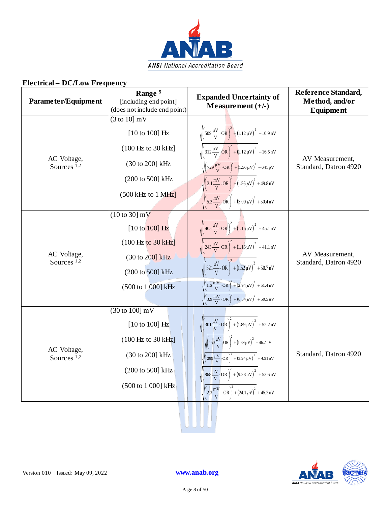

| Parameter/Equipment                   | Range <sup>5</sup><br>[including end point]<br>(does not include end point) | <b>Expanded Uncertainty of</b><br>Measurement $(+/-)$                                                                         | Reference Standard,<br>Method, and/or<br><b>Equipment</b> |
|---------------------------------------|-----------------------------------------------------------------------------|-------------------------------------------------------------------------------------------------------------------------------|-----------------------------------------------------------|
|                                       | $(3 \text{ to } 10)$ mV                                                     |                                                                                                                               |                                                           |
|                                       | $[10 \text{ to } 100]$ Hz                                                   | $\sqrt{\left(509 \frac{\mu V}{V} \cdot \text{OR}\right)^2 + (1.12 \mu V)^2 - 10.9 \text{ nV}}$                                |                                                           |
|                                       | (100 Hz to 30 kHz)                                                          | $\sqrt{\left(312\frac{\mu V}{V}\cdot\text{OR}\right)^2+\left(1.12\,\mu\text{V}\right)^2}-16.5\,\text{nV}$                     |                                                           |
| AC Voltage,<br>Sources <sup>1,2</sup> | (30 to 200] kHz                                                             | $\sqrt{\left(729\frac{\mu V}{V}\cdot\text{OR}\right)^2+\left(1.56\,\mu V\right)^2}-641\,\text{pV}$                            | AV Measurement,<br>Standard, Datron 4920                  |
|                                       | (200 to 500] kHz                                                            | $\sqrt{\left(2.1 \frac{\text{mV}}{\text{V}} \cdot \text{OR}\right)^2 + \left(1.56 \,\mu\text{V}\right)^2} + 49.8 \,\text{nV}$ |                                                           |
|                                       | $(500 \text{ kHz to } 1 \text{ MHz}]$                                       | $\sqrt{\left(5.2 \frac{\text{mV}}{\text{V}} \cdot \text{OR}\right)^2 + \left(3.00 \,\mu\text{V}\right)^2 + 50.4 \,\text{nV}}$ |                                                           |
|                                       | $(10 \text{ to } 30)$ mV                                                    |                                                                                                                               |                                                           |
|                                       | $[10 \text{ to } 100]$ Hz                                                   | $\sqrt{\left(405\frac{\mu V}{V}\cdot\text{OR}\right)^2 + \left(1.16\mu V\right)^2} + 45.1\,\text{nV}$                         |                                                           |
|                                       | (100 Hz to 30 kHz)                                                          | $\sqrt{\left(243\frac{\mu V}{V}\cdot\text{OR}\right)^{2} + (1.16\mu V)^{2}} + 41.1\,\text{nV}$                                |                                                           |
| AC Voltage,<br>Sources <sup>1,2</sup> | (30 to 200] kHz                                                             |                                                                                                                               | AV Measurement,<br>Standard, Datron 4920                  |
|                                       | (200 to 500] kHz                                                            | $\sqrt{\left(521\frac{\mu V}{V}\cdot\text{OR}\right)^2 + (1.52\mu V)^2}$ + 50.7 nV                                            |                                                           |
|                                       | (500 to 1 000] kHz                                                          | $\sqrt{1.6 \frac{mV}{V} \cdot \text{OR}}^2 + (2.94 \,\mu\text{V})^2}$ + 51.4 nV                                               |                                                           |
|                                       |                                                                             | $\sqrt{\left(3.9 \frac{\text{mV}}{\text{V}} \cdot \text{OR}\right)^2 + \left(8.54 \mu\text{V}\right)^2} + 50.5 \text{ nV}$    |                                                           |
|                                       | $(30 \text{ to } 100)$ mV                                                   |                                                                                                                               |                                                           |
|                                       | $[10 \text{ to } 100]$ Hz                                                   | $\sqrt{\left(301\frac{\mu V}{V}\cdot\text{OR}\right)^2 + (1.89 \,\mu V)^2 + 52.2 \,\text{nV}}$                                |                                                           |
|                                       | $(100 \text{ Hz}$ to $30 \text{ kHz}]$                                      | $\sqrt{\left(150 \frac{\mu V}{V}\cdot$ OR $\right)^2 + \left(1.89 \mu V\right)^2} + 46.2 \text{ nV}$                          |                                                           |
| AC Voltage,<br>Sources <sup>1,2</sup> | (30 to 200] kHz                                                             | $\sqrt{\left(289\frac{\mu V}{V}\right){}OR\right)^2 + \left(3.94\,\mu V\right)^2} + 4.51\,\text{nV}$                          | Standard, Datron 4920                                     |
|                                       | (200 to 500] kHz                                                            | $\sqrt{\left(868 \frac{\mu V}{V} \cdot \text{OR}\right)^2 + \left(9.28 \mu V\right)^2} + 53.6 \text{ nV}$                     |                                                           |
|                                       | (500 to 1 000] kHz                                                          | $\sqrt{2.3\frac{mV}{V} \cdot \text{OR}}^{2} + (24.1 \,\mu\text{V})^{2} + 45.2 \,\text{nV}$                                    |                                                           |
|                                       |                                                                             |                                                                                                                               |                                                           |



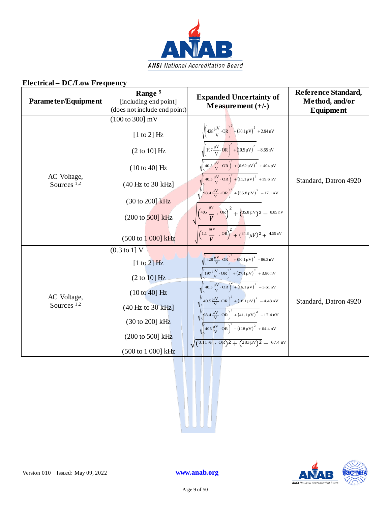

| Parameter/Equipment                   | Range <sup>5</sup><br>[including end point]<br>(does not include end point)                                                                                                                          | <b>Expanded Uncertainty of</b><br>Measurement $(+/-)$                                                                                                                                                                                                                                                                                                                                                                                                                                                                                                                                                                                                                                                                                                                                                | Reference Standard,<br>Method, and/or<br><b>Equipment</b> |
|---------------------------------------|------------------------------------------------------------------------------------------------------------------------------------------------------------------------------------------------------|------------------------------------------------------------------------------------------------------------------------------------------------------------------------------------------------------------------------------------------------------------------------------------------------------------------------------------------------------------------------------------------------------------------------------------------------------------------------------------------------------------------------------------------------------------------------------------------------------------------------------------------------------------------------------------------------------------------------------------------------------------------------------------------------------|-----------------------------------------------------------|
| AC Voltage,<br>Sources $1,2$          | $(100 \text{ to } 300) \text{ mV}$<br>$[1 \text{ to } 2]$ Hz<br>(2 to 10] Hz<br>$(10 to 40]$ Hz<br>(40 Hz to 30 kHz)<br>(30 to 200] kHz<br>$(200 \text{ to } 500) \text{ kHz}$<br>(500 to 1 000] kHz | $\sqrt{\left(428\frac{\mu V}{V}\cdot\text{OR}\right)^2 + \left(30.1\mu V\right)^2 + 2.94\,\text{nV}}$<br>$\sqrt{\left(197\frac{\mu V}{V}\cdot\text{OR}\right)^2+\left(10.5\mu V\right)^2}-8.65\,\text{nV}$<br>$\sqrt{\left(40.5\frac{\mu V}{V}\cdot\text{OR}\right)^2+\left(6.62\,\mu\text{V}\right)^2}+404\,\text{pV}$<br>$\sqrt{\left(40.5\frac{\mu V}{V}\cdot\text{OR}\right)^2+\left(11.1\mu V\right)^2}$ + 19.6 nV<br>$\sqrt{\left(98.4 \frac{\mu V}{V} \cdot \text{OR}\right)^2 + \left(35.8 \mu V\right)^2 - 17.1 \text{ nV}}$<br>$\sqrt{\left(\frac{405}{V} \cdot \frac{\mu V}{V} \cdot 0 R\right)^2 + \left(\frac{35.8 \,\mu V}{V}\right)^2 - \frac{8.85 \,\text{nV}}{V}}$<br>$\sqrt{\left(1.1 \frac{\text{mV}}{V} \cdot \text{OR}\right)^2 + \left(84.8 \mu V\right)^2 + 4.59 \text{ nV}}$ | Standard, Datron 4920                                     |
| AC Voltage,<br>Sources <sup>1,2</sup> | $(0.3 \text{ to } 1) \text{ V}$<br>$[1 \text{ to } 2]$ Hz<br>$(2 \text{ to } 10)$ Hz<br>$(10 to 40)$ Hz<br>(40 Hz to 30 kHz)<br>(30 to 200] kHz<br>(200 to 500] kHz<br>(500 to 1 000] kHz            | $\sqrt{\left(428\frac{\mu V}{V}\cdot\text{OR}\right)^2 + \left(50.1\mu V\right)^2 + 86.3\,\text{nV}}$<br>$\sqrt{\left(197\frac{\mu V}{V}\cdot\text{OR}\right)^2 + \left(27.1\mu V\right)^2 + 3.80\,\text{nV}}$<br>$\sqrt{(40.5\frac{\mu V}{V}\cdot\text{OR})^2 + (16.1\mu V)^2}$ - 3.61 nV<br>$\sqrt{\left(40.5\frac{\mu V}{V}\cdot\text{OR}\right)^2+\left(18.1\mu V\right)^2}$ - 4.48 nV<br>$\sqrt{\left(\rho 8.4 \frac{\mu V}{V} \cdot \text{OR}\right)^2 + (41.1 \mu V)^2 - 17.4 \text{ nV}}$<br>$\sqrt{\left(405\frac{\mu V}{V}\cdot\text{OR}\right)^2 + \left(118\,\mu\text{V}\right)^2} + 64.4\,\text{nV}$<br>$\sqrt{(0.11\% \cdot \text{OR})^2 + (283 \mu\text{V})^2}$ = 67.4 nV                                                                                                             | Standard, Datron 4920                                     |

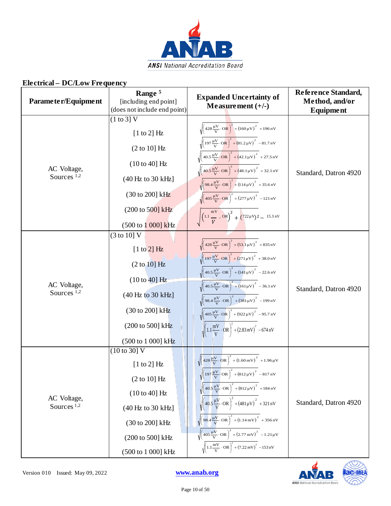

| Parameter/Equipment                   | Range <sup>5</sup><br>[including end point]<br>(does not include end point) | <b>Expanded Uncertainty of</b><br>Measurement $(+/-)$                                                                                                                                 | Reference Standard,<br>Method, and/or<br><b>Equipment</b> |
|---------------------------------------|-----------------------------------------------------------------------------|---------------------------------------------------------------------------------------------------------------------------------------------------------------------------------------|-----------------------------------------------------------|
|                                       | $(1 \text{ to } 3)$ V                                                       |                                                                                                                                                                                       |                                                           |
|                                       | $[1 \text{ to } 2]$ Hz                                                      | $\sqrt{\left(428 \frac{\mu V}{V} \cdot \text{OR}\right)^2 + \left(160 \mu V\right)^2 + 196 \text{ nV}}$                                                                               |                                                           |
|                                       | (2 to 10] Hz                                                                | $\sqrt{\left(197\frac{\mu V}{V}\cdot\text{OR}\right)^2+\left(81.2\,\mu V\right)^2}$ - 81.7 nV<br>$\sqrt{40.5\frac{\mu V}{V}}$ OR $\Big)^2 + (42.1\mu V)^2 + 27.5\,\text{nV}$          |                                                           |
| AC Voltage,                           | $(10 to 40]$ Hz                                                             | $\sqrt{\left(40.5\frac{\mu V}{V}\cdot\text{OR}\right)^2+\left(48.1\mu V\right)^2}$ + 32.1 nV                                                                                          |                                                           |
| Sources $1,2$                         | (40 Hz to 30 kHz)                                                           | $\sqrt{\left(98.4 \frac{\mu V}{V} \cdot \text{OR}\right)^2 + \left(114 \mu V\right)^2} + 35.6 \text{ nV}$                                                                             | Standard, Datron 4920                                     |
|                                       | (30 to 200] kHz                                                             | $\sqrt{\left(405\frac{\mu V}{V}\cdot\text{OR}\right)^2 + \left(277\,\mu\text{V}\right)^2 - 121\,\text{nV}}$                                                                           |                                                           |
|                                       | $(200 \text{ to } 500)$ kHz                                                 | $\sqrt{\left(1.1 \frac{mV}{V} \cdot \text{OR}\right)^2 + \left(722 \mu V\right)^2 - 15.3 \text{ nV}}$                                                                                 |                                                           |
|                                       | $(500 \text{ to } 1000) \text{ kHz}$                                        |                                                                                                                                                                                       |                                                           |
|                                       | $(3 \text{ to } 10)$ V                                                      |                                                                                                                                                                                       |                                                           |
|                                       | $[1 \text{ to } 2]$ Hz                                                      | $\sqrt{\left(428\frac{\mu V}{V}\cdot\text{OR}\right)^2 + (53.1\mu V)^2} + 835\,\text{nV}$                                                                                             |                                                           |
|                                       | (2 to 10) Hz                                                                | $\sqrt{\left(197\frac{\mu V}{V}\cdot\text{OR}\right)^2 + \left(271\mu V\right)^2 + 38.0 \text{ nV}}$<br>$\sqrt{40.5\frac{\mu V}{V}\cdot\text{OR}}^2 + (141\mu V)^2 - 22.6\,\text{nV}$ |                                                           |
| AC Voltage,                           | $(10 to 40]$ Hz                                                             | $\sqrt{(40.5\frac{\mu V}{V}\cdot\overline{OR})^2+(161\mu V)^2}-36.1\,\text{nV}$                                                                                                       |                                                           |
| Sources <sup>1,2</sup>                | (40 Hz to 30 kHz)                                                           | $\sqrt{\left(98.4 \frac{\mu V}{V} \cdot \text{OR}\right)^2 + \left(381 \mu V\right)^2}$ – 199 nV                                                                                      | Standard, Datron 4920                                     |
|                                       | (30 to 200] kHz                                                             | $\sqrt{\left(405\frac{\mu V}{V}\cdot\text{OR}\right)^2 + \left(922\,\mu\text{V}\right)^2}$ – 95.7 nV                                                                                  |                                                           |
|                                       | (200 to 500) kHz                                                            | $\sqrt{\left(1.1 \frac{mV}{V} \cdot \text{OR}\right)^2 + \left(2.83 \, mV\right)^2 - 674 \, nV}$                                                                                      |                                                           |
|                                       | (500 to 1 000] kHz                                                          |                                                                                                                                                                                       |                                                           |
|                                       | (10 to 30) V                                                                |                                                                                                                                                                                       |                                                           |
|                                       | $[1 \text{ to } 2]$ Hz                                                      | $\sqrt{\left(428 \frac{\mu V}{V} \cdot \text{OR}\right)^2 + (1.60 \text{ mV})^2 + 1.96 \mu V}$                                                                                        |                                                           |
| AC Voltage,<br>Sources <sup>1,2</sup> | (2 to 10) Hz                                                                | $\sqrt{\left(197\frac{\mu V}{V}\right)QR\right)^2 + \left(812\,\mu V\right)^2} - 817\,\text{nV}$                                                                                      |                                                           |
|                                       | $(10 to 40]$ Hz                                                             | $\sqrt{\left(40.5\,\frac{\mu V}{V}\cdot\text{OR}\right)^2 + \left(812\,\mu V\right)^2} + 184\,\text{nV}$                                                                              |                                                           |
|                                       | (40 Hz to 30 kHz)                                                           | $\sqrt{\left(40.5\frac{\mu V}{V}\cdot\text{OR}\right)^2 + \left(481\mu V\right)^2} + 321\,\text{nV}$                                                                                  | Standard, Datron 4920                                     |
|                                       | (30 to 200] kHz                                                             | $\sqrt{(98.4 \frac{\mu V}{V} \cdot \text{OR})^2 + (1.14 \text{ mV})^2 + 356 \text{ nV}}$                                                                                              |                                                           |
|                                       | (200 to 500] kHz                                                            | $\sqrt{\left(405\frac{\mu V}{V}\cdot\text{OR}\right)^2 + \left(2.77\,\text{mV}\right)^2 - 1.21\,\mu V}$                                                                               |                                                           |
|                                       | (500 to 1 000] kHz                                                          | $\sqrt{\left(1.1 \frac{mV}{V} \cdot \text{OR}\right)^2 + \left(7.22 \, mV\right)^2} - 153 \, nV$                                                                                      |                                                           |

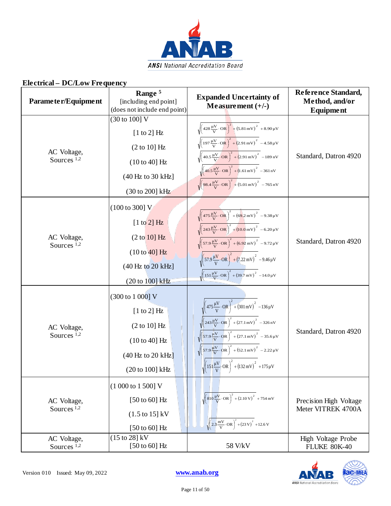

| Parameter/Equipment                   | Range <sup>5</sup><br>[including end point]<br>(does not include end point)                                                                                          | <b>Expanded Uncertainty of</b><br>Measurement $(+/-)$                                                                                                                                                                                                                                                                                                                                                                                                                                                                                                               | Reference Standard,<br>Method, and/or<br>Equipment |
|---------------------------------------|----------------------------------------------------------------------------------------------------------------------------------------------------------------------|---------------------------------------------------------------------------------------------------------------------------------------------------------------------------------------------------------------------------------------------------------------------------------------------------------------------------------------------------------------------------------------------------------------------------------------------------------------------------------------------------------------------------------------------------------------------|----------------------------------------------------|
| AC Voltage,<br>Sources <sup>1,2</sup> | (30 to 100] V<br>$[1 \text{ to } 2]$ Hz<br>(2 to 10] Hz<br>$(10 to 40]$ Hz<br>(40 Hz to 30 kHz)<br>(30 to 200] kHz                                                   | $\sqrt{\left(428 \frac{\mu V}{V} \cdot \text{OR}\right)^2 + \left(5.81 \text{ mV}\right)^2 + 8.90 \mu V}$<br>$\sqrt{\left(197\frac{\mu V}{V}\cdot\text{OR}\right)^2+\left(2.91\,\text{mV}\right)^2}-4.58\,\mu\text{V}$<br>$\sqrt{40.5\frac{\mu V}{V}\cdot\text{OR}}^2 + (2.91 \,\text{mV})^2 - 189 \,\text{nV}$<br>$\sqrt{\left(40.5\frac{\mu V}{V}\cdot\text{OR}\right)^2+\left(1.61\,\text{mV}\right)^2-361\,\text{nV}}$<br>$\sqrt{98.4\frac{\mu V}{V}\cdot \text{OR}}^2 + (5.01 \text{ mV})^2 - 765 \text{ nV}$                                                  | Standard, Datron 4920                              |
| AC Voltage,<br>Sources $1,2$          | $(100 \text{ to } 300) \text{ V}$<br>$[1 \text{ to } 2]$ Hz<br>$(2 \text{ to } 10)$ Hz<br>$(10 to 40)$ Hz<br>$(40 \text{ Hz to } 20 \text{ kHz}]$<br>(20 to 100] kHz | $\sqrt{\left(475\frac{\mu V}{V}\cdot\text{OR}\right)^2+\left(69.2\,\text{mV}\right)^2}-9.38\,\mu\text{V}$<br>$\sqrt{\left(243 \frac{\mu V}{V} \cdot \text{OR}\right)^2 + \left(10.0 \text{ mV}\right)^2} - 6.20 \mu V$<br>$\sqrt{\left(57.9 \frac{\mu V}{V} \cdot \text{OR}\right)^2 + \left(6.92 \text{ mV}\right)^2} - 9.72 \mu V$<br>$\sqrt{\left(57.9 \frac{\mu V}{V} \cdot \text{OR}\right)^2 + \left(7.22 \text{ mV}\right)^2} - 9.46 \mu V$<br>$\sqrt{\left(151\frac{\mu V}{V}\cdot\text{OR}\right)^2 + \left(39.7\,\text{mV}\right)^2} - 14.0\,\mu\text{V}$ | Standard, Datron 4920                              |
| AC Voltage,<br>Sources <sup>1,2</sup> | (300 to 1 000] V<br>$[1 \text{ to } 2]$ Hz<br>(2 to 10] Hz<br>$(10 to 40]$ Hz<br>$(40 \text{ Hz}$ to 20 kHz]<br>(20 to 100] kHz                                      | $\sqrt{\left(475 \frac{\mu V}{V} \cdot \text{OR}\right)^2 + \left(301 \text{ mV}\right)^2 - 136 \mu V}$<br>$\sqrt{\left(243\frac{\mu V}{V}\cdot\text{OR}\right)^2 + \left(27.1\,\text{mV}\right)^2} - 326\,\text{nV}$<br>$\sqrt{\left(57.9 \frac{\mu V}{V} \cdot \text{OR}\right)^2 + \left(27.1 \text{ mV}\right)^2} - 35.6 \mu V$<br>$\sqrt{\left(57.9 \frac{\mu V}{V} \cdot \text{OR}\right)^2 + \left(52.1 \text{ mV}\right)^2} - 2.22 \mu V$<br>$\sqrt{\left(151\frac{\mu V}{V}\right)$ OR $\right)^2 + \left(132 \text{ mV}\right)^2 + 175 \mu V}$            | Standard, Datron 4920                              |
| AC Voltage,<br>Sources <sup>1,2</sup> | $(1000 to 1500)$ V<br>$[50 \text{ to } 60]$ Hz<br>$(1.5 \text{ to } 15]$ kV<br>[50 to 60] $Hz$                                                                       | $\sqrt{\left(810\frac{\mu V}{V}\cdot \text{OR}\right)^2 + (2.10\text{ V})^2 + 754\text{ mV}}$<br>$\sqrt{2.3\frac{\text{mV}}{\text{V}}\cdot\text{OR}}$ + (23 V) <sup>2</sup> + 12.6 V                                                                                                                                                                                                                                                                                                                                                                                | Precision High Voltage<br>Meter VITREK 4700A       |
| AC Voltage,<br>Sources <sup>1,2</sup> | $(15 \text{ to } 28)$ kV<br>[50 to 60] $Hz$                                                                                                                          | 58 V/kV                                                                                                                                                                                                                                                                                                                                                                                                                                                                                                                                                             | High Voltage Probe<br><b>FLUKE 80K-40</b>          |

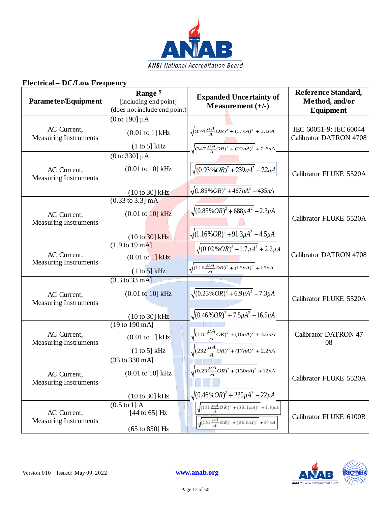

| Parameter/Equipment                         | Range <sup>5</sup><br>[including end point]<br>(does not include end point)                                      | <b>Expanded Uncertainty of</b><br>Measurement $(+/-)$                                                          | Reference Standard,<br>Method, and/or<br>Equipment      |
|---------------------------------------------|------------------------------------------------------------------------------------------------------------------|----------------------------------------------------------------------------------------------------------------|---------------------------------------------------------|
| AC Current,<br>Measuring Instruments        | $(0 \text{ to } 190] \mu A$<br>$(0.01$ to 1] kHz<br>(1 to 5] kHz                                                 | $\sqrt{(174\frac{\mu A}{A}OR)^2 + (17nA)^2 + 3.1nA}$<br>$-\sqrt{(347 \frac{\mu A}{A}OR)^2 + (22nA)^2} + 2.6nA$ | IEC 60051-9; IEC 60044<br><b>Calibrator DATRON 4708</b> |
| AC Current,<br><b>Measuring Instruments</b> | $(0 to 330] \mu A$<br>$(0.01 \text{ to } 10] \text{ kHz}$<br>$(10 \text{ to } 30)$ kHz                           | $\sqrt{(0.93\%OR)^2+239nA^2}-22nA$<br>$\sqrt{(1.85\%OR)^2+467nA^2}-435nA$                                      | Calibrator FLUKE 5520A                                  |
| AC Current,<br><b>Measuring Instruments</b> | $(0.33 \text{ to } 3.3] \text{ mA}$<br>$(0.01 \text{ to } 10) \text{ kHz}$<br>$(10 to 30)$ kHz                   | $\sqrt{(0.85\%OR)^2 + 688\mu A^2 - 2.3\mu A}$<br>$\sqrt{(1.16\%OR)^2+91.3\mu A^2-4.5\mu A}$                    | Calibrator FLUKE 5520A                                  |
| AC Current,<br><b>Measuring Instruments</b> | $(1.9 \text{ to } 19 \text{ mA}]$<br>$(0.01 \text{ to } 1)$ kHz<br>(1 to 5] kHz                                  | $\sqrt{(0.02\%OR)^2+1.7\mu A^2}+2.2\mu A$<br>$\sqrt{(116\frac{\mu A}{A}OR)^2 + (16nA)^2} + 15nA$               | <b>Calibrator DATRON 4708</b>                           |
| AC Current,<br><b>Measuring Instruments</b> | $\overline{(3.3 \text{ to } 33 \text{ mA}]}$<br>$(0.01 \text{ to } 10] \text{ kHz}$<br>$(10 \text{ to } 30)$ kHz | $\sqrt{(0.23\%OR)^2+6.9\mu A^2}-7.3\mu A$<br>$\sqrt{(0.46\%OR)^2 + 7.5\mu A^2} - 16.5\mu A$                    | Calibrator FLUKE 5520A                                  |
| AC Current,<br><b>Measuring Instruments</b> | (19 to 190 mA]<br>$(0.01$ to 1] kHz<br>(1 to 5] kHz                                                              | $\sqrt{(116\frac{\mu A}{A}OR)^2+(16nA)^2}+3.6nA$<br>$\sqrt{(232\frac{\mu A}{A}OR)^2+(17nA)^2+2.2nA)}$          | <b>Calibrator DATRON 47</b><br>08                       |
| AC Current,<br><b>Measuring Instruments</b> | (33 to 330 mA]<br>$(0.01 \text{ to } 10] \text{ kHz}$<br>$(10 \text{ to } 30)$ kHz                               | $\sqrt{(0.23\frac{\mu A}{A}OR)^2 + (130nA)^2 + 12nA}$<br>$\sqrt{(0.46\%OR)^2 + 239\mu A^2 - 22\mu A}$          | Calibrator FLUKE 5520A                                  |
| AC Current,<br><b>Measuring Instruments</b> | $(0.5 \text{ to } 1]$ A<br>$[44$ to $65]$ Hz<br>$(65 \text{ to } 850)$ Hz                                        | $(151\frac{\mu A}{A}OR)^2 + (38.1\mu A)^2 + 1.3\mu A$<br>$(161 \frac{\mu A}{4} OR)^2 + (38.8 nA)^2 + 97 nA$    | Calibrator FLUKE 6100B                                  |

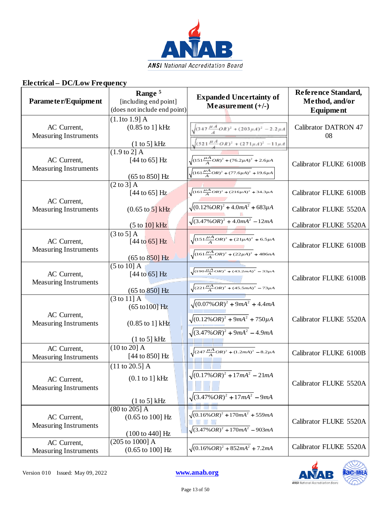

| Parameter/Equipment                         | Range <sup>5</sup><br>[including end point]<br>(does not include end point)                                         | <b>Expanded Uncertainty of</b><br>Measurement $(+/-)$                                                                         | Reference Standard,<br>Method, and/or<br>Equipment |
|---------------------------------------------|---------------------------------------------------------------------------------------------------------------------|-------------------------------------------------------------------------------------------------------------------------------|----------------------------------------------------|
| AC Current,<br><b>Measuring Instruments</b> | (1.1 to 1.9] A<br>$(0.85 \text{ to } 1]$ kHz                                                                        | $\sqrt{(347\frac{\mu A}{A}OR)^2+(203\mu A)^2}-2.2\mu A$<br>$\sqrt{(521\frac{\mu A}{A}OR)^2+(271\mu A)^2}-11\mu A$             | <b>Calibrator DATRON 47</b><br>08                  |
| AC Current,<br><b>Measuring Instruments</b> | $\frac{(1 \text{ to } 5) \text{ kHz}}{(1.9 \text{ to } 2) \text{ A}}$<br>[44 to 65] Hz<br>$(65 \text{ to } 850)$ Hz | $\sqrt{(151\frac{\mu A}{A}OR)^2 + (76.2\mu A)^2} + 2.6\mu A$<br>$\sqrt{(161\frac{\mu A}{A}OR)^2 + (77.6\mu A)^2 + 19.6\mu A}$ | Calibrator FLUKE 6100B                             |
| AC Current,                                 | $(2 \text{ to } 3)$ A<br>[44 to 65] $Hz$                                                                            | $\sqrt{(161\frac{\mu A}{A}OR)^2 + (216\mu A)^2} + 34.3\mu A$<br>$\sqrt{(0.12\%OR)^2 + 4.0mA^2} + 683\mu A$                    | Calibrator FLUKE 6100B                             |
| <b>Measuring Instruments</b>                | $(0.65 \text{ to } 5]$ kHz<br>(5 to 10) kHz                                                                         | $\sqrt{(3.47\%OR)^2+4.0mA^2}-12mA$                                                                                            | Calibrator FLUKE 5520A<br>Calibrator FLUKE 5520A   |
| AC Current,<br><b>Measuring Instruments</b> | $(3 \text{ to } 5)$ A<br>$[44 to 65]$ Hz<br>$(65 \text{ to } 850) \text{ Hz}$                                       | $\sqrt{(151\frac{\mu A}{A}OR)^2+(21\mu A)^2}+6.5\mu A$<br>$\sqrt{(161\frac{\mu A}{A}OR)^2+(22\mu A)^2}$ + 486nA               | Calibrator FLUKE 6100B                             |
| AC Current,<br><b>Measuring Instruments</b> | $(5 \text{ to } 10)$ A<br>$[44$ to $65]$ Hz<br>$(65 \text{ to } 850) \text{ Hz}$                                    | $\sqrt{(190 \frac{\mu A}{A}OR)^2 + (43.2 mA)^2} - 33 \mu A$<br>$\sqrt{(221\frac{\mu A}{A}OR)^2 + (45.5mA)^2} - 73\mu A$       | Calibrator FLUKE 6100B                             |
| AC Current,<br><b>Measuring Instruments</b> | $(3 \text{ to } 11)$ A<br>$(65 \text{ to } 100)$ Hz<br>$(0.85 \text{ to } 1]$ kHz<br>(1 to 5] kHz                   | $\sqrt{(0.07\%OR)^2 + 9mA^2} + 4.4mA$<br>$\sqrt{(0.12\%OR)^2 + 9mA^2} + 750\mu A$<br>$\sqrt{(3.47\%OR)^2 + 9mA^2} - 4.9mA$    | Calibrator FLUKE 5520A                             |
| AC Current,<br><b>Measuring Instruments</b> | $(10 to 20]$ A<br>[44 to 850] Hz                                                                                    | $\sqrt{(247\frac{\mu A}{A}OR)^2+(1.2mA)^2}-8.2\mu A$                                                                          | Calibrator FLUKE 6100B                             |
| AC Current,<br><b>Measuring Instruments</b> | $(11 \text{ to } 20.5]$ A<br>$(0.1$ to 1] kHz<br>(1 to 5] kHz                                                       | $\sqrt{(0.17\%OR)^2 + 17mA^2} - 21mA$<br>$\sqrt{(3.47\%OR)^2+17mA^2}-9mA$                                                     | Calibrator FLUKE 5520A                             |
| AC Current,<br><b>Measuring Instruments</b> | $(80 \text{ to } 205)$ A<br>$(0.65 \text{ to } 100] \text{ Hz}$<br>$(100 \text{ to } 440) \text{ Hz}$               | $\sqrt{(0.16\%OR)^2+170mA^2}+559mA$<br>$\sqrt{(3.47\%OR)^2+170mA^2}-903mA$                                                    | Calibrator FLUKE 5520A                             |
| AC Current,<br><b>Measuring Instruments</b> | $(205 \text{ to } 1000)$ A<br>$(0.65 \text{ to } 100] \text{ Hz}$                                                   | $\sqrt{(0.16\% \text{ OR})^2 + 852 \text{ mA}^2} + 7.2 \text{ mA}$                                                            | Calibrator FLUKE 5520A                             |

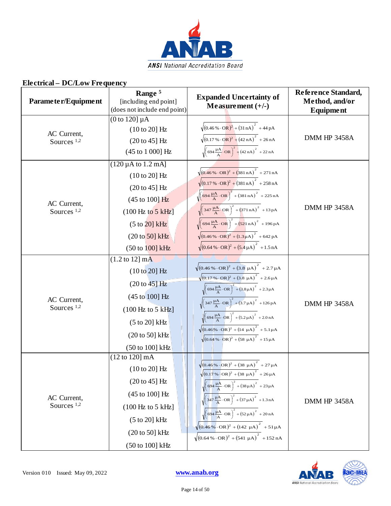

| Parameter/Equipment                   | Range <sup>5</sup><br>[including end point]<br>(does not include end point)                                                                                                                                             | <b>Expanded Uncertainty of</b><br>Measurement $(+/-)$                                                                                                                                                                                                                                                                                                                                                                                                                                                                                                                                                                                                                                 | Reference Standard,<br>Method, and/or<br>Equipment |
|---------------------------------------|-------------------------------------------------------------------------------------------------------------------------------------------------------------------------------------------------------------------------|---------------------------------------------------------------------------------------------------------------------------------------------------------------------------------------------------------------------------------------------------------------------------------------------------------------------------------------------------------------------------------------------------------------------------------------------------------------------------------------------------------------------------------------------------------------------------------------------------------------------------------------------------------------------------------------|----------------------------------------------------|
| AC Current,<br>Sources <sup>1,2</sup> | $(0 \text{ to } 120] \mu A$<br>$(10 to 20)$ Hz<br>$(20 to 45]$ Hz<br>(45 to 1 000] Hz                                                                                                                                   | $\sqrt{(0.46\% \cdot \text{OR})^2 + (31 \text{ nA})^2 + 44 \text{ pA}}$<br>$\sqrt{(0.17\% \cdot \text{OR})^2 + (42 \text{ nA})^2}$ + 26 nA<br>$\sqrt{\left(694 \frac{\mu A}{A}\right)^2 + \left(42 nA\right)^2 + 22 nA}$                                                                                                                                                                                                                                                                                                                                                                                                                                                              | DMM HP 3458A                                       |
| AC Current,<br>Sources $1,2$          | $(120 \,\mu A \text{ to } 1.2 \text{ mA}]$<br>$(10 to 20]$ Hz<br>$(20 to 45)$ Hz<br>(45 to 100) Hz<br>$(100 \text{ Hz to } 5 \text{ kHz})$<br>(5 to 20) kHz<br>$(20 \text{ to } 50)$ kHz<br>$(50 \text{ to } 100)$ kHz  | $\sqrt{(0.46\% \cdot \text{OR})^2 + (381 \text{ nA})}^2 + 271 \text{ nA}$<br>$\sqrt{(0.17\% \cdot \text{OR})^2 + (381 \text{ nA})^2 + 258 \text{ nA}}$<br>$\sqrt{\left(694 \frac{\mu A}{A} \cdot OR\right)^2 + \left(381 \text{ nA}\right)^2} + 225 \text{ nA}$<br>$\sqrt{\left(347\frac{\mu A}{A}\cdot\text{OR}\right)^2 + \left(371\,\text{nA}\right)^2} + 13\,\text{pA}$<br>$\sqrt{(694 \frac{\mu A}{A} \cdot \text{OR})^2 + (521 \text{ nA})^2 + 196 \text{ pA})^2}$<br>$\sqrt{(0.46\% \cdot \text{OR})^2 + (1.3 \mu \text{A})^2}$ + 642 pA<br>$\sqrt{(0.64\% \cdot \text{OR})^2 + (5.4 \mu \text{A})}^2 + 1.5 \text{ nA}$                                                        | DMM HP 3458A                                       |
| AC Current,<br>Sources $1,2$          | $(1.2 \text{ to } 12) \text{ mA}$<br>(10 to 20) Hz<br>$(20 to 45)$ Hz<br>(45 to 100] Hz<br>$(100 \text{ Hz to } 5 \text{ kHz}]$<br>$(5 to 20)$ kHz<br>$(20 \text{ to } 50)$ kHz<br>(50 to 100] kHz                      | $\sqrt{(0.46\% \cdot \text{OR})^2 + (3.8 \mu \text{A})^2}$ + 2.7 µ A<br>$\sqrt{(0.17\% \cdot \text{OR})^2 + (3.8 \mu \text{A})^2}$ + 2.6 $\mu \text{A}$<br>$\sqrt{\left(694 \frac{\mu A}{A} \cdot \text{OR}\right)^2 + (3.8 \mu A)^2}$ + 2.3 $\mu A$<br>$\sqrt{\left(347\frac{\mu A}{A}\cdot\text{OR}\right)^2 + \left(3.7\,\mu A\right)^2} + 126\,\text{pA}$<br>$\sqrt{\left(694 \frac{\mu A}{A} \cdot OR\right)^2 + (5.2 \mu A)^2}$ + 2.0 nA<br>$\sqrt{(0.46\% \cdot \text{OR})^2 + (14 \mu \text{A})^2}$ + 5.1µA<br>$\sqrt{(0.64\% \cdot \text{OR})^2 + (58 \mu \text{A})^2 + 15 \mu \text{A}}$                                                                                    | DMM HP 3458A                                       |
| AC Current,<br>Sources <sup>1,2</sup> | $(12 \text{ to } 120) \text{ mA}$<br>$(10 to 20]$ Hz<br>$(20 to 45)$ Hz<br>$(45 \text{ to } 100) \text{ Hz}$<br>$(100 \text{ Hz to } 5 \text{ kHz}]$<br>$(5 to 20)$ kHz<br>$(20 \text{ to } 50)$ kHz<br>(50 to 100] kHz | $\sqrt{(0.46\% \cdot \text{OR})^2 + (38 \mu \text{A})}^2 + 27 \mu \text{A}$<br>$\sqrt{(0.17\% \cdot \text{OR})^2 + (38 \mu \text{A})^2 + 26 \mu \text{A}}$<br>$\sqrt{\left(694 \frac{\mu A}{A} \cdot \text{OR}\right)^2 + \left(38 \mu A\right)^2 + 23 \mu A}$<br>$\sqrt{\left(347\frac{\mu A}{A}\cdot\text{OR}\right)^2 + \left(37\mu A\right)^2 + 1.3 \text{ nA}}$<br>$\sqrt{\left(\frac{694 \text{ }\mu\text{A}}{\text{A}}\cdot\text{OR}\right)^2 + \left(52 \text{ }\mu\text{A}\right)^2 + 20 \text{ }\text{nA}}$<br>$\sqrt{(0.46\%)} \cdot \text{OR})^2 + (142 \mu \text{A})^2 + 51 \mu \text{A}$<br>$\sqrt{(0.64\% \cdot \text{OR})^2 + (541 \mu \text{A})}^2 + 152 \text{ nA}$ | DMM HP 3458A                                       |

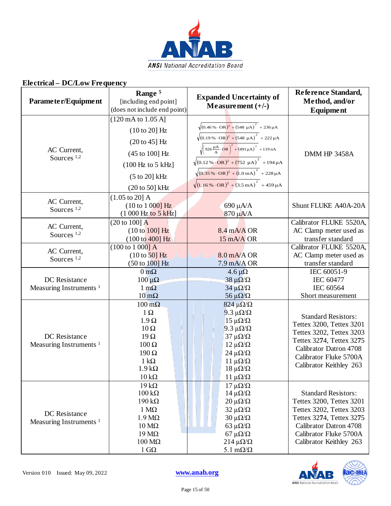

| Parameter/Equipment                                 | Range <sup>5</sup><br>[including end point]<br>(does not include end point)                                                                                                                     | <b>Expanded Uncertainty of</b><br>Measurement $(+/-)$                                                                                                                                                                                                                                                                                                                                                                                                                                             | Reference Standard,<br>Method, and/or<br><b>Equipment</b>                                                                                                                                     |
|-----------------------------------------------------|-------------------------------------------------------------------------------------------------------------------------------------------------------------------------------------------------|---------------------------------------------------------------------------------------------------------------------------------------------------------------------------------------------------------------------------------------------------------------------------------------------------------------------------------------------------------------------------------------------------------------------------------------------------------------------------------------------------|-----------------------------------------------------------------------------------------------------------------------------------------------------------------------------------------------|
| AC Current,<br>Sources $1,2$                        | $(120 \text{ mA to } 1.05 \text{ A}]$<br>$(10 to 20)$ Hz<br>$(20 to 45)$ Hz<br>(45 to 100] Hz<br>$(100 \text{ Hz to } 5 \text{ kHz}]$<br>$(5 to 20)$ kHz<br>$(20 \text{ to } 50)$ kHz           | $\sqrt{(0.46\% \cdot \text{OR})^2 + (548 \mu \text{A})^2 + 236 \mu \text{A}}$<br>$\sqrt{(0.19\% \cdot \text{OR})^2 + (548 \mu \text{A})^2} + 222 \mu \text{A}$<br>$\sqrt{\left(926\frac{\mu A}{A}\cdot\text{OR}\right)^2+\left(491\mu A\right)^2}$ + 119 nA<br>$\sqrt{(0.12\% \cdot \text{OR})^2 + (752 \mu \text{A})^2} + 194 \mu \text{A}$<br>$\sqrt{(0.35\% \cdot \text{OR})^2 + (1.0 \text{ mA})^2}$ + 228 µ A<br>$\sqrt{(1.16\% \cdot \text{OR})^2 + (3.5 \text{ mA})^2 + 459 \mu \text{A}}$ | DMM HP 3458A                                                                                                                                                                                  |
| AC Current,<br>Sources <sup>1,2</sup>               | $(1.05 \text{ to } 20)$ A<br>(10 to 1 000) Hz<br>(1 000 Hz to 5 kHz)                                                                                                                            | 690 µA/A<br>870 μA/A                                                                                                                                                                                                                                                                                                                                                                                                                                                                              | Shunt FLUKE A40A-20A                                                                                                                                                                          |
| AC Current,<br>Sources $1,2$                        | (20 to 100] A<br>(10 to 100) Hz<br>$(100 \text{ to } 400) \text{ Hz}$                                                                                                                           | $8.4$ mA/A OR<br>15 mA/A OR                                                                                                                                                                                                                                                                                                                                                                                                                                                                       | Calibrator FLUKE 5520A,<br>AC Clamp meter used as<br>transfer standard                                                                                                                        |
| AC Current,<br>Sources <sup>1,2</sup>               | $(100 \text{ to } 1000)$ A<br>$(10 \text{ to } 50)$ Hz<br>$(50 \text{ to } 100) \text{ Hz}$                                                                                                     | $8.0 \text{ mA}$ OR<br>$7.9 \text{ mA}$ OR                                                                                                                                                                                                                                                                                                                                                                                                                                                        | Calibrator FLUKE 5520A,<br>AC Clamp meter used as<br>transfer standard                                                                                                                        |
| DC Resistance<br>Measuring Instruments <sup>1</sup> | $0 \,\mathrm{m}\Omega$<br>$100 \mu \Omega$<br>$1 \text{ mA}$<br>$10 \text{ mA}$                                                                                                                 | $4.6 \,\mu\Omega$<br>$38 \mu\Omega/\Omega$<br>$34 \mu\Omega/\Omega$<br>56 $\mu\Omega/\Omega$                                                                                                                                                                                                                                                                                                                                                                                                      | IEC 60051-9<br><b>IEC 60477</b><br>IEC 60564<br>Short measurement                                                                                                                             |
| DC Resistance<br>Measuring Instruments <sup>1</sup> | $100 \text{ m}\Omega$<br>$1\Omega$<br>$1.9 \Omega$<br>$10\,\Omega$<br>$19\Omega$<br>$100 \Omega$<br>$190 \Omega$<br>$1 \text{ k}\Omega$<br>$1.9 k\Omega$<br>$10 \text{ k}\Omega$                | $824 \mu\Omega/\Omega$<br>9.3 $\mu\Omega/\Omega$<br>$15 \mu$ Ω/Ω<br>$9.3 \mu$ Ω/Ω<br>$37 \mu\Omega/\Omega$<br>$12 \mu\Omega/\Omega$<br>$24 \mu\Omega/\Omega$<br>$11 \muΩ/Ω$<br>$18 \muΩ/Ω$<br>$11 \muΩ/Ω$                                                                                                                                                                                                                                                                                         | <b>Standard Resistors:</b><br>Tettex 3200, Tettex 3201<br>Tettex 3202, Tettex 3203<br>Tettex 3274, Tettex 3275<br>Calibrator Datron 4708<br>Calibrator Fluke 5700A<br>Calibrator Keithley 263 |
| DC Resistance<br>Measuring Instruments <sup>1</sup> | $19 k\Omega$<br>$100 \text{ k}\Omega$<br>$190 \text{ k}\Omega$<br>$1 M\Omega$<br>$1.9 M\Omega$<br>$10 \text{ M}\Omega$<br>$19 \text{ M}\Omega$<br>$100 \text{ M}\Omega$<br>$1 \text{ } G\Omega$ | $17 \muΩ/Ω$<br>$14 \mu\Omega/\Omega$<br>$20 \mu\Omega/\Omega$<br>$32 \mu\Omega/\Omega$<br>$30 \mu\Omega/\Omega$<br>63 $\mu\Omega/\Omega$<br>67 μ $\Omega/\Omega$<br>$214 \mu\Omega/\Omega$<br>5.1 m $\Omega/\Omega$                                                                                                                                                                                                                                                                               | <b>Standard Resistors:</b><br>Tettex 3200, Tettex 3201<br>Tettex 3202, Tettex 3203<br>Tettex 3274, Tettex 3275<br>Calibrator Datron 4708<br>Calibrator Fluke 5700A<br>Calibrator Keithley 263 |

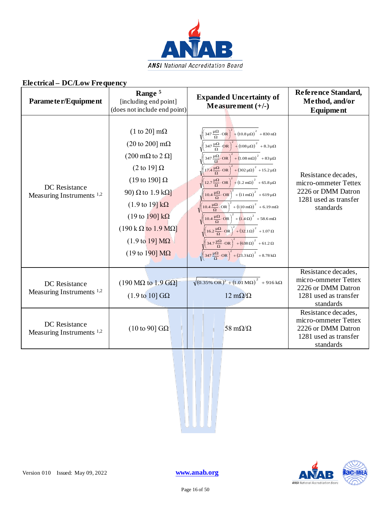

| Parameter/Equipment                                   | Range <sup>5</sup><br>[including end point]<br>(does not include end point)                                                                                                                                                                                                                                                                                                                                | <b>Expanded Uncertainty of</b><br>Measurement $(+/-)$                                                                                                                                                                                                                                                                                                                                                                                                                                                                                                                                                                                                                                                                                                                                                                                                                                                                                                                                                                                                                                                                                                                                                                                                                                                                                                 | Reference Standard,<br>Method, and/or<br>Equipment                                                      |
|-------------------------------------------------------|------------------------------------------------------------------------------------------------------------------------------------------------------------------------------------------------------------------------------------------------------------------------------------------------------------------------------------------------------------------------------------------------------------|-------------------------------------------------------------------------------------------------------------------------------------------------------------------------------------------------------------------------------------------------------------------------------------------------------------------------------------------------------------------------------------------------------------------------------------------------------------------------------------------------------------------------------------------------------------------------------------------------------------------------------------------------------------------------------------------------------------------------------------------------------------------------------------------------------------------------------------------------------------------------------------------------------------------------------------------------------------------------------------------------------------------------------------------------------------------------------------------------------------------------------------------------------------------------------------------------------------------------------------------------------------------------------------------------------------------------------------------------------|---------------------------------------------------------------------------------------------------------|
| DC Resistance<br>Measuring Instruments <sup>1,2</sup> | $(1 \text{ to } 20) \text{ m}\Omega$<br>(20 to 200] $m\Omega$<br>$(200 \,\mathrm{m}\Omega \mathrm{to} 2 \,\Omega)$<br>(2 to 19] $\Omega$<br>(19 to 190] $\Omega$<br>90) $\Omega$ to 1.9 k $\Omega$<br>$(1.9 \text{ to } 19) \text{ k}\Omega$<br>(19 to 190] $k\Omega$<br>$(190 \text{ k}\Omega \text{ to } 1.9 \text{ M}\Omega)$<br>$(1.9 \text{ to } 19) \text{ M}\Omega$<br>(19 to 190] $\text{M}\Omega$ | $\left(347 \frac{\mu\Omega}{\Omega}\cdot \text{OR}\right)^2 + \left(10.8 \mu\Omega\right)^2 + 830 \text{ n}\Omega$<br>$\sqrt{\left(347\frac{\mu\Omega}{\Omega}\cdot\mathbf{OR}\right)^2+\left(108\mu\Omega\right)^2+8.3\mu\Omega}$<br>$\left(347 \frac{\mu\Omega}{\Omega} \cdot \text{OR}\right)^2 + \left(1.08 \text{ m}\Omega\right)^2 + 83 \mu\Omega$<br>$\sqrt{\left(17.4 \frac{\mu\Omega}{\Omega}\cdot \text{OR}\right)^2 + \left(302 \mu\Omega\right)^2 + 15.2 \mu\Omega}$<br>$\sqrt{\left(12.7\frac{\mu\Omega}{\Omega}\cdot\text{OR}\right)^2 + \left(1.2\text{ m}\Omega\right)^2 + 65.8\mu\Omega}$<br>$\sqrt{\left(10.4 \frac{\mu\Omega}{\Omega}\cdot\text{OR}\right)^2 + \left(11 \text{ m}\Omega\right)^2 + 619 \mu\Omega}$<br>$\sqrt{\left(10.4 \frac{\mu\Omega}{\Omega}\cdot\text{OR}\right)^2 + \left(110 \text{ mA}\right)^2 + 6.19 \text{ mA}}$<br>$\sqrt{\left(10.4 \frac{\mu\Omega}{\Omega}\cdot \text{OR}\right)^2 + \left(1.4 \Omega\right)^2} + 58.6 \text{ m}\Omega$<br>$\sqrt{\left(16.2 \frac{\mu\Omega}{\Omega}\cdot \text{OR}\right)^2 + \left(32.1 \Omega\right)^2} + 1.07 \Omega$<br>$\sqrt{\left(34.7\frac{\mu\Omega}{\Omega}\cdot\text{OR}\right)^2+\left(638\,\Omega\right)^2+61.2\,\Omega}$<br>$\sqrt{\left(347\frac{\mu\Omega}{\Omega}\cdot\text{OR}\right)^2+\left(23.3\,\text{k}\Omega\right)^2}$ + 8.78 k $\Omega$ | Resistance decades,<br>micro-ommeter Tettex<br>2226 or DMM Datron<br>1281 used as transfer<br>standards |
| DC Resistance<br>Measuring Instruments <sup>1,2</sup> | $(190 \text{ M}\Omega \text{ to } 1.9 \text{ G}\Omega)$<br>$(1.9 \text{ to } 10]$ GQ                                                                                                                                                                                                                                                                                                                       | $\sqrt{(0.35\% \text{ OR})^2 + (1.01 \text{ M}\Omega)^2} + 916 \text{ k}\Omega$<br>$12 \text{ m}\Omega/\Omega$                                                                                                                                                                                                                                                                                                                                                                                                                                                                                                                                                                                                                                                                                                                                                                                                                                                                                                                                                                                                                                                                                                                                                                                                                                        | Resistance decades,<br>micro-ommeter Tettex<br>2226 or DMM Datron<br>1281 used as transfer<br>standards |
| DC Resistance<br>Measuring Instruments <sup>1,2</sup> | (10 to 90] $G\Omega$                                                                                                                                                                                                                                                                                                                                                                                       | 58 m $\Omega/\Omega$                                                                                                                                                                                                                                                                                                                                                                                                                                                                                                                                                                                                                                                                                                                                                                                                                                                                                                                                                                                                                                                                                                                                                                                                                                                                                                                                  | Resistance decades,<br>micro-ommeter Tettex<br>2226 or DMM Datron<br>1281 used as transfer<br>standards |

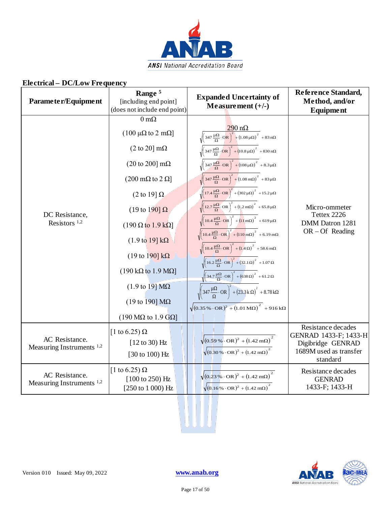

| Parameter/Equipment                           | Range <sup>5</sup><br>[including end point]<br>(does not include end point) | <b>Expanded Uncertainty of</b><br>Measurement $(+/-)$                                                                                                                                                                            | Reference Standard,<br>Method, and/or<br>Equipment |
|-----------------------------------------------|-----------------------------------------------------------------------------|----------------------------------------------------------------------------------------------------------------------------------------------------------------------------------------------------------------------------------|----------------------------------------------------|
|                                               | $0 \text{ m}\Omega$                                                         |                                                                                                                                                                                                                                  |                                                    |
|                                               | $(100 \mu\Omega \text{ to } 2 \text{ m}\Omega)$                             | $\frac{290 \text{ n}\Omega}{\sqrt{\left(347 \frac{\mu\Omega}{\Omega} \cdot \text{OR}\right)^2 + \left(1.08 \mu\Omega\right)^2} + 83 \text{ n}\Omega}$                                                                            |                                                    |
|                                               | $(2 \text{ to } 20) \text{ mA}$                                             | $\sqrt{\left(347\frac{\mu\Omega}{\Omega}\cdot\text{OR}\right)^2+\left(10.8\mu\Omega\right)^2}$ + 830 n $\Omega$                                                                                                                  |                                                    |
|                                               | (20 to 200] $m\Omega$                                                       | $\sqrt{\left(347\frac{\mu\Omega}{\Omega}\cdot\text{OR}\right)^2+\left(108\mu\Omega\right)^2}$ + 8.3 $\mu\Omega$                                                                                                                  |                                                    |
|                                               | $(200 \text{ m}\Omega \text{ to } 2 \Omega)$                                | $\sqrt{\left(347\frac{\mu\Omega}{\Omega}\cdot\text{OR}\right)^2+\left(1.08\,\text{m}\Omega\right)^2+83\,\mu\Omega}$                                                                                                              |                                                    |
|                                               | (2 to 19] $\Omega$                                                          | $\sqrt{\left(17.4 \frac{\mu\Omega}{\Omega}\cdot\text{OR}\right)^2 + \left(302 \mu\Omega\right)^2 + 15.2 \mu\Omega}$                                                                                                              |                                                    |
| DC Resistance,                                | (19 to 190] $\Omega$                                                        | $\sqrt{\left(12.7\frac{\mu\Omega}{\Omega}\cdot\text{OR}\right)^2+\left(1.2\,\text{m}\Omega\right)^2+65.8\,\mu\Omega}$                                                                                                            | Micro-ommeter<br>Tettex 2226                       |
| Resistors $1,2$                               | $(190 \Omega \text{ to } 1.9 \text{ k}\Omega)$                              | $\sqrt{\left(10.4 \frac{\mu\Omega}{\Omega} \cdot \mathbf{OR}\right)^2 + \left(11 \text{ m}\Omega\right)^2} + 619 \mu\Omega$                                                                                                      | DMM Datron 1281<br>$OR - Of Reading$               |
|                                               | $(1.9 \text{ to } 19] \text{ k}\Omega$                                      | $\sqrt{\left(10.4 \frac{\mu\Omega}{\Omega}\cdot\text{OR}\right)^2 + \left(110 \text{ mA}\right)^2 + 6.19 \text{ mA}}$                                                                                                            |                                                    |
|                                               | (19 to 190] $k\Omega$                                                       | $\sqrt{\left(10.4\frac{\mu\Omega}{\Omega}\cdot\text{OR}\right)^2+\left(1.4\,\Omega\right)^2}$ + 58.6 m $\Omega$                                                                                                                  |                                                    |
|                                               | $(190 \text{ k}\Omega \text{ to } 1.9 \text{ M}\Omega)$                     | $\sqrt{\left(16.2 \frac{\mu\Omega}{\Omega}\cdot \text{OR}\right)^2 + \left(32.1 \Omega\right)^2 + 1.07 \Omega}$<br>$\sqrt{\left(34.7\frac{\mu\Omega}{\Omega}\cdot\text{OR}\right)^2+\left(638\,\Omega\right)^2}$ + 61.2 $\Omega$ |                                                    |
|                                               | $(1.9 \text{ to } 19) \text{ M}\Omega$                                      | $\sqrt{\left(347\frac{\mu\Omega}{\Omega}\cdot\text{OR}\right)^2+\left(23.3\text{k}\,\Omega\right)^2+8.78\text{k}\Omega}$                                                                                                         |                                                    |
|                                               | (19 to 190] $\text{M}\Omega$                                                | $\sqrt{(0.35\% \cdot \text{OR})^2 + (1.01 \text{M}\Omega)^2} + 916 \text{ k}\Omega$                                                                                                                                              |                                                    |
|                                               | $(190 \text{ M}\Omega \text{ to } 1.9 \text{ G}\Omega)$                     |                                                                                                                                                                                                                                  |                                                    |
|                                               | [1 to 6.25) $\Omega$                                                        |                                                                                                                                                                                                                                  | Resistance decades<br>GENRAD 1433-F; 1433-H        |
| AC Resistance.<br>Measuring Instruments $1,2$ | $[12 \text{ to } 30)$ Hz                                                    | $\sqrt{(0.59\%)}\cdot \text{OR})^2 + (1.42 \text{ m}\Omega)^2$                                                                                                                                                                   | Digibridge GENRAD                                  |
|                                               | [30 to 100) Hz                                                              | $\sqrt{(0.30\% \cdot \text{OR})^2 + (1.42 \text{ m}\Omega)}^2$                                                                                                                                                                   | 1689M used as transfer<br>standard                 |
| AC Resistance.                                | [1 to 6.25) $\Omega$                                                        | $\sqrt{(0.23\% \cdot \text{OR})^2 + (1.42 \text{ m}\Omega)}^2$                                                                                                                                                                   | Resistance decades                                 |
| Measuring Instruments $1,2$                   | $[100 \text{ to } 250) \text{ Hz}$<br>$[250 \text{ to } 1000) \text{ Hz}$   | $\sqrt{(0.16\% \cdot \text{OR})^2 + (1.42 \text{ m}\Omega)}^2$                                                                                                                                                                   | <b>GENRAD</b><br>1433-F; 1433-H                    |
|                                               |                                                                             |                                                                                                                                                                                                                                  |                                                    |



WUU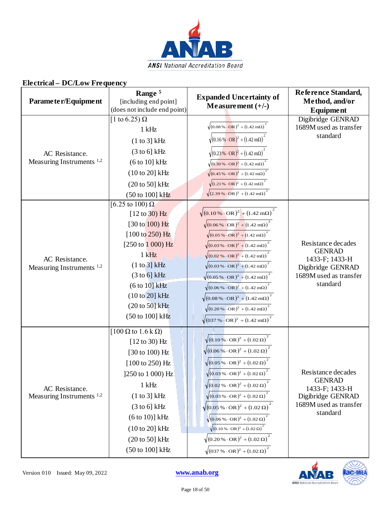

| Parameter/Equipment                                    | Range <sup>5</sup><br>[including end point]<br>(does not include end point)                                                                                                                                                                                                                 | <b>Expanded Uncertainty of</b><br>Measurement $(+/-)$                                                                                                                                                                                                                                                                                                                                                                                                                                                                                                                                                                                                                                                     | Reference Standard,<br>Method, and/or<br><b>Equipment</b>                                                        |
|--------------------------------------------------------|---------------------------------------------------------------------------------------------------------------------------------------------------------------------------------------------------------------------------------------------------------------------------------------------|-----------------------------------------------------------------------------------------------------------------------------------------------------------------------------------------------------------------------------------------------------------------------------------------------------------------------------------------------------------------------------------------------------------------------------------------------------------------------------------------------------------------------------------------------------------------------------------------------------------------------------------------------------------------------------------------------------------|------------------------------------------------------------------------------------------------------------------|
| AC Resistance.<br>Measuring Instruments <sup>1,2</sup> | [1 to 6.25) $\Omega$<br>$1$ kHz<br>(1 to 3] kHz<br>$(3 \text{ to } 6)$ kHz<br>(6 to 10] kHz<br>(10 to 20] kHz<br>(20 to 50] kHz<br>(50 to 100] kHz                                                                                                                                          | $\sqrt{(0.08\% \cdot \text{OR})^2 + (1.42 \text{ mA})^2}$<br>$\sqrt{(0.16\% \cdot \text{OR})^2 + (1.42 \text{ m}\Omega)}$<br>$\sqrt{(0.23\% \cdot \text{OR})^2 + (1.42 \text{ m}\Omega)}$<br>$\sqrt{(0.30\% \cdot \text{OR})^2 + (1.42 \text{ mA})^2}$<br>$\sqrt{(0.45\% \cdot \text{OR})^2 + (1.42 \text{ mA})^2}$<br>$\sqrt{(1.21\% \cdot \text{OR})^2 + (1.42 \text{ m}\Omega)}^2$<br>$\sqrt{(2.39\% \cdot \text{OR})^2 + (1.42 \text{ mA})^2}$                                                                                                                                                                                                                                                        | Digibridge GENRAD<br>1689M used as transfer<br>standard                                                          |
| AC Resistance.<br>Measuring Instruments <sup>1,2</sup> | [6.25 to 100) $\Omega$<br>$[12 \text{ to } 30)$ Hz<br>$[30 \text{ to } 100) \text{ Hz}$<br>$[100 \text{ to } 250) \text{ Hz}]$<br>$[250 \text{ to } 1000) \text{ Hz}]$<br>$1$ kHz<br>(1 to 3] kHz<br>(3 to 6) kHz<br>(6 to 10] kHz<br>$(10 to 20)$ kHz<br>(20 to 50] kHz<br>(50 to 100] kHz | $\sqrt{(0.10\% \cdot \text{OR})^2 + (1.42 \text{ m}\Omega)}$<br>$\sqrt{(0.06\% \cdot \text{OR})^2 + (1.42 \text{ mA})^2}$<br>$\sqrt{(0.05\% \cdot \text{OR})^2 + (1.42 \text{ mA})^2}$<br>$\sqrt{(0.03\% \cdot \text{OR})^2 + (1.42 \text{ mA})}$<br>$\sqrt{(0.02\% \cdot \text{OR})^2 + (1.42 \text{ m}\Omega)}$<br>$\sqrt{(0.03\% \cdot \text{OR})^2 + (1.42 \text{ mA})^2}$<br>$\sqrt{(0.05\% \cdot \text{OR})^2 + (1.42 \text{ mA})^2}$<br>$\sqrt{(0.06\% \cdot \text{OR})^2 + (1.42 \text{ m}\Omega)}$<br>$\sqrt{(0.08\% \cdot \text{OR})^2 + (1.42 \text{ m}\Omega)}$<br>$\sqrt{(0.20\% \cdot \text{OR})^2 + (1.42 \text{ m}\Omega)}^2$<br>$\sqrt{(037\% \cdot \text{OR})^2 + (1.42 \text{ mA})^2}$ | Resistance decades<br><b>GENRAD</b><br>1433-F; 1433-H<br>Digibridge GENRAD<br>1689M used as transfer<br>standard |
| AC Resistance.<br>Measuring Instruments $1,2$          | $[100 \Omega$ to 1.6 k $\Omega$ )<br>$[12 \text{ to } 30)$ Hz<br>[30 to 100) Hz<br>$[100 \text{ to } 250) \text{ Hz}$<br>]250 to 1 000) Hz<br>$1$ kHz<br>(1 to 3] kHz<br>$(3 \text{ to } 6)$ kHz<br>$(6 to 10)$ ] kHz<br>(10 to 20] kHz<br>$(20 to 50)$ kHz<br>(50 to 100] kHz              | $\sqrt{(0.10\% \cdot \text{OR})^2 + (1.02 \,\Omega)}$<br>$\sqrt{(0.06\% \cdot \text{OR})^2 + (1.02 \,\Omega)}$<br>$\sqrt{(0.05\% \cdot \text{OR})^2 + (1.02 \,\Omega)}$<br>$\sqrt{(0.03\% \cdot \text{OR})^2 + (1.02 \,\Omega)}^2$<br>$\sqrt{(0.02 \% \cdot \text{OR})^2 + (1.02 \,\Omega)}^2$<br>$\sqrt{(0.03\% \cdot \text{OR})^2 + (1.02 \,\Omega)}^2$<br>$\sqrt{(0.05\% \cdot \text{OR})^2 + (1.02 \,\Omega)}^2$<br>$\sqrt{(0.06\% \cdot \text{OR})^2 + (1.02 \Omega)}^2$<br>$\sqrt{(0.10\% \cdot \text{OR})^2 + (1.02 \,\Omega)}^2$<br>$\sqrt{(0.20\% \cdot \text{OR})^2 + (1.02 \Omega)^2}$<br>$\sqrt{(037\% \cdot \text{OR})^2 + (1.02 \,\Omega)}^2$                                               | Resistance decades<br><b>GENRAD</b><br>1433-F; 1433-H<br>Digibridge GENRAD<br>1689M used as transfer<br>standard |

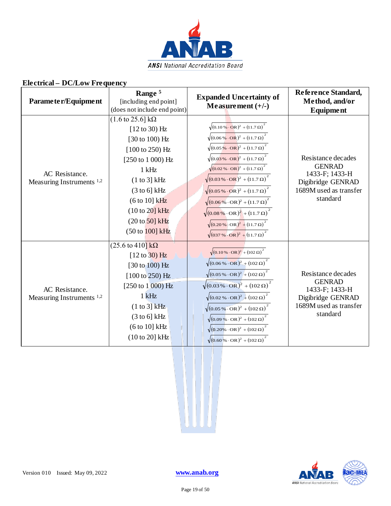

| Parameter/Equipment                                    | Range <sup>5</sup><br>[including end point]<br>(does not include end point)                                                                                                                                                                                                                     | <b>Expanded Uncertainty of</b><br>Measurement $(+/-)$                                                                                                                                                                                                                                                                                                                                                                                                                                                                                                                                                                                            | Reference Standard,<br>Method, and/or<br>Equipment                                                               |
|--------------------------------------------------------|-------------------------------------------------------------------------------------------------------------------------------------------------------------------------------------------------------------------------------------------------------------------------------------------------|--------------------------------------------------------------------------------------------------------------------------------------------------------------------------------------------------------------------------------------------------------------------------------------------------------------------------------------------------------------------------------------------------------------------------------------------------------------------------------------------------------------------------------------------------------------------------------------------------------------------------------------------------|------------------------------------------------------------------------------------------------------------------|
| AC Resistance.<br>Measuring Instruments <sup>1,2</sup> | $(1.6 \text{ to } 25.6) \text{ k}\Omega$<br>$[12 \text{ to } 30)$ Hz<br>[30 to 100) Hz<br>$[100 \text{ to } 250)$ Hz<br>[250 to 1 000) Hz<br>$1$ kHz<br>(1 to 3] kHz<br>$(3 \text{ to } 6)$ kHz<br>$(6 to 10)$ kHz<br>$(10 \text{ to } 20)$ kHz<br>$(20 \text{ to } 50)$ kHz<br>(50 to 100) kHz | $\sqrt{(0.10\% \cdot \text{OR})^2 + (11.7 \Omega)^2}$<br>$\sqrt{(0.06\% \cdot \text{OR})^2 + (11.7 \Omega)^2}$<br>$\sqrt{(0.05\% \cdot \text{OR})^2 + (11.7 \Omega)^2}$<br>$\sqrt{(0.03\% \cdot \text{OR})^2 + (11.7 \,\Omega)}^2$<br>$\sqrt{(0.02\% \cdot \text{OR})^2 + (11.7 \Omega)^2}$<br>$\sqrt{(0.03\% \cdot \text{OR})^2 + (11.7 \Omega)^2}$<br>$\sqrt{(0.05\% \cdot \text{OR})^2 + (11.7 \Omega)^2}$<br>$\sqrt{(0.06\% \cdot \text{OR})^2 + (11.7 \Omega)}^2$<br>$\sqrt{(0.08\% \cdot \text{OR})^2 + (11.7 \Omega)}^2$<br>$\sqrt{(0.20\% \cdot \text{OR})^2 + (11.7 \Omega)^2}$<br>$\sqrt{(037\% \cdot \text{OR})^2 + (11.7 \Omega)^2}$ | Resistance decades<br><b>GENRAD</b><br>1433-F; 1433-H<br>Digibridge GENRAD<br>1689M used as transfer<br>standard |
| AC Resistance.<br>Measuring Instruments <sup>1,2</sup> | $(25.6 \text{ to } 410) \text{ k}\Omega$<br>$[12 \text{ to } 30)$ Hz<br>$[30 \text{ to } 100)$ Hz<br>[100 to 250) Hz<br>$[250 \text{ to } 1000) \text{ Hz}$<br>$1$ kHz<br>(1 to 3) kHz<br>$(3 \text{ to } 6)$ kHz<br>(6 to 10] kHz<br>(10 to 20] kHz                                            | $\sqrt{(0.10\% \cdot \text{OR})^2 + (102 \,\Omega)}^2$<br>$\sqrt{(0.06\% \cdot \text{OR})^2 + (102 \,\Omega)}^2$<br>$\sqrt{(0.05\% \cdot \text{OR})^2 + (102 \,\Omega)}^2$<br>$\sqrt{(0.03\% \cdot \text{OR})^2 + (102 \,\Omega)}^2$<br>$\sqrt{(0.02\% \cdot \text{OR})^2 + (102 \,\Omega)}^2$<br>$\sqrt{(0.05\% \cdot \text{OR})^2 + (102 \,\Omega)}^2$<br>$\sqrt{(0.09\% \cdot \text{OR})^2 + (102 \,\Omega)}^2$<br>$\sqrt{(0.20\% \cdot \text{OR})^2 + (102 \,\Omega)}^2$<br>$\sqrt{(0.60\% \cdot \text{OR})^2 + (102 \Omega)^2}$                                                                                                             | Resistance decades<br><b>GENRAD</b><br>1433-F; 1433-H<br>Digibridge GENRAD<br>1689M used as transfer<br>standard |

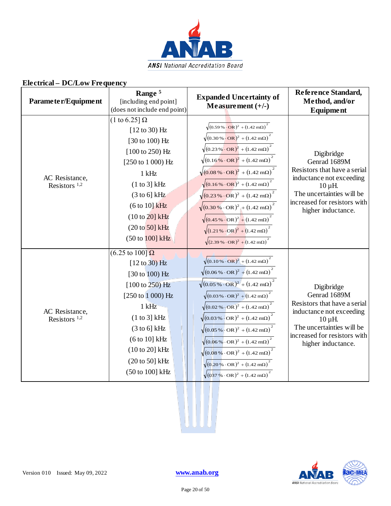

| Parameter/Equipment                        | Range <sup>5</sup><br>[including end point]<br>(does not include end point)                                                                                                                                                                                                                                      | <b>Expanded Uncertainty of</b><br>Measurement $(+/-)$                                                                                                                                                                                                                                                                                                                                                                                                                                                                                                                                                                                                                                                                         | Reference Standard,<br>Method, and/or<br><b>Equipment</b>                                                                                                                                 |
|--------------------------------------------|------------------------------------------------------------------------------------------------------------------------------------------------------------------------------------------------------------------------------------------------------------------------------------------------------------------|-------------------------------------------------------------------------------------------------------------------------------------------------------------------------------------------------------------------------------------------------------------------------------------------------------------------------------------------------------------------------------------------------------------------------------------------------------------------------------------------------------------------------------------------------------------------------------------------------------------------------------------------------------------------------------------------------------------------------------|-------------------------------------------------------------------------------------------------------------------------------------------------------------------------------------------|
| AC Resistance,<br>Resistors <sup>1,2</sup> | (1 to 6.25] $\Omega$<br>$[12 \text{ to } 30)$ Hz<br>[30 to 100) Hz<br>$[100 \text{ to } 250) \text{ Hz}$<br>$[250 \text{ to } 1000) \text{ Hz}$<br>$1$ kHz<br>(1 to 3] kHz<br>$(3 \text{ to } 6)$ kHz<br>$(6 to 10)$ kHz<br>$(10 \text{ to } 20)$ kHz<br>$(20 \text{ to } 50)$ kHz<br>$(50 \text{ to } 100)$ kHz | $\sqrt{(0.59\% \cdot \text{OR})^2 + (1.42 \text{ m}\Omega)}^2$<br>$\sqrt{(0.30\% \cdot \text{OR})^2 + (1.42 \text{ m}\Omega)}^2$<br>$\sqrt{(0.23\% \cdot \text{OR})^2 + (1.42 \text{ mA})^2}$<br>$\sqrt{(0.16\% \cdot \text{OR})^2 + (1.42 \text{ m}\Omega)}$<br>$\sqrt{(0.08\% \cdot \text{OR})^2 + (1.42 \text{ m}\Omega)}^2$<br>$\sqrt{(0.16\% \cdot \text{OR})^2 + (1.42 \text{ mA})^2}$<br>$\sqrt{(0.23\% \cdot \text{OR})^2 + (1.42 \text{ m}\Omega)^2}$<br>$\sqrt{(0.30\% \cdot \text{OR})^2 + (1.42 \text{ mA})}$<br>$\sqrt{(0.45\% \cdot \text{OR})^2 + (1.42 \text{ m}\Omega)}$<br>$\sqrt{(1.21\% \cdot \text{OR})^2 + (1.42 \text{ m}\Omega)}$<br>$\sqrt{(2.39 \cdot 0.0 \cdot \text{OR})^2 + (1.42 \cdot 0.0)^2}$ | Digibridge<br>Genrad 1689M<br>Resistors that have a serial<br>inductance not exceeding<br>$10 \mu H$ .<br>The uncertainties will be<br>increased for resistors with<br>higher inductance. |
| AC Resistance,<br>Resistors $1,2$          | $(6.25 \text{ to } 100)$ $\Omega$<br>$[12 \text{ to } 30)$ Hz<br>[30 to 100) Hz<br>$[100 \text{ to } 250) \text{ Hz}$<br>[250 to 1 000) Hz<br>$1$ kHz<br>(1 to 3] kHz<br>$(3 \text{ to } 6)$ kHz<br>(6 to 10] kHz<br>$(10 \text{ to } 20)$ kHz<br>$(20 \text{ to } 50)$ kHz<br>(50 to 100] kHz                   | $\sqrt{(0.10\% \cdot \text{OR})^2 + (1.42 \text{ m}\Omega)}^2$<br>$\sqrt{(0.06\% \cdot \text{OR})^2 + (1.42 \text{ m}\Omega)}$<br>$\sqrt{(0.05\% \cdot \text{OR})^2 + (1.42 \text{ mA})^2}$<br>$\sqrt{(0.03\% \cdot \text{OR})^2 + (1.42 \text{ mA})^2}$<br>$\sqrt{(0.02\% \cdot \text{OR})^2 + (1.42 \text{ mA})^2}$<br>$\sqrt{(0.03\% \cdot \text{OR})^2 + (1.42 \text{ m}\Omega)}$<br>$\sqrt{(0.05\% \cdot \text{OR})^2 + (1.42 \text{ m}\Omega)}^2$<br>$\sqrt{(0.06\% \cdot \text{OR})^2 + (1.42 \text{ mA})}$<br>$\sqrt{(0.08\% \cdot \text{OR})^2 + (1.42 \text{ m}\Omega)}^2$<br>$\sqrt{(0.20\% \cdot \text{OR})^2 + (1.42 \text{ mA})^2}$<br>$\sqrt{(037\% \cdot \text{OR})^2 + (1.42 \text{ m}\Omega)}^2$            | Digibridge<br>Genrad 1689M<br>Resistors that have a serial<br>inductance not exceeding<br>$10 \mu H$ .<br>The uncertainties will be<br>increased for resistors with<br>higher inductance. |



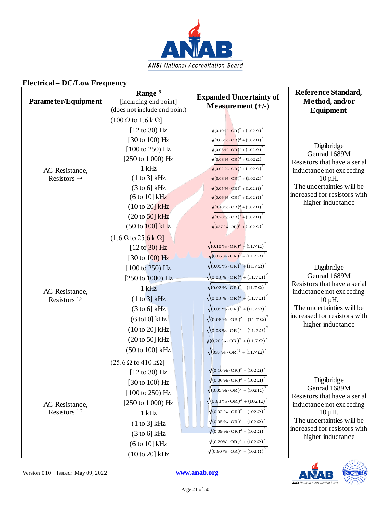

| Parameter/Equipment                        | Range <sup>5</sup><br>[including end point]<br>(does not include end point)                                                                                                                                                                                                                                           | <b>Expanded Uncertainty of</b><br>Measurement $(+/-)$                                                                                                                                                                                                                                                                                                                                                                                                                                                                                                                                                                                                      | Reference Standard,<br>Method, and/or<br><b>Equipment</b>                                                                                                                                |
|--------------------------------------------|-----------------------------------------------------------------------------------------------------------------------------------------------------------------------------------------------------------------------------------------------------------------------------------------------------------------------|------------------------------------------------------------------------------------------------------------------------------------------------------------------------------------------------------------------------------------------------------------------------------------------------------------------------------------------------------------------------------------------------------------------------------------------------------------------------------------------------------------------------------------------------------------------------------------------------------------------------------------------------------------|------------------------------------------------------------------------------------------------------------------------------------------------------------------------------------------|
| AC Resistance,<br>Resistors <sup>1,2</sup> | $(100 \Omega \text{ to } 1.6 \text{ k } \Omega)$<br>$[12 \text{ to } 30)$ Hz<br>[30 to 100) Hz<br>[100 to 250) Hz<br>[250 to 1 000) Hz<br>$1$ kHz<br>(1 to 3] kHz<br>$(3 \text{ to } 6)$ kHz<br>(6 to 10] kHz<br>$(10 to 20)$ kHz<br>$(20 \text{ to } 50)$ kHz<br>$(50 \text{ to } 100) \text{ kHz}$                  | $\sqrt{(0.10\% \cdot \text{OR})^2 + (1.02 \,\Omega)}^2$<br>$\sqrt{(0.06\% \cdot \text{OR})^2 + (1.02 \,\Omega)}^2$<br>$\sqrt{(0.05\% \cdot \text{OR})^2 + (1.02 \,\Omega)}^2$<br>$\sqrt{(0.03\% \cdot \text{OR})^2 + (1.02 \Omega)^2}$<br>$\sqrt{(0.02\% \cdot \text{OR})^2 + (1.02 \Omega)}^2$<br>$\sqrt{(0.03\% \cdot \text{OR})^2 + (1.02 \Omega)^2}$<br>$\sqrt{(0.05\% \cdot \text{OR})^2 + (1.02 \,\Omega)}^2$<br>$\sqrt{(0.06\% \cdot \text{OR})^2 + (1.02 \,\Omega)}^2$<br>$\sqrt{(0.10\% \cdot \text{OR})^2 + (1.02 \Omega)}^2$<br>$\sqrt{(0.20\% \cdot \text{OR})^2 + (1.02 \,\Omega)}^2$<br>$\sqrt{(037\% \cdot \text{OR})^2 + (1.02 \Omega)^2}$ | Digibridge<br>Genrad 1689M<br>Resistors that have a serial<br>inductance not exceeding<br>$10 \mu H$ .<br>The uncertainties will be<br>increased for resistors with<br>higher inductance |
| AC Resistance,<br>Resistors <sup>1,2</sup> | $(1.6 \Omega \text{ to } 25.6 \text{ k } \Omega)$<br>$[12 \text{ to } 30)$ Hz<br>[30 to 100) Hz<br>$[100 \text{ to } 250) \text{ Hz}$<br>[250 to 1000) Hz<br>$1$ kHz<br>(1 to 3] kHz<br>$(3 \text{ to } 6)$ kHz<br>$(6 \text{ to } 10] \text{ kHz}$<br>(10 to 20] kHz<br>$(20 \text{ to } 50)$ kHz<br>(50 to 100] kHz | $\sqrt{(0.10\% \cdot \text{OR})^2 + (11.7 \Omega)^2}$<br>$\sqrt{(0.06\% \cdot \text{OR})^2 + (11.7 \Omega)^2}$<br>$\sqrt{(0.05\% \cdot \text{OR})^2 + (11.7 \Omega)^2}$<br>$\sqrt{(0.03\% \cdot \text{OR})^2 + (11.7 \Omega)^2}$<br>$\sqrt{(0.02\% \cdot \text{OR})^2 + (11.7 \Omega)}$<br>$\sqrt{(0.03\% \cdot \text{OR})^2 + (11.7 \Omega)^2}$<br>$\sqrt{(0.05\% \cdot \text{OR})^2 + (11.7 \Omega)^2}$<br>$\sqrt{(0.06\% \cdot \text{OR})^2 + (11.7 \Omega)}^2$<br>$\sqrt{(0.08\% \cdot \text{OR})^2 + (11.7 \Omega)^2}$<br>$\sqrt{(0.20\% \cdot \text{OR})^2 + (11.7 \Omega)^2}$<br>$\sqrt{(037\% \cdot \text{OR})^2 + (11.7 \Omega)^2}$               | Digibridge<br>Genrad 1689M<br>Resistors that have a serial<br>inductance not exceeding<br>$10 \mu H$ .<br>The uncertainties will be<br>increased for resistors with<br>higher inductance |
| AC Resistance,<br>Resistors <sup>1,2</sup> | $(25.6 \Omega \text{ to } 410 \text{ k}\Omega)$<br>$[12 \text{ to } 30)$ Hz<br>[30 to 100) Hz<br>$[100 \text{ to } 250) \text{ Hz}$<br>$[250 \text{ to } 1000) \text{ Hz}$<br>$1$ kHz<br>(1 to 3] kHz<br>$(3 \text{ to } 6)$ kHz<br>(6 to 10] kHz<br>(10 to 20] kHz                                                   | $\sqrt{(0.10\% \cdot \text{OR})^2 + (102 \,\Omega)}^2$<br>$\sqrt{(0.06\% \cdot \text{OR})^2 + (102 \,\Omega)}^2$<br>$\sqrt{(0.05\% \cdot \text{OR})^2 + (102 \,\Omega)}$<br>$\sqrt{(0.03\% \cdot \text{OR})^2 + (102 \,\Omega)}^2$<br>$\sqrt{(0.02\% \cdot \text{OR})^2 + (102 \Omega)^2}$<br>$\sqrt{(0.05\% \cdot \text{OR})^2 + (102 \Omega)^2}$<br>$\sqrt{(0.09\% \cdot \text{OR})^2 + (102 \,\Omega)}^2$<br>$\sqrt{(0.20\% \cdot \text{OR})^2 + (102 \,\Omega)}^2$<br>$\sqrt{(0.60\% \cdot \text{OR})^2 + (102 \,\Omega)}^2$                                                                                                                           | Digibridge<br>Genrad 1689M<br>Resistors that have a serial<br>inductance not exceeding<br>$10 \mu H$ .<br>The uncertainties will be<br>increased for resistors with<br>higher inductance |

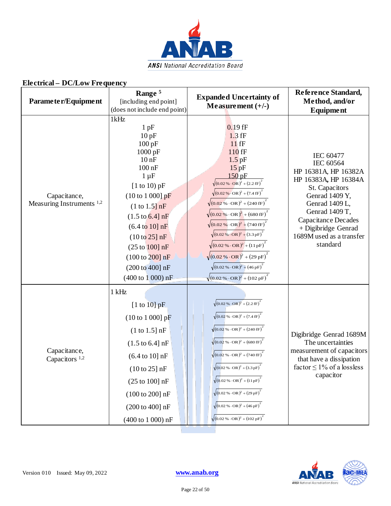

| Parameter/Equipment                                  | Range <sup>5</sup><br>[including end point]<br>(does not include end point)                                                                                                                                                                                                                                                                                                            | <b>Expanded Uncertainty of</b><br>Measurement $(+/-)$                                                                                                                                                                                                                                                                                                                                                                                                                                                                                                                                                                                                                                         | Reference Standard,<br>Method, and/or<br>Equipment                                                                                                                                                                                   |
|------------------------------------------------------|----------------------------------------------------------------------------------------------------------------------------------------------------------------------------------------------------------------------------------------------------------------------------------------------------------------------------------------------------------------------------------------|-----------------------------------------------------------------------------------------------------------------------------------------------------------------------------------------------------------------------------------------------------------------------------------------------------------------------------------------------------------------------------------------------------------------------------------------------------------------------------------------------------------------------------------------------------------------------------------------------------------------------------------------------------------------------------------------------|--------------------------------------------------------------------------------------------------------------------------------------------------------------------------------------------------------------------------------------|
| Capacitance,<br>Measuring Instruments <sup>1,2</sup> | 1kHz<br>1pF<br>10pF<br>100 pF<br>1000 pF<br>$10$ nF<br>$100$ nF<br>$1 \mu F$<br>[1 to 10) $pF$<br>$(10 \text{ to } 1000) \text{ pF}$<br>(1 to 1.5] nF<br>$(1.5 \text{ to } 6.4] \text{ nF}$<br>$(6.4 \text{ to } 10] \text{ nF}$<br>(10 to 25) nF<br>(25 to 100] nF<br>$(100 \text{ to } 200) \text{ nF}$<br>$(200 \text{ to } 400) \text{ nF}$<br>$(400 \text{ to } 1000) \text{ nF}$ | $0.19$ fF<br>$1.3$ fF<br>$11$ fF<br>110 fF<br>$1.5$ pF<br>15pF<br>$150$ pF<br>$\sqrt{(0.02\% \cdot \text{OR})^2 + (2.2 \text{ fF})^2}$<br>$\sqrt{(0.02\% \cdot \text{OR})^2 + (7.4 \text{ fF})^2}$<br>$\sqrt{(0.02\% \cdot \text{OR})^2 + (240 \text{ fF})^2}$<br>$\sqrt{(0.02\% \cdot \text{OR})^2 + (680 \text{ fF})^2}$<br>$\sqrt{(0.02\% \cdot \text{OR})^2 + (740 \text{ fF})^2}$<br>$\sqrt{(0.02\% \cdot \text{OR})^2 + (3.3 \text{pF})^2}$<br>$\sqrt{(0.02\% \cdot \text{OR})^2 + (11 \text{pF})^2}$<br>$\sqrt{(0.02\% \cdot \text{OR})^2 + (29 \text{ pF})^2}$<br>$\sqrt{(0.02\% \cdot \text{OR})^2 + (46 \text{ pF})^2}$<br>$\sqrt{(0.02\% \cdot \text{OR})^2 + (102 \text{ pF})^2}$ | IEC 60477<br>IEC 60564<br>HP 16381A, HP 16382A<br>HP 16383A, HP 16384A<br>St. Capacitors<br>Genrad 1409 Y,<br>Genrad 1409 L,<br>Genrad 1409 T,<br>Capacitance Decades<br>+ Digibridge Genrad<br>1689M used as a transfer<br>standard |
| Capacitance,<br>Capacitors <sup>1,2</sup>            | $1$ kHz<br>$[1 \text{ to } 10] \text{ pF}$<br>$(10 \text{ to } 1000) \text{ pF}$<br>$(1 to 1.5]$ nF<br>$(1.5 \text{ to } 6.4] \text{ nF}$<br>$(6.4 \text{ to } 10] \text{ nF}$<br>$(10 to 25]$ nF<br>$(25 \text{ to } 100) \text{ nF}$<br>$(100 \text{ to } 200) \text{ nF}$<br>$(200 \text{ to } 400) \text{ nF}$<br>(400 to 1 000) nF                                                | $\sqrt{(0.02\% \cdot \text{OR})^2 + (2.2 \text{ fF})^2}$<br>$\sqrt{(0.02\% \cdot \text{OR})^2 + (7.4 \text{ fF})^2}$<br>$\sqrt{(0.02\% \cdot \text{OR})^2 + (240 \text{ fF})^2}$<br>$\sqrt{(0.02\% \cdot \text{OR})^2 + (680 \text{ fF})^2}$<br>$\sqrt{(0.02\% \cdot \text{OR})^2 + (740 \text{ fF})^2}$<br>$\sqrt{(0.02\% \cdot \text{OR})^2 + (3.3 \text{pF})^2}$<br>$\sqrt{(0.02\% \cdot \text{OR})^2 + (11 \text{pF})^2}$<br>$\sqrt{(0.02\% \cdot \text{OR})^2 + (29 \text{ pF})^2}$<br>$\sqrt{(0.02\% \cdot \text{OR})^2 + (46 \text{ pF})^2}$<br>$\sqrt{(0.02\% \cdot \text{OR})^2 + (102 \text{ pF})^2}$                                                                               | Digibridge Genrad 1689M<br>The uncertainties<br>measurement of capacitors<br>that have a dissipation<br>factor $\leq 1\%$ of a lossless<br>capacitor                                                                                 |

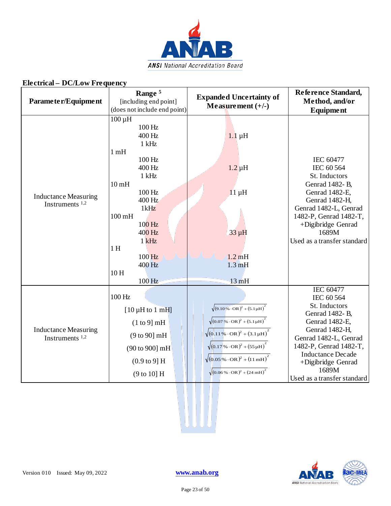

| EIGGIRAI – DU/LOW FIGYUGIRY                      |                                                                                                                                                                                                                                |                                                                                                                                                                                                                                                                                                                                                                                |                                                                                                                                                                                                                                                     |
|--------------------------------------------------|--------------------------------------------------------------------------------------------------------------------------------------------------------------------------------------------------------------------------------|--------------------------------------------------------------------------------------------------------------------------------------------------------------------------------------------------------------------------------------------------------------------------------------------------------------------------------------------------------------------------------|-----------------------------------------------------------------------------------------------------------------------------------------------------------------------------------------------------------------------------------------------------|
| Parameter/Equipment                              | Range <sup>5</sup><br>[including end point]<br>(does not include end point)                                                                                                                                                    | <b>Expanded Uncertainty of</b><br>Measurement $(+/-)$                                                                                                                                                                                                                                                                                                                          | Reference Standard,<br>Method, and/or<br>Equipment                                                                                                                                                                                                  |
| <b>Inductance Measuring</b><br>Instruments $1,2$ | $100 \mu H$<br>100 Hz<br>400 Hz<br>$1$ kHz<br>1mH<br>100 Hz<br>400 Hz<br>$1$ kHz<br>10 <sub>mH</sub><br>100 Hz<br>400 Hz<br>1kHz<br>$100 \text{ mH}$<br>100 Hz<br>400 Hz<br>$1$ kHz<br>1H<br>100 Hz<br>400 Hz<br>10H<br>100 Hz | $1.1 \mu H$<br>$1.2 \mu H$<br>$11 \mu H$<br>$33 \mu H$<br>$1.2 \text{ mH}$<br>$1.3 \text{ mH}$<br>13mH                                                                                                                                                                                                                                                                         | IEC 60477<br>IEC 60 564<br>St. Inductors<br>Genrad 1482-B,<br>Genrad 1482-E,<br>Genrad 1482-H,<br>Genrad 1482-L, Genrad<br>1482-P, Genrad 1482-T,<br>+Digibridge Genrad<br>1689M<br>Used as a transfer standard                                     |
| <b>Inductance Measuring</b><br>Instruments $1,2$ | 100 Hz<br>$[10 \mu H$ to 1 mH<br>(1 to 9) mH<br>$(9 to 90)$ mH<br>(90 to 900] mH<br>$(0.9 \text{ to } 9) \text{ H}$<br>(9 to 10] H                                                                                             | $\sqrt{(9.10\% \cdot \text{OR})^2 + (5.1 \mu \text{H})^2}$<br>$\sqrt{(0.07\% \cdot \text{OR})^2 + (5.1 \mu \text{H})^2}$<br>$\sqrt{(0.11\% \cdot \text{OR})^2 + (3.1\,\mu\text{H})}^2$<br>$\sqrt{(0.17 \times \cdot \text{OR})^2 + (55 \mu \text{H})^2}$<br>$\sqrt{(0.05\% \cdot \text{OR})^2 + (11 \text{ mH})^2}$<br>$\sqrt{(0.06\% \cdot \text{OR})^2 + (24 \text{ mH})^2}$ | <b>IEC 60477</b><br>IEC 60 564<br>St. Inductors<br>Genrad 1482- B,<br>Genrad 1482-E,<br>Genrad 1482-H,<br>Genrad 1482-L, Genrad<br>1482-P, Genrad 1482-T,<br><b>Inductance Decade</b><br>+Digibridge Genrad<br>1689M<br>Used as a transfer standard |



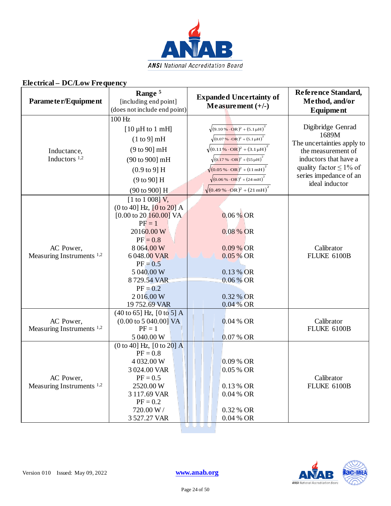

| Parameter/Equipment                               | Range <sup>5</sup><br>[including end point]<br>(does not include end point)                                                                                                                                                                                                        | <b>Expanded Uncertainty of</b><br>Measurement $(+/-)$                                                                                                                                                                                                                                                                                                                                                                              | Reference Standard,<br>Method, and/or<br>Equipment                                                                                                                                  |
|---------------------------------------------------|------------------------------------------------------------------------------------------------------------------------------------------------------------------------------------------------------------------------------------------------------------------------------------|------------------------------------------------------------------------------------------------------------------------------------------------------------------------------------------------------------------------------------------------------------------------------------------------------------------------------------------------------------------------------------------------------------------------------------|-------------------------------------------------------------------------------------------------------------------------------------------------------------------------------------|
| Inductance,<br>Inductors <sup>1,2</sup>           | $100 \text{ Hz}$<br>$[10 \mu H$ to 1 mH]<br>(1 to 9) mH<br>(9 to 90) mH<br>(90 to 900] mH<br>$(0.9 \text{ to } 9)$ H<br>(9 to 90] H<br>$(90 \text{ to } 900) \text{ H}$                                                                                                            | $\sqrt{(9.10\% \cdot \text{OR})^2 + (5.1 \mu \text{H})^2}$<br>$\sqrt{(0.07\% \cdot \text{OR})^2 + (5.1 \mu \text{H})^2}$<br>$\sqrt{(0.11\% \cdot \text{OR})^2 + (3.1\mu\text{H})^2}$<br>$\sqrt{(0.17\% \cdot \text{OR})^2 + (55\,\mu\text{H})}^2$<br>$\sqrt{(0.05\% \cdot \text{OR})^2 + (11 \text{ mH})^2}$<br>$\sqrt{(0.06\% \cdot \text{OR})^2 + (24 \text{ mH})^2}$<br>$\sqrt{(0.49\% \cdot \text{OR})^2 + (21 \text{ mH})^2}$ | Digibridge Genrad<br>1689M<br>The uncertainties apply to<br>the measurement of<br>inductors that have a<br>quality factor $\leq 1\%$ of<br>series impedance of an<br>ideal inductor |
| AC Power,<br>Measuring Instruments <sup>1,2</sup> | $[1 \text{ to } 1 \text{ 008}]$ V,<br>$(0 to 40]$ Hz, $[0 to 20]$ A<br>$[0.00 \text{ to } 20 \text{ 160.00}] \text{ VA}$<br>$PF = 1$<br>20160.00 W<br>$PF = 0.8$<br>8 064.00 W<br>6048.00 VAR<br>$PF = 0.5$<br>5 040.00 W<br>8729.54 VAR<br>$PF = 0.2$<br>2016.00W<br>19752.69 VAR | $0.06\%$ OR<br>0.08 % OR<br>0.09 % OR<br>0.05 % OR<br>0.13 % OR<br>0.06 % OR<br>0.32 % OR<br>$0.04-%$ OR                                                                                                                                                                                                                                                                                                                           | Calibrator<br>FLUKE 6100B                                                                                                                                                           |
| AC Power,<br>Measuring Instruments <sup>1,2</sup> | $(40 \text{ to } 65]$ Hz, $[0 \text{ to } 5]$ A<br>$(0.00 \text{ to } 5040.00] \text{ VA}$<br>$PF = 1$<br>5 040.00 W                                                                                                                                                               | $0.04 %$ OR<br>0.07 % OR                                                                                                                                                                                                                                                                                                                                                                                                           | Calibrator<br>FLUKE 6100B                                                                                                                                                           |
| AC Power,<br>Measuring Instruments <sup>1,2</sup> | $(0 to 40]$ Hz, $[0 to 20]$ A<br>$PF = 0.8$<br>4 032.00 W<br>3 024.00 VAR<br>$PF = 0.5$<br>2520.00 W<br>3117.69 VAR<br>$PF = 0.2$<br>720.00 W /<br>3 527.27 VAR                                                                                                                    | 0.09 % OR<br>0.05 % OR<br>0.13 % OR<br>0.04 % OR<br>0.32 % OR<br>0.04 % OR                                                                                                                                                                                                                                                                                                                                                         | Calibrator<br>FLUKE 6100B                                                                                                                                                           |



i di serie di Serie di Serie di Serie di Serie di Serie di Serie di Serie di Serie di Serie di Serie di Serie

т,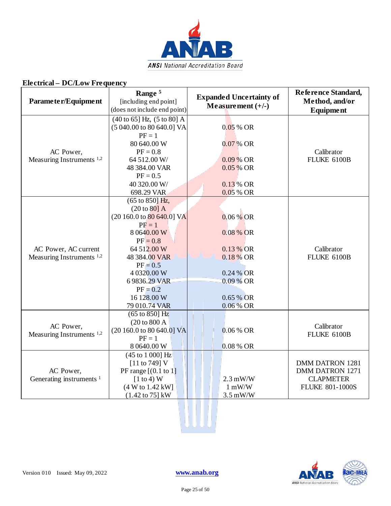

| Parameter/Equipment                                          | Range <sup>5</sup><br>[including end point]<br>(does not include end point)                                                                                                                                                       | <b>Expanded Uncertainty of</b><br>Measurement $(+/-)$                                                  | Reference Standard,<br>Method, and/or<br>Equipment                                      |
|--------------------------------------------------------------|-----------------------------------------------------------------------------------------------------------------------------------------------------------------------------------------------------------------------------------|--------------------------------------------------------------------------------------------------------|-----------------------------------------------------------------------------------------|
| AC Power,<br>Measuring Instruments <sup>1,2</sup>            | $(40 \text{ to } 65)$ Hz, $(5 \text{ to } 80)$ A<br>(5 040.00 to 80 640.0] VA<br>$PF = 1$<br>80 640.00 W<br>$PF = 0.8$<br>64 512.00 W/<br>48 384.00 VAR<br>$PF = 0.5$<br>40 320.00 W/<br>698.29 VAR                               | 0.05 % OR<br>$0.07\%$ OR<br>0.09 % OR<br>0.05 % OR<br>0.13 % OR<br>0.05 % OR                           | Calibrator<br>FLUKE 6100B                                                               |
| AC Power, AC current<br>Measuring Instruments <sup>1,2</sup> | (65 to 850) Hz,<br>(20 to 80] A<br>(20 160.0 to 80 640.0] VA<br>$PF = 1$<br>8 0640.00 W<br>$PF = 0.8$<br>64 512.00 W<br>48 384.00 VAR<br>$PF = 0.5$<br>4 0320.00 W<br>6 9836.29 VAR<br>$PF = 0.2$<br>16 128.00 W<br>79 010.74 VAR | $0.06\%$ OR<br>0.08 % OR<br>0.13 % OR<br>0.18 % OR<br>0.24 % OR<br>0.09 % OR<br>0.65 % OR<br>0.06 % OR | Calibrator<br>FLUKE 6100B                                                               |
| AC Power,<br>Measuring Instruments <sup>1,2</sup>            | $\overline{(65}$ to 850] Hz<br>(20 to 800 A<br>$(20160.0 \text{ to } 80640.0] \text{ VA}$<br>$PF = 1$<br>8 0640.00 W                                                                                                              | $0.06 %$ OR<br>0.08 % OR                                                                               | Calibrator<br>FLUKE 6100B                                                               |
| AC Power,<br>Generating instruments <sup>1</sup>             | (45 to 1 000) Hz<br>[11 to 749] V<br>PF range $[(0.1 \text{ to } 1)]$<br>$[1 \text{ to } 4)$ W<br>(4 W to 1.42 kW]<br>$(1.42 \text{ to } 75) \text{ kW}$                                                                          | $2.3$ mW/W<br>$1 \text{ mW/W}$<br>$3.5$ mW/W                                                           | <b>DMM DATRON 1281</b><br>DMM DATRON 1271<br><b>CLAPMETER</b><br><b>FLUKE 801-1000S</b> |



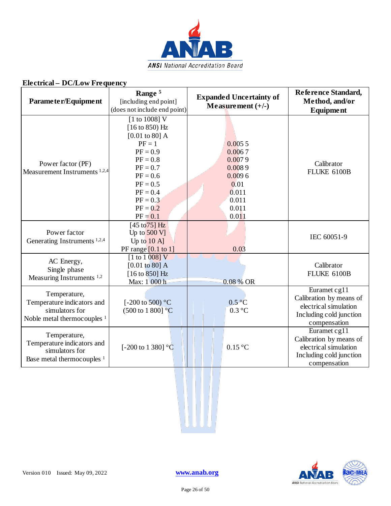

| Parameter/Equipment                                                                                    | Range <sup>5</sup><br>[including end point]<br>(does not include end point)                                                                                                                                                            | <b>Expanded Uncertainty of</b><br>Measurement $(+/-)$                                      | Reference Standard,<br>Method, and/or<br><b>Equipment</b>                                                   |
|--------------------------------------------------------------------------------------------------------|----------------------------------------------------------------------------------------------------------------------------------------------------------------------------------------------------------------------------------------|--------------------------------------------------------------------------------------------|-------------------------------------------------------------------------------------------------------------|
| Power factor (PF)<br>Measurement Instruments <sup>1,2,4</sup>                                          | [1 to 1008] $\overline{V}$<br>$[16 \text{ to } 850) \text{ Hz}$<br>$[0.01 \text{ to } 80]$ A<br>$PF = 1$<br>$PF = 0.9$<br>$PF = 0.8$<br>$PF = 0.7$<br>$PF = 0.6$<br>$PF = 0.5$<br>$PF = 0.4$<br>$PF = 0.3$<br>$PF = 0.2$<br>$PF = 0.1$ | 0.0055<br>0.0067<br>0.0079<br>0.0089<br>0.0096<br>0.01<br>0.011<br>0.011<br>0.011<br>0.011 | Calibrator<br>FLUKE 6100B                                                                                   |
| Power factor<br>Generating Instruments <sup>1,2,4</sup>                                                | [45 to $75$ ] Hz<br>Up to $500$ V]<br>Up to $10 \text{ A}$<br>PF range $[0.1$ to 1]                                                                                                                                                    | 0.03                                                                                       | IEC 60051-9                                                                                                 |
| AC Energy,<br>Single phase<br>Measuring Instruments <sup>1,2</sup>                                     | $[1 \text{ to } 1 \text{ 008}] V$<br>$[0.01 \text{ to } 80]$ A<br>$[16 \text{ to } 850]$ Hz<br>Max: 1 000 h                                                                                                                            | 0.08 % OR                                                                                  | Calibrator<br>FLUKE 6100B                                                                                   |
| Temperature,<br>Temperature indicators and<br>simulators for<br>Noble metal thermocouples <sup>1</sup> | [-200 to 500) $^{\circ}$ C<br>$(500 \text{ to } 1800)$ °C                                                                                                                                                                              | $0.5\degree C$<br>$0.3 \degree C$                                                          | Euramet cg11<br>Calibration by means of<br>electrical simulation<br>Including cold junction<br>compensation |
| Temperature,<br>Temperature indicators and<br>simulators for<br>Base metal thermocouples <sup>1</sup>  | [-200 to 1 380] $\degree$ C                                                                                                                                                                                                            | $0.15\text{ °C}$                                                                           | Euramet cg11<br>Calibration by means of<br>electrical simulation<br>Including cold junction<br>compensation |

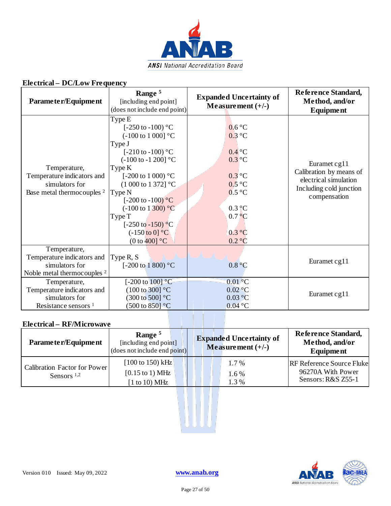

| Parameter/Equipment                                                                                    | Range <sup>5</sup><br>[including end point]<br>(does not include end point)                                                                                                                                                                                                                                                                                                       | <b>Expanded Uncertainty of</b><br>Measurement $(+/-)$                                                                                     | Reference Standard,<br>Method, and/or<br><b>Equipment</b>                                                   |
|--------------------------------------------------------------------------------------------------------|-----------------------------------------------------------------------------------------------------------------------------------------------------------------------------------------------------------------------------------------------------------------------------------------------------------------------------------------------------------------------------------|-------------------------------------------------------------------------------------------------------------------------------------------|-------------------------------------------------------------------------------------------------------------|
| Temperature,<br>Temperature indicators and<br>simulators for<br>Base metal thermocouples <sup>2</sup>  | Type E<br>[ $-250$ to $-100$ ) °C<br>$(-100 \text{ to } 1000]$ °C<br>Type J<br>[ $-210$ to $-100$ ) °C<br>$(-100 \text{ to } -1200)$ °C<br>Type K<br>[-200 to 1 000) $^{\circ}$ C<br>$(1000 \text{ to } 1372)$ °C<br>Type N<br>[ $-200$ to $-100$ ) °C<br>$(-100 \text{ to } 1300)$ °C<br>Type T<br>$[-250 \text{ to } -150)$ °C<br>$(-150 \text{ to } 0]$ °C<br>(0 to $400$ ] °C | 0.6 °C<br>0.3 °C<br>$0.4$ °C<br>$0.3$ °C<br>$0.3$ °C<br>$0.5\text{ °C}$<br>0.5 °C<br>$0.3\degree$ C<br>$0.7\degree$ C<br>0.3 °C<br>0.2 °C | Euramet cg11<br>Calibration by means of<br>electrical simulation<br>Including cold junction<br>compensation |
| Temperature,<br>Temperature indicators and<br>simulators for<br>Noble metal thermocouples <sup>2</sup> | Type R, S<br>[-200 to 1 800) $^{\circ}$ C                                                                                                                                                                                                                                                                                                                                         | 0.8 °C                                                                                                                                    | Euramet cg11                                                                                                |
| Temperature,<br>Temperature indicators and<br>simulators for<br>Resistance sensors <sup>1</sup>        | [-200 to $100$ ] °C<br>$(100 \text{ to } 300]$ °C<br>$(300 \text{ to } 500)$ °C<br>$(500 \text{ to } 850)$ °C                                                                                                                                                                                                                                                                     | $0.01\,^{\circ}\mathrm{C}$<br>$0.02\text{ °C}$<br>0.03 °C<br>$0.04$ °C                                                                    | Euramet cg11                                                                                                |

| Parameter/Equipment                           | Range <sup>5</sup><br>[including end point]<br>$\left(\frac{1}{2} \text{ does not include end point}\right)$ | <b>Expanded Uncertainty of</b><br>Measurement $(+/-)$ | <b>Reference Standard,</b><br>Method, and/or<br><b>Equipment</b>            |
|-----------------------------------------------|--------------------------------------------------------------------------------------------------------------|-------------------------------------------------------|-----------------------------------------------------------------------------|
| Calibration Factor for Power<br>Sensors $1,2$ | [100 to 150) kHz<br>$[0.15 \text{ to } 1) \text{ MHz}$<br>$[1 \text{ to } 10) \text{ MHz}$                   | $1.7\%$<br>1.6%<br>1.3%                               | <b>RF Reference Source Fluke</b><br>96270A With Power<br>Sensors: R&S Z55-1 |



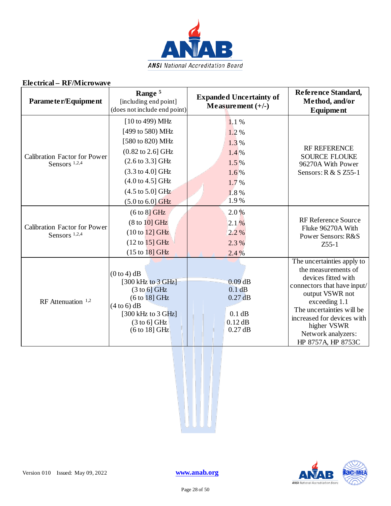

| Parameter/Equipment                                             | Range <sup>5</sup><br>[including end point]<br>(does not include end point)                                                                                                                                                                                                        | <b>Expanded Uncertainty of</b><br>Measurement $(+/-)$                           | Reference Standard,<br>Method, and/or<br>Equipment                                                                                                                                                                                                                |
|-----------------------------------------------------------------|------------------------------------------------------------------------------------------------------------------------------------------------------------------------------------------------------------------------------------------------------------------------------------|---------------------------------------------------------------------------------|-------------------------------------------------------------------------------------------------------------------------------------------------------------------------------------------------------------------------------------------------------------------|
| <b>Calibration Factor for Power</b><br>Sensors <sup>1,2,4</sup> | [10 to 499) MHz<br>[499 to 580) MHz<br>[580 to 820) MHz<br>$(0.82 \text{ to } 2.6) \text{ GHz}$<br>$(2.6 \text{ to } 3.3) \text{ GHz}$<br>$(3.3 \text{ to } 4.0] \text{ GHz}$<br>$(4.0 \text{ to } 4.5)$ GHz<br>$(4.5 \text{ to } 5.0] \text{ GHz}$<br>$(5.0 \text{ to } 6.0]$ GHz | 1.1%<br>1.2%<br>1.3%<br>$1.4\%$<br>1.5%<br>$1.6\%$<br>1.7%<br>1.8%<br>1.9%      | <b>RF REFERENCE</b><br><b>SOURCE FLOUKE</b><br>96270A With Power<br>Sensors: R & S Z55-1                                                                                                                                                                          |
| <b>Calibration Factor for Power</b><br>Sensors <sup>1,2,4</sup> | $(6 to 8)$ GHz<br>(8 to 10] GHz<br>$(10 to 12)$ GHz<br>$(12 to 15)$ GHz<br>(15 to 18] GHz                                                                                                                                                                                          | 2.0%<br>2.1%<br>2.2%<br>2.3%<br>2.4%                                            | RF Reference Source<br>Fluke 96270A With<br>Power Sensors: R&S<br>$Z$ 55-1                                                                                                                                                                                        |
| RF Attenuation $1,2$                                            | $(0 to 4)$ dB<br>$[300 \text{ kHz}]$ to $3 \text{ GHz}$<br>$(3 \text{ to } 6)$ GHz<br>(6 to 18] GHz<br>$(4 to 6)$ dB<br>[300 kHz to $3$ GHz]<br>$(3 \text{ to } 6)$ GHz<br>(6 to 18] GHz                                                                                           | $0.09$ <sub>dB</sub><br>0.1 dB<br>$0.27$ dB<br>0.1 dB<br>$0.12$ dB<br>$0.27$ dB | The uncertainties apply to<br>the measurements of<br>devices fitted with<br>connectors that have input/<br>output VSWR not<br>exceeding 1.1<br>The uncertainties will be<br>increased for devices with<br>higher VSWR<br>Network analyzers:<br>HP 8757A, HP 8753C |

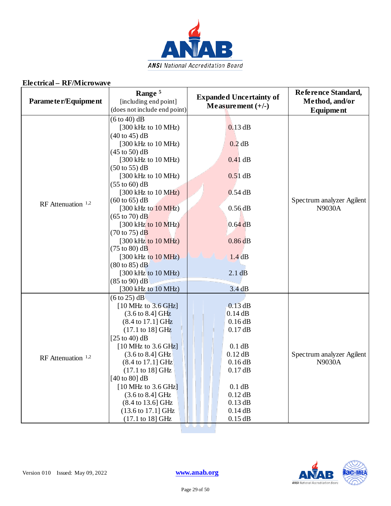

| Parameter/Equipment  | Range <sup>5</sup><br>[including end point]<br>(does not include end point)                                                                                                                                                                                                                                                                                                                                                                                                                                                                                                                                                                                                                                                                                                          | <b>Expanded Uncertainty of</b><br>Measurement $(+/-)$                                                                                                         | Reference Standard,<br>Method, and/or<br><b>Equipment</b> |
|----------------------|--------------------------------------------------------------------------------------------------------------------------------------------------------------------------------------------------------------------------------------------------------------------------------------------------------------------------------------------------------------------------------------------------------------------------------------------------------------------------------------------------------------------------------------------------------------------------------------------------------------------------------------------------------------------------------------------------------------------------------------------------------------------------------------|---------------------------------------------------------------------------------------------------------------------------------------------------------------|-----------------------------------------------------------|
| RF Attenuation $1,2$ | $(6 to 40)$ dB<br>$[300 \text{ kHz}$ to $10 \text{ MHz}]$<br>$(40 \text{ to } 45) \text{ dB}$<br>$[300 \text{ kHz}$ to $10 \text{ MHz}]$<br>$(45 \text{ to } 50)$ dB<br>$[300 \text{ kHz}$ to $10 \text{ MHz}]$<br>$(50 \text{ to } 55) \text{ dB}$<br>$[300 \text{ kHz}$ to $10 \text{ MHz}]$<br>$(55 \text{ to } 60)$ dB<br>$[300 \text{ kHz}$ to $10 \text{ MHz}]$<br>$(60 \text{ to } 65)$ dB<br>$[300 \text{ kHz to } 10 \text{ MHz}]$<br>$(65 \text{ to } 70)$ dB<br>$[300 \text{ kHz}]$ to $10 \text{ MHz}$<br>$(70 \text{ to } 75) \text{ dB}$<br>$[300 \text{ kHz}$ to $10 \text{ MHz}]$<br>$(75 \text{ to } 80)$ dB<br>$[300 \text{ kHz to } 10 \text{ MHz}]$<br>$(80 \text{ to } 85)$ dB<br>$[300 \text{ kHz}]$ to $10 \text{ MHz}$ )<br>$(85 \text{ to } 90) \text{ dB}$ | $0.13$ dB<br>0.2 dB<br>$0.41$ dB<br>$0.51$ dB<br>$0.54$ dB<br>$0.56$ dB<br>0.64dB<br>$0.86$ <sub>d</sub> B<br>1.4dB<br>2.1 dB<br>3.4dB                        | Spectrum analyzer Agilent<br><b>N9030A</b>                |
| RF Attenuation $1,2$ | [300 kHz to 10 MHz)<br>$(6 \text{ to } 25) \text{ dB}$<br>$[10 \text{ MHz}$ to $3.6 \text{ GHz}]$<br>$(3.6 \text{ to } 8.4) \text{ GHz}$<br>$(8.4 \text{ to } 17.1] \text{ GHz}$<br>$(17.1 \text{ to } 18) \text{ GHz}$<br>[ $25$ to 40) dB<br>$[10 \text{ MHz}$ to 3.6 GHz]<br>$(3.6 \text{ to } 8.4) \text{ GHz}$<br>(8.4 to 17.1] GHz<br>(17.1 to 18] GHz<br>[40 to 80] $dB$<br>[10 MHz to 3.6 GHz]<br>(3.6 to 8.4] GHz<br>$(8.4 \text{ to } 13.6) \text{ GHz}$<br>(13.6 to 17.1] GHz<br>(17.1 to 18] GHz                                                                                                                                                                                                                                                                         | $0.13$ dB<br>0.14dB<br>0.16 dB<br>$0.17$ dB<br>0.1 dB<br>$0.12$ dB<br>0.16 dB<br>0.17dB<br>0.1 dB<br>$0.12$ dB<br>$0.13$ dB<br>0.14 dB<br>$0.15$ dB<br>UUU UU | Spectrum analyzer Agilent<br><b>N9030A</b>                |

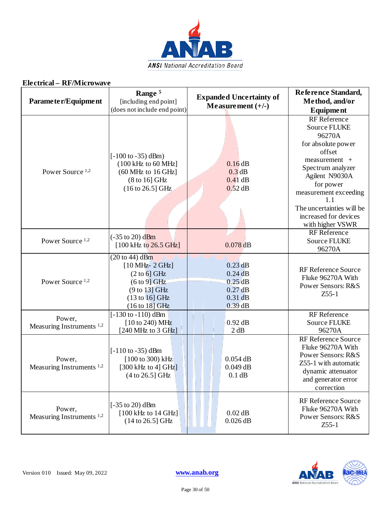

| Parameter/Equipment                            | Range <sup>5</sup><br>[including end point]<br>(does not include end point)                                                                                     | <b>Expanded Uncertainty of</b><br>Measurement $(+/-)$                                            | Reference Standard,<br>Method, and/or<br>Equipment                                                                                                                                                                     |
|------------------------------------------------|-----------------------------------------------------------------------------------------------------------------------------------------------------------------|--------------------------------------------------------------------------------------------------|------------------------------------------------------------------------------------------------------------------------------------------------------------------------------------------------------------------------|
| Power Source <sup>1,2</sup>                    | $[-100 \text{ to } -35) \text{ dBm}$<br>$(100 \text{ kHz})$ to 60 MHz]<br>$(60 \text{ MHz to } 16 \text{ GHz}]$<br>(8 to 16] GHz<br>$(16 \text{ to } 26.5)$ GHz | 0.16dB<br>$0.3$ dB<br>$0.41$ dB<br>$0.52$ dB                                                     | <b>RF</b> Reference<br><b>Source FLUKE</b><br>96270A<br>for absolute power<br>offset<br>measurement +<br>Spectrum analyzer<br>Agilent N9030A<br>for power<br>measurement exceeding<br>1.1<br>The uncertainties will be |
| Power Source <sup>1,2</sup>                    | $(-35 \text{ to } 20) \text{ dBm}$<br>$[100 \text{ kHz to } 26.5 \text{ GHz}]$                                                                                  | $0.078$ <sub>dB</sub>                                                                            | increased for devices<br>with higher VSWR<br>RF Reference<br><b>Source FLUKE</b><br>96270A                                                                                                                             |
| Power Source <sup>1,2</sup>                    | $(20 to 44)$ dBm<br>$[10 MHz - 2 GHz]$<br>$(2 \text{ to } 6)$ GHz<br>$(6 \text{ to } 9)$ GHz<br>(9 to 13) GHz<br>$(13 \text{ to } 16)$ GHz<br>$(16 to 18)$ GHz  | $0.23$ <sub>dB</sub><br>$0.24$ dB<br>$0.25$ <sub>dB</sub><br>$0.27$ dB<br>$0.31$ dB<br>$0.39$ dB | <b>RF Reference Source</b><br>Fluke 96270A With<br>Power Sensors: R&S<br>$Z$ 55-1                                                                                                                                      |
| Power,<br>Measuring Instruments $1,2$          | $[-130 \text{ to } -110) \text{ dBm}$<br>$[10 \text{ to } 240) \text{ MHz}$<br>[240 MHz to 3 GHz]                                                               | $0.92$ dB<br>2 dB                                                                                | RF Reference<br><b>Source FLUKE</b><br>96270A                                                                                                                                                                          |
| Power,<br>Measuring Instruments <sup>1,2</sup> | $[-110 \text{ to } -35) \text{ dBm}$<br>[100 to 300) kHz<br>[300 kHz to 4] GHz]<br>$(4 to 26.5)$ GHz                                                            | $0.054$ dB<br>$0.049$ dB<br>0.1 dB                                                               | RF Reference Source<br>Fluke 96270A With<br>Power Sensors: R&S<br>Z55-1 with automatic<br>dynamic attenuator<br>and generator error<br>correction                                                                      |
| Power,<br>Measuring Instruments <sup>1,2</sup> | $[-35 \text{ to } 20) \text{ dBm}$<br>$[100 \text{ kHz}$ to 14 GHz]<br>$(14 to 26.5)$ GHz                                                                       | $0.02$ dB<br>$0.026$ dB                                                                          | RF Reference Source<br>Fluke 96270A With<br>Power Sensors: R&S<br>$Z$ 55-1                                                                                                                                             |

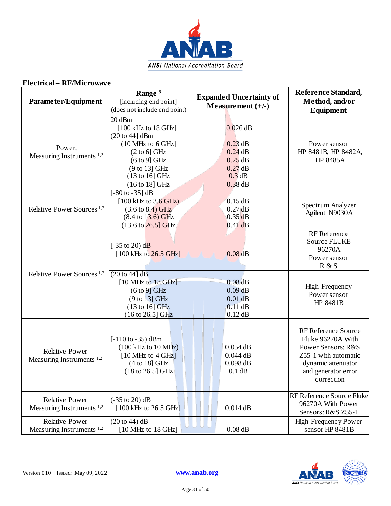

| Parameter/Equipment                                           | Range <sup>5</sup><br>[including end point]<br>(does not include end point)                                                                                                                                                | <b>Expanded Uncertainty of</b><br>Measurement $(+/-)$                                 | Reference Standard,<br>Method, and/or<br><b>Equipment</b>                                                                                         |
|---------------------------------------------------------------|----------------------------------------------------------------------------------------------------------------------------------------------------------------------------------------------------------------------------|---------------------------------------------------------------------------------------|---------------------------------------------------------------------------------------------------------------------------------------------------|
| Power,<br>Measuring Instruments <sup>1,2</sup>                | 20 dBm<br>[100 kHz to 18 GHz]<br>$(20 \text{ to } 44]$ dBm<br>$(10 \text{ MHz to } 6 \text{ GHz}]$<br>$(2 \text{ to } 6)$ GHz<br>$(6 \text{ to } 9)$ GHz<br>(9 to 13) GHz<br>$(13 \text{ to } 16)$ GHz<br>$(16 to 18)$ GHz | $0.026$ dB<br>$0.23$ dB<br>$0.24$ dB<br>$0.25$ dB<br>$0.27$ dB<br>0.3 dB<br>$0.38$ dB | Power sensor<br>HP 8481B, HP 8482A,<br>HP 8485A                                                                                                   |
| Relative Power Sources <sup>1,2</sup>                         | $[-80 \text{ to } -35] \text{ dB}$<br>$[100 \text{ kHz to } 3.6 \text{ GHz}]$<br>$(3.6 \text{ to } 8.4) \text{ GHz}$<br>$(8.4 \text{ to } 13.6) \text{ GHz}$<br>$(13.6 \text{ to } 26.5) \text{ GHz}$                      | $0.15$ dB<br>$0.27$ dB<br>$0.35$ <sub>dB</sub><br>$0.41$ dB                           | Spectrum Analyzer<br>Agilent N9030A                                                                                                               |
|                                                               | [ $-35$ to 20) dB<br>$[100 \text{ kHz to } 26.5 \text{ GHz}]$                                                                                                                                                              | $0.08$ <sub>dB</sub>                                                                  | RF Reference<br><b>Source FLUKE</b><br>96270A<br>Power sensor<br>R & S                                                                            |
| Relative Power Sources <sup>1,2</sup>                         | (20 to 44) dB<br>$[10 \text{ MHz}$ to $18 \text{ GHz}]$<br>$(6 \text{ to } 9)$ GHz<br>(9 to 13) GHz<br>$(13 \text{ to } 16)$ GHz<br>$(16 \text{ to } 26.5)$ GHz                                                            | $0.08$ <sub>dB</sub><br>$0.09$ <sub>dB</sub><br>$0.01$ dB<br>0.11 dB<br>$0.12$ dB     | <b>High Frequency</b><br>Power sensor<br>HP 8481B                                                                                                 |
| <b>Relative Power</b><br>Measuring Instruments $1,2$          | $[-110 \text{ to } -35) \text{ dBm}$<br>$(100 \text{ kHz to } 10 \text{ MHz})$<br>$[10 \text{ MHz}$ to $4 \text{ GHz}]$<br>$(4 to 18)$ GHz<br>$(18 \text{ to } 26.5)$ GHz                                                  | $0.054$ dB<br>$0.044$ dB<br>$0.098$ dB<br>0.1 dB                                      | RF Reference Source<br>Fluke 96270A With<br>Power Sensors: R&S<br>Z55-1 with automatic<br>dynamic attenuator<br>and generator error<br>correction |
| <b>Relative Power</b><br>Measuring Instruments <sup>1,2</sup> | $(-35 \text{ to } 20) \text{ dB}$<br>$[100 \text{ kHz}$ to 26.5 GHz]                                                                                                                                                       | $0.014$ dB                                                                            | RF Reference Source Fluke<br>96270A With Power<br>Sensors: R&S Z55-1                                                                              |
| <b>Relative Power</b><br>Measuring Instruments <sup>1,2</sup> | (20 to 44) dB<br>$[10 \text{ MHz}$ to $18 \text{ GHz}]$                                                                                                                                                                    | $0.08$ dB                                                                             | <b>High Frequency Power</b><br>sensor HP 8481B                                                                                                    |

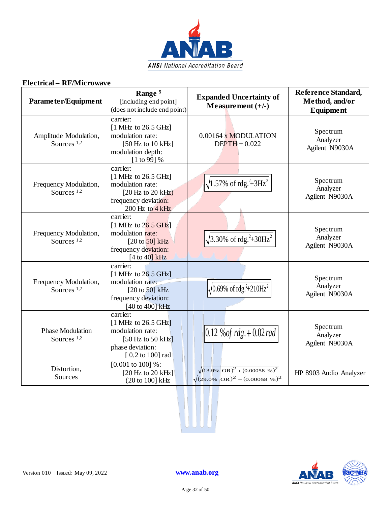

| Parameter/Equipment                      | Range <sup>5</sup><br>[including end point]<br>(does not include end point)                                                                      | <b>Expanded Uncertainty of</b><br>Measurement $(+/-)$                                                            | Reference Standard,<br>Method, and/or<br><b>Equipment</b> |
|------------------------------------------|--------------------------------------------------------------------------------------------------------------------------------------------------|------------------------------------------------------------------------------------------------------------------|-----------------------------------------------------------|
| Amplitude Modulation,<br>Sources $1,2$   | carrier:<br>$[1 \text{ MHz}$ to 26.5 GHz]<br>modulation rate:<br>[50 Hz to $10$ kHz]<br>modulation depth:<br>$[1 \text{ to } 99]$ %              | 0.00164 x MODULATION<br>$DEFTH + 0.022$                                                                          | Spectrum<br>Analyzer<br>Agilent N9030A                    |
| Frequency Modulation,<br>Sources $1,2$   | carrier:<br>$[1 \text{ MHz}$ to 26.5 GHz]<br>modulation rate:<br>$[20 Hz$ to 20 kHz)<br>frequency deviation:<br>200 Hz to 4 kHz                  | $\sqrt{1.57\% \text{ of} \text{rdg.}^2 + 3\text{Hz}^2}$                                                          | Spectrum<br>Analyzer<br>Agilent N9030A                    |
| Frequency Modulation,<br>Sources $1,2$   | carrier:<br>$[1 \text{ MHz}$ to $26.5 \text{ GHz}]$<br>modulation rate:<br>$[20 \text{ to } 50]$ kHz<br>frequency deviation:<br>[4 to 40] $kHz$  | $\sqrt{3.30\% \text{ of } \text{rdg.}^2 + 30\text{Hz}^2}$                                                        | Spectrum<br>Analyzer<br>Agilent N9030A                    |
| Frequency Modulation,<br>Sources $1,2$   | carrier:<br>$[1 \text{ MHz}$ to 26.5 GHz]<br>modulation rate:<br>$[20 \text{ to } 50]$ kHz<br>frequency deviation:<br>[40 to 400] kHz            | $\sqrt{0.69\% \text{ of } \text{rdg.}^2 + 210 \text{Hz}^2}$                                                      | Spectrum<br>Analyzer<br>Agilent N9030A                    |
| <b>Phase Modulation</b><br>Sources $1,2$ | carrier:<br>$[1 \text{ MHz}$ to 26.5 GHz]<br>modulation rate:<br>[50 Hz to 50 $kHz$ ]<br>phase deviation:<br>$[0.2 \text{ to } 100] \text{ rad}$ | $0.12\%$ of rdg. $+0.02$ rad                                                                                     | Spectrum<br>Analyzer<br>Agilent N9030A                    |
| Distortion,<br>Sources                   | $[0.001 \text{ to } 100]$ %:<br>$[20 Hz$ to 20 kHz]<br>(20 to 100] kHz                                                                           | $\sqrt{(13.9\%)}$ OR) <sup>2</sup> + (0.00058 %) <sup>2</sup><br>$\sqrt{(29.0\% \text{ OR})^2 + (0.00058 \%)^2}$ | HP 8903 Audio Analyzer                                    |



W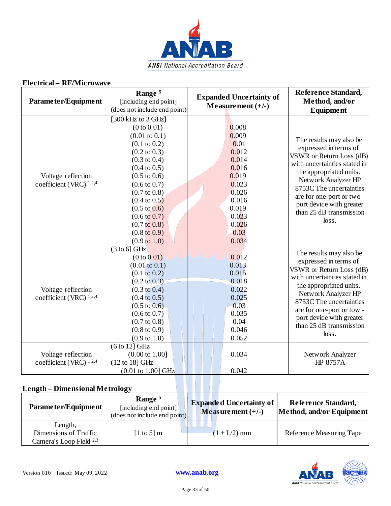

| Parameter/Equipment                             | Range <sup>5</sup><br>[including end point]<br>(does not include end point)                                                                                                                                                                                                                                                                                                                                                                        | <b>Expanded Uncertainty of</b><br>Measurement $(+/-)$                                                                             | Reference Standard,<br>Method, and/or<br><b>Equipment</b>                                                                                                                                                                                                                              |
|-------------------------------------------------|----------------------------------------------------------------------------------------------------------------------------------------------------------------------------------------------------------------------------------------------------------------------------------------------------------------------------------------------------------------------------------------------------------------------------------------------------|-----------------------------------------------------------------------------------------------------------------------------------|----------------------------------------------------------------------------------------------------------------------------------------------------------------------------------------------------------------------------------------------------------------------------------------|
| Voltage reflection<br>coefficient (VRC) $1,2,4$ | $\overline{[300 \text{ kHz}]}$ to 3 GHz]<br>(0 to 0.01)<br>$(0.01 \text{ to } 0.1)$<br>$(0.1 \text{ to } 0.2)$<br>$(0.2 \text{ to } 0.3)$<br>$(0.3 \text{ to } 0.4)$<br>$(0.4 \text{ to } 0.5)$<br>$(0.5 \text{ to } 0.6)$<br>$(0.6 \text{ to } 0.7)$<br>$(0.7 \text{ to } 0.8)$<br>$(0.4 \text{ to } 0.5)$<br>$(0.5 \text{ to } 0.6)$<br>$(0.6 \text{ to } 0.7)$<br>$(0.7 \text{ to } 0.8)$<br>$(0.8 \text{ to } 0.9)$<br>$(0.9 \text{ to } 1.0)$ | 0.008<br>0.009<br>0.01<br>0.012<br>0.014<br>0.016<br>0.019<br>0.023<br>0.026<br>0.016<br>0.019<br>0.023<br>0.026<br>0.03<br>0.034 | The results may also be<br>expressed in terms of<br>VSWR or Return Loss (dB)<br>with uncertainties stated in<br>the appropriated units.<br>Network Analyzer HP<br>8753C The uncertainties<br>are for one-port or two -<br>port device with greater<br>than 25 dB transmission<br>loss. |
| Voltage reflection<br>coefficient (VRC) 1,2,4   | $(3 \text{ to } 6)$ GHz<br>(0 to 0.01)<br>$(0.01 \text{ to } 0.1)$<br>$(0.1 \text{ to } 0.2)$<br>$(0.2 \text{ to } 0.3)$<br>$(0.3 \text{ to } 0.4)$<br>$(0.4 \text{ to } 0.5)$<br>$(0.5 \text{ to } 0.6)$<br>$(0.6 \text{ to } 0.7)$<br>$(0.7 \text{ to } 0.8)$<br>$(0.8 \text{ to } 0.9)$<br>$(0.9 \text{ to } 1.0)$                                                                                                                              | 0.012<br>0.013<br>0.015<br>0.018<br>0.022<br>0.025<br>0.03<br>0.035<br>0.04<br>0.046<br>0.052                                     | The results may also be<br>expressed in terms of<br>VSWR or Return Loss (dB)<br>with uncertainties stated in<br>the appropriated units.<br>Network Analyzer HP<br>8753C The uncertainties<br>are for one-port or tow -<br>port device with greater<br>than 25 dB transmission<br>loss. |
| Voltage reflection<br>coefficient (VRC) 1,2,4   | $(6 to 12)$ GHz<br>$(0.00 \text{ to } 1.00]$<br>(12 to 18] GHz<br>$(0.01 \text{ to } 1.00] \text{ GHz}$                                                                                                                                                                                                                                                                                                                                            | 0.034<br>0.042                                                                                                                    | Network Analyzer<br><b>HP 8757A</b>                                                                                                                                                                                                                                                    |

### **Length – Dimensional Metrology**

| Parameter/Equipment                                                    | Range <sup>5</sup><br>[including end point]<br>(does not include end point) | <b>Expanded Uncertainty of</b><br>Measurement $(+/-)$ | Reference Standard,<br>Method, and/or Equipment |
|------------------------------------------------------------------------|-----------------------------------------------------------------------------|-------------------------------------------------------|-------------------------------------------------|
| Length,<br>Dimensions of Traffic<br>Camera's Loop Field <sup>2,3</sup> | [1 to 5] m                                                                  | $(1 + L/2)$ mm                                        | Reference Measuring Tape                        |

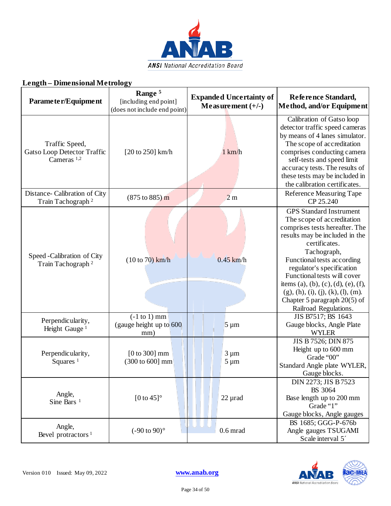

#### **Parameter/Equipment Range 5** [including end point] (does not include end point) **Expanded Uncertainty of Measurement (+/-) Reference Standard, Method, and/or Equipment** Traffic Speed, Gatso Loop Detector Traffic Cameras 1,2  $[20 \text{ to } 250]$  km/h  $1 \text{ km/h}$ Calibration of Gatso loop detector traffic speed cameras by means of 4 lanes simulator. The scope of accreditation comprises conducting camera self-tests and speed limit accuracy tests. The results of these tests may be included in the calibration certificates. Distance- Calibration of City ance- Calibration of City (875 to 885) m 2 m Reference Measuring Tape (875 to 885) 2 m Reference Measuring Tape CP 25.240 Speed -Calibration of City Train Tachograph <sup>2</sup> (10 to 70) km/h 0.45 km/h GPS Standard Instrument The scope of accreditation comprises tests hereafter. The results may be included in the certificates. Tachograph, Functional tests according regulator's specification Functional tests will cover items (a), (b), (c), (d), (e), (f),  $(g)$ , (h), (i), (j), (k), (l), (m). Chapter 5 paragraph 20(5) of Railroad Regulations. Perpendicularity, Height Gauge<sup>1</sup> (-1 to 1) mm (gauge height up to 600 mm)  $5 \mu m$ JIS B7517; BS 1643 Gauge blocks, Angle Plate WYLER Perpendicularity, Squares  $<sup>1</sup>$ </sup> [0 to 300] mm (300 to 600] mm  $3 \mu m$  $5 \mu m$ JIS B 7526; DIN 875 Height up to 600 mm Grade "00" Standard Angle plate WYLER, Gauge blocks. Angle,<br>Sine Bars<sup>1</sup> Sine Bars 1 [0 to 45]<sup>°</sup>  $\left| \begin{array}{c} | \\ | \end{array} \right|$  22 µrad DIN 2273; JIS B 7523 BS 3064 Base length up to 200 mm Grade "1" Gauge blocks, Angle gauges Angle, Bevel protractors  $^{1}$  (-90 to 90)° 0.6 mrad BS 1685; GGG-P-676b Angle gauges TSUGAMI Scale interval 5<sup> $\degree$ </sup>



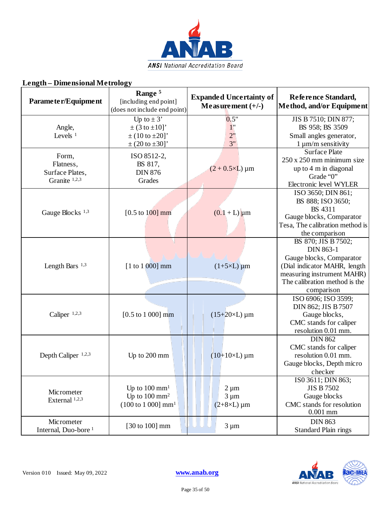

| лицки<br>$-$ DHIR INIOHAL PLUBUOGY                     |                                                                                                                     |                                                       |                                                                                                                                                                                  |
|--------------------------------------------------------|---------------------------------------------------------------------------------------------------------------------|-------------------------------------------------------|----------------------------------------------------------------------------------------------------------------------------------------------------------------------------------|
| Parameter/Equipment                                    | Range <sup>5</sup><br>[including end point]<br>(does not include end point)                                         | <b>Expanded Uncertainty of</b><br>Measurement $(+/-)$ | Reference Standard,<br>Method, and/or Equipment                                                                                                                                  |
| Angle,<br>Levels $1$                                   | Up to $\pm$ 3'<br>$\pm (3 \text{ to } \pm 10)'$<br>$\pm (10 \text{ to } \pm 20]'$<br>$\pm (20 \text{ to } \pm 30]'$ | 0.5"<br>$1$ "<br>2"<br>3"                             | JIS B 7510; DIN 877;<br>BS 958; BS 3509<br>Small angles generator,<br>$1 \mu m/m$ sensitivity                                                                                    |
| Form,<br>Flatness,<br>Surface Plates,<br>Granite 1,2,3 | ISO 8512-2,<br>BS 817,<br><b>DIN 876</b><br>Grades                                                                  | $(2 + 0.5 \times L) \mu m$                            | <b>Surface Plate</b><br>250 x 250 mm minimum size<br>up to 4 m in diagonal<br>Grade "0"<br>Electronic level WYLER                                                                |
| Gauge Blocks <sup>1,3</sup>                            | [ $0.5$ to $100$ ] mm                                                                                               | $(0.1 + L) \mu m$                                     | ISO 3650; DIN 861;<br>BS 888; ISO 3650;<br><b>BS</b> 4311<br>Gauge blocks, Comparator<br>Tesa, The calibration method is<br>the comparison                                       |
| Length Bars $1,3$                                      | $[1 to 1 000]$ mm                                                                                                   | $(1+5\times L)$ µm                                    | BS 870; JIS B 7502;<br><b>DIN 863-1</b><br>Gauge blocks, Comparator<br>(Dial indicator MAHR, length<br>measuring instrument MAHR)<br>The calibration method is the<br>comparison |
| Caliper <sup>1,2,3</sup>                               | $[0.5 \text{ to } 1000] \text{ mm}$                                                                                 | $(15+20\times L) \mu m$                               | ISO 6906; ISO 3599;<br>DIN 862; JIS B 7507<br>Gauge blocks,<br>CMC stands for caliper<br>resolution 0.01 mm.                                                                     |
| Depth Caliper <sup>1,2,3</sup>                         | Up to 200 mm                                                                                                        | $(10+10\times L) \mu m$                               | <b>DIN 862</b><br>CMC stands for caliper<br>resolution 0.01 mm.<br>Gauge blocks, Depth micro<br>checker                                                                          |
| Micrometer<br>External 1,2,3                           | Up to $100 \text{ mm}^1$<br>Up to $100 \text{ mm}^2$<br>$(100 \text{ to } 1000] \text{ mm}^1$                       | $2 \mu m$<br>$3 \mu m$<br>$(2+8\times L)$ µm          | ISO 3611; DIN 863;<br><b>JIS B 7502</b><br>Gauge blocks<br>CMC stands for resolution<br>$0.001$ mm                                                                               |
| Micrometer<br>Internal, Duo-bore <sup>1</sup>          | [30 to 100] mm                                                                                                      | $3 \mu m$                                             | <b>DIN 863</b><br><b>Standard Plain rings</b>                                                                                                                                    |

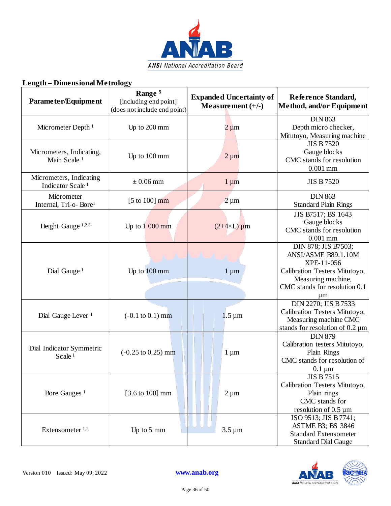

| Parameter/Equipment                                     | Range <sup>5</sup><br>[including end point]<br>(does not include end point) | <b>Expanded Uncertainty of</b><br>Measurement $(+/-)$ | Reference Standard,<br>Method, and/or Equipment                                                                                                             |
|---------------------------------------------------------|-----------------------------------------------------------------------------|-------------------------------------------------------|-------------------------------------------------------------------------------------------------------------------------------------------------------------|
| Micrometer Depth <sup>1</sup>                           | Up to 200 mm                                                                | $2 \mu m$                                             | <b>DIN 863</b><br>Depth micro checker,<br>Mitutoyo, Measuring machine                                                                                       |
| Micrometers, Indicating,<br>Main Scale <sup>1</sup>     | Up to 100 mm                                                                | $2 \mu m$                                             | <b>JIS B 7520</b><br>Gauge blocks<br>CMC stands for resolution<br>$0.001$ mm                                                                                |
| Micrometers, Indicating<br>Indicator Scale <sup>1</sup> | $\pm 0.06$ mm                                                               | $1 \mu m$                                             | <b>JIS B 7520</b>                                                                                                                                           |
| Micrometer<br>Internal, Tri-o-Bore <sup>1</sup>         | [5 to 100] $mm$                                                             | $2 \mu m$                                             | <b>DIN 863</b><br><b>Standard Plain Rings</b>                                                                                                               |
| Height Gauge <sup>1,2,3</sup>                           | Up to $1000$ mm                                                             | $(2+4\times L)$ µm                                    | JIS B7517; BS 1643<br>Gauge blocks<br>CMC stands for resolution<br>$0.001$ mm                                                                               |
| Dial Gauge <sup>1</sup>                                 | Up to 100 mm                                                                | $1 \mu m$                                             | DIN 878; JIS B7503;<br>ANSI/ASME B89.1.10M<br>XPE-11-056<br>Calibration Testers Mitutoyo,<br>Measuring machine,<br>CMC stands for resolution 0.1<br>$\mu$ m |
| Dial Gauge Lever <sup>1</sup>                           | $(-0.1 \text{ to } 0.1) \text{ mm}$                                         | $1.5 \,\mathrm{\upmu m}$                              | DIN 2270; JIS B 7533<br>Calibration Testers Mitutoyo,<br>Measuring machine CMC<br>stands for resolution of $0.2 \mu m$                                      |
| Dial Indicator Symmetric<br>Scale <sup>1</sup>          | $(-0.25 \text{ to } 0.25) \text{ mm}$                                       | $1 \mu m$                                             | <b>DIN 879</b><br>Calibration testers Mitutoyo,<br>Plain Rings<br>CMC stands for resolution of<br>$0.1 \mu m$                                               |
| Bore Gauges <sup>1</sup>                                | $[3.6 \text{ to } 100] \text{ mm}$                                          | $2 \mu m$                                             | <b>JIS B 7515</b><br>Calibration Testers Mitutoyo,<br>Plain rings<br>CMC stands for<br>resolution of $0.5 \mu m$                                            |
| Extensometer $1,2$                                      | Up to 5 mm                                                                  | $3.5 \,\mathrm{\upmu m}$                              | ISO 9513; JIS B 7741;<br><b>ASTME B3; BS 3846</b><br><b>Standard Extensometer</b><br><b>Standard Dial Gauge</b>                                             |

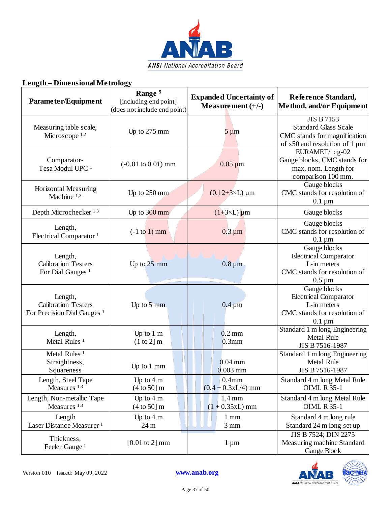

| Parameter/Equipment                                                             | Range <sup>5</sup><br>[including end point]<br>(does not include end point) | <b>Expanded Uncertainty of</b><br>Measurement $(+/-)$ | Reference Standard,<br>Method, and/or Equipment                                                                          |
|---------------------------------------------------------------------------------|-----------------------------------------------------------------------------|-------------------------------------------------------|--------------------------------------------------------------------------------------------------------------------------|
| Measuring table scale,<br>Microscope $1,2$                                      | Up to 275 mm                                                                | $5 \mu m$                                             | <b>JIS B 7153</b><br><b>Standard Glass Scale</b><br>CMC stands for magnification<br>of $x50$ and resolution of 1 $\mu$ m |
| Comparator-<br>Tesa Modul UPC <sup>1</sup>                                      | $(-0.01 \text{ to } 0.01) \text{ mm}$                                       | $0.05 \mu m$                                          | EURAMET/ cg-02<br>Gauge blocks, CMC stands for<br>max. nom. Length for<br>comparison 100 mm.                             |
| Horizontal Measuring<br>Machine <sup>1,3</sup>                                  | Up to 250 mm                                                                | $(0.12 + 3 \times L) \mu m$                           | Gauge blocks<br>CMC stands for resolution of<br>$0.1 \mu m$                                                              |
| Depth Microchecker <sup>1,3</sup>                                               | Up to $300$ mm                                                              | $(1+3\times L)$ um                                    | Gauge blocks                                                                                                             |
| Length,<br>Electrical Comparator <sup>1</sup>                                   | $(-1 to 1)$ mm                                                              | $0.3 \mu m$                                           | Gauge blocks<br>CMC stands for resolution of<br>$0.1 \mu m$                                                              |
| Length,<br><b>Calibration Testers</b><br>For Dial Gauges <sup>1</sup>           | Up to $25 \text{ mm}$                                                       | $0.8 \,\mathrm{\upmu m}$                              | Gauge blocks<br><b>Electrical Comparator</b><br>L-in meters<br>CMC stands for resolution of<br>$0.5 \mu m$               |
| Length,<br><b>Calibration Testers</b><br>For Precision Dial Gauges <sup>1</sup> | Up to $\overline{5}$ mm                                                     | $0.4 \mu m$                                           | Gauge blocks<br><b>Electrical Comparator</b><br>L-in meters<br>CMC stands for resolution of<br>$0.1 \mu m$               |
| Length,<br>Metal Rules <sup>1</sup>                                             | Up to $1 \text{ m}$<br>(1 to 2] m                                           | $0.2 \text{ mm}$<br>$0.3$ mm                          | Standard 1 m long Engineering<br><b>Metal Rule</b><br>JIS B 7516-1987                                                    |
| Metal Rules <sup>1</sup><br>Straightness,<br>Squareness                         | Up to 1 mm                                                                  | $0.04$ mm<br>$0.003$ mm                               | Standard 1 m long Engineering<br><b>Metal Rule</b><br>JIS B 7516-1987                                                    |
| Length, Steel Tape<br>Measures $1,3$                                            | Up to $4 \text{ m}$<br>(4 to 50] m                                          | 0.4 <sub>mm</sub><br>$(0.4 + 0.3xL/4)$ mm             | Standard 4 m long Metal Rule<br><b>OIML R 35-1</b>                                                                       |
| Length, Non-metallic Tape<br>Measures <sup>1,3</sup>                            | Up to $4 \text{ m}$<br>(4 to 50] m                                          | $1.4 \text{ mm}$<br>$(1 + 0.35xL)$ mm                 | Standard 4 m long Metal Rule<br><b>OIML R 35-1</b>                                                                       |
| Length<br>Laser Distance Measurer <sup>1</sup>                                  | Up to $4 \text{ m}$<br>24 m                                                 | $1 \text{ mm}$<br>$3 \text{ mm}$                      | Standard 4 m long rule<br>Standard 24 m long set up                                                                      |
| Thickness,<br>Feeler Gauge <sup>1</sup>                                         | $[0.01 \text{ to } 2] \text{ mm}$                                           | $1 \mu m$                                             | JIS B 7524; DIN 2275<br>Measuring machine Standard<br>Gauge Block                                                        |



Page 37 of 50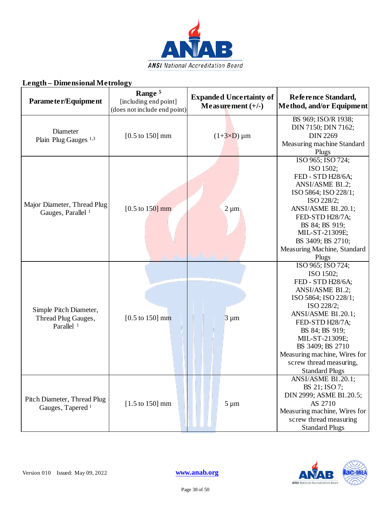

#### **Parameter/Equipment Range 5** [including end point] (does not include end point) **Expanded Uncertainty of Measurement (+/-) Reference Standard, Method, and/or Equipment** Diameter Plain Plug Gauges <sup>1,3</sup> [0.5 to 150] mm (1+ $3\times$ D)  $\mu$ m BS 969; ISO/R 1938; DIN 7150; DIN 7162; DIN 2269 Measuring machine Standard Plugs Major Diameter, Thread Plug Gauges, Parallel <sup>1</sup> [0.5 to 150] mm 2  $\mu$ m ISO 965; ISO 724; ISO 1502; FED - STD H28/6A; ANSI/ASME B1.2; ISO 5864; ISO 228/1; ISO 228/2; ANSI/ASME B1.20.1; FED-STD H28/7A; BS 84; BS 919; MIL-ST-21309E; BS 3409; BS 2710; Measuring Machine, Standard Plugs Simple Pitch Diameter, Thread Plug Gauges, Parallel<sup>1</sup>  $[0.5 \text{ to } 150] \text{ mm}$   $\|\|\|$  3 µm ISO 965; ISO 724; ISO 1502; FED - STD H28/6A; ANSI/ASME B1.2; ISO 5864; ISO 228/1; ISO 228/2; ANSI/ASME B1.20.1; FED-STD H28/7A; BS 84; BS 919; MIL-ST-21309E; BS 3409; BS 2710 Measuring machine, Wires for screw thread measuring, Standard Plugs Pitch Diameter, Thread Plug Gauges, Tapered <sup>1</sup> [1.5 to 150] mm  $\begin{array}{|c|c|c|c|c|} \hline \end{array}$  5 µm ANSI/ASME B1.20.1; BS 21; ISO 7; DIN 2999; ASME B1.20.5; AS 2710

#### **Length – Dimensional Metrology**



Measuring machine, Wires for screw thread measuring Standard Plugs

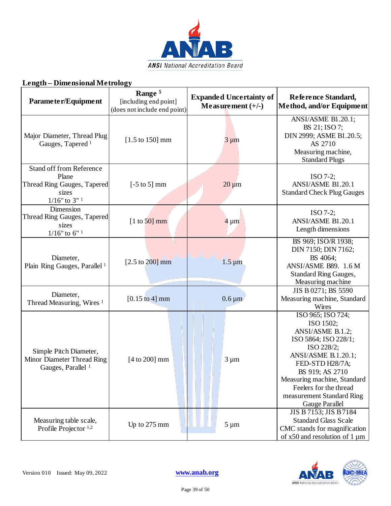

| Parameter/Equipment                                                                                     | Range <sup>5</sup><br>[including end point]<br>(does not include end point) | <b>Expanded Uncertainty of</b><br>Measurement $(+/-)$ | Reference Standard,<br>Method, and/or Equipment                                                                                                                                                                                                               |
|---------------------------------------------------------------------------------------------------------|-----------------------------------------------------------------------------|-------------------------------------------------------|---------------------------------------------------------------------------------------------------------------------------------------------------------------------------------------------------------------------------------------------------------------|
| Major Diameter, Thread Plug<br>Gauges, Tapered <sup>1</sup>                                             | $[1.5 \text{ to } 150] \text{ mm}$                                          | $3 \mu m$                                             | ANSI/ASME B1.20.1;<br>BS 21; ISO 7;<br>DIN 2999; ASME B1.20.5;<br>AS 2710<br>Measuring machine,<br><b>Standard Plugs</b>                                                                                                                                      |
| Stand off from Reference<br>Plane<br>Thread Ring Gauges, Tapered<br>sizes<br>$1/16"$ to 3" <sup>1</sup> | $[-5 \text{ to } 5]$ mm                                                     | $20 \mu m$                                            | $ISO 7-2;$<br>ANSI/ASME B1.20.1<br><b>Standard Check Plug Gauges</b>                                                                                                                                                                                          |
| Dimension<br>Thread Ring Gauges, Tapered<br>sizes<br>$1/16"$ to $6"$ <sup>1</sup>                       | $[1 \text{ to } 50]$ mm                                                     | $4 \mu m$                                             | $ISO 7-2;$<br>ANSI/ASME B1.20.1<br>Length dimensions                                                                                                                                                                                                          |
| Diameter,<br>Plain Ring Gauges, Parallel <sup>1</sup>                                                   | $[2.5 \text{ to } 200] \text{ mm}$                                          | $1.5 \,\mathrm{\mu m}$                                | BS 969; ISO/R 1938;<br>DIN 7150; DIN 7162;<br>BS 4064;<br>ANSI/ASME B89. 1.6 M<br><b>Standard Ring Gauges,</b><br>Measuring machine                                                                                                                           |
| Diameter,<br>Thread Measuring, Wires <sup>1</sup>                                                       | $[0.15 \text{ to } 4] \text{ mm}$                                           | $0.6 \,\mathrm{\upmu m}$                              | JIS B 0271; BS 5590<br>Measuring machine, Standard<br>Wires                                                                                                                                                                                                   |
| Simple Pitch Diameter,<br>Minor Diameter Thread Ring<br>Gauges, Parallel <sup>1</sup>                   | $[4 \text{ to } 200]$ mm                                                    | $3 \mu m$                                             | ISO 965; ISO 724;<br>ISO 1502;<br>ANSI/ASME B.1.2;<br>ISO 5864; ISO 228/1;<br>ISO 228/2;<br>ANSI/ASME B.1.20.1;<br>FED-STD H28/7A;<br>BS 919; AS 2710<br>Measuring machine, Standard<br>Feelers for the thread<br>measurement Standard Ring<br>Gauge Parallel |
| Measuring table scale,<br>Profile Projector <sup>1,2</sup>                                              | Up to $275$ mm                                                              | $5 \mu m$                                             | JIS B 7153; JIS B 7184<br><b>Standard Glass Scale</b><br>CMC stands for magnification<br>of $x50$ and resolution of 1 $\mu$ m                                                                                                                                 |

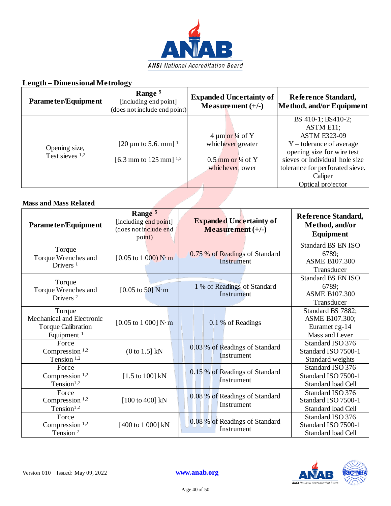

| Parameter/Equipment          | Range <sup>5</sup><br>[including end point]<br>(does not include end point) | <b>Expanded Uncertainty of</b><br>Measurement $(+/-)$ | Reference Standard,<br>Method, and/or Equipment |
|------------------------------|-----------------------------------------------------------------------------|-------------------------------------------------------|-------------------------------------------------|
|                              |                                                                             |                                                       | BS 410-1; BS410-2;                              |
|                              |                                                                             | $4 \mu m \text{ or } 4$ of Y                          | ASTM E11;<br><b>ASTM E323-09</b>                |
| Opening size,                | [20 $\mu$ m to 5.6. mm] <sup>1</sup>                                        | whichever greater                                     | $Y$ – tolerance of average                      |
| Test sieves 1,2              |                                                                             |                                                       | opening size for wire test                      |
|                              | [6.3 mm to 125 mm] $^{1,2}$                                                 | $0.5$ mm or $\frac{1}{4}$ of Y                        | sieves or individual hole size                  |
|                              |                                                                             | whichever lower                                       | tolerance for perforated sieve.                 |
|                              |                                                                             |                                                       | Caliper                                         |
|                              |                                                                             |                                                       | Optical projector                               |
| <b>Mass and Mass Related</b> |                                                                             |                                                       |                                                 |

#### **Mass and Mass Related**

| Parameter/Equipment                                                                        | Range <sup>5</sup><br>[including end point]<br>(does not include end<br>point) | <b>Expanded Uncertainty of</b><br>Measurement $(+/-)$ | Reference Standard,<br>Method, and/or<br>Equipment                       |
|--------------------------------------------------------------------------------------------|--------------------------------------------------------------------------------|-------------------------------------------------------|--------------------------------------------------------------------------|
| Torque<br>Torque Wrenches and<br>Drivers $1$                                               | $[0.05 \text{ to } 1000) \text{ N} \cdot \text{m}$                             | 0.75 % of Readings of Standard<br>Instrument          | <b>Standard BS EN ISO</b><br>6789;<br><b>ASME B107.300</b><br>Transducer |
| Torque<br>Torque Wrenches and<br>Drivers <sup>2</sup>                                      | $[0.05 \text{ to } 50] \text{ N} \cdot \text{m}$                               | 1 % of Readings of Standard<br>Instrument             | <b>Standard BS EN ISO</b><br>6789;<br><b>ASME B107.300</b><br>Transducer |
| Torque<br>Mechanical and Electronic<br><b>Torque Calibration</b><br>Equipment <sup>1</sup> | $[0.05 \text{ to } 1000]$ N·m                                                  | 0.1 % of Readings                                     | Standard BS 7882;<br>ASME B107.300;<br>Euramet cg-14<br>Mass and Lever   |
| Force<br>Compression <sup>1,2</sup><br>Tension $1,2$                                       | $(0 \text{ to } 1.5]$ kN                                                       | 0.03 % of Readings of Standard<br>Instrument          | Standard ISO 376<br>Standard ISO 7500-1<br>Standard weights              |
| Force<br>Compression $1,2$<br>Tension <sup>1,2</sup>                                       | $[1.5 \text{ to } 100]$ kN                                                     | 0.15 % of Readings of Standard<br>Instrument          | Standard ISO 376<br>Standard ISO 7500-1<br>Standard load Cell            |
| Force<br>Compression <sup>1,2</sup><br>Tension <sup>1,2</sup>                              | [100 to 400] kN                                                                | 0.08 % of Readings of Standard<br>Instrument          | Standard ISO 376<br>Standard ISO 7500-1<br>Standard load Cell            |
| Force<br>Compression <sup>1,2</sup><br>Tension <sup>2</sup>                                | [400 to 1 000] kN                                                              | 0.08 % of Readings of Standard<br>Instrument          | Standard ISO 376<br>Standard ISO 7500-1<br>Standard load Cell            |

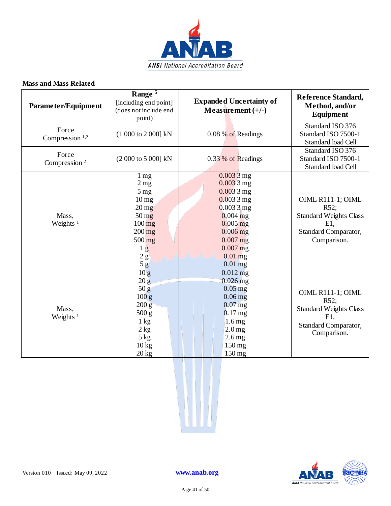

#### **Mass and Mass Related**

| Parameter/Equipment                 | Range <sup>5</sup><br>[including end point]<br>(does not include end<br>point)                                                                                                                                 | <b>Expanded Uncertainty of</b><br>Measurement $(+/-)$                                                                                                                   | Reference Standard,<br>Method, and/or<br><b>Equipment</b>                                                   |
|-------------------------------------|----------------------------------------------------------------------------------------------------------------------------------------------------------------------------------------------------------------|-------------------------------------------------------------------------------------------------------------------------------------------------------------------------|-------------------------------------------------------------------------------------------------------------|
| Force<br>Compression <sup>1,2</sup> | (1 000 to 2 000] kN                                                                                                                                                                                            | 0.08 % of Readings                                                                                                                                                      | Standard ISO 376<br>Standard ISO 7500-1<br><b>Standard load Cell</b>                                        |
| Force<br>Compression <sup>2</sup>   | (2 000 to 5 000] kN                                                                                                                                                                                            | 0.33 % of Readings                                                                                                                                                      | Standard ISO 376<br>Standard ISO 7500-1<br>Standard load Cell                                               |
| Mass,<br>Weights <sup>1</sup>       | $1 \text{ mg}$<br>2 <sub>mg</sub><br>5 <sub>mg</sub><br>$10 \,\mathrm{mg}$<br>$20 \,\mathrm{mg}$<br>$50 \,\mathrm{mg}$<br>$100 \,\mathrm{mg}$<br>$200$ mg<br>$500 \,\mathrm{mg}$<br>1 <sub>g</sub><br>2g<br>5g | $0.0033$ mg<br>$0.0033$ mg<br>$0.0033$ mg<br>$0.0033$ mg<br>$0.0033$ mg<br>$0.004$ mg<br>$0.005$ mg<br>$0.006$ mg<br>$0.007$ mg<br>$0.007$ mg<br>$0.01$ mg<br>$0.01$ mg | OIML R111-1; OIML<br>R52;<br><b>Standard Weights Class</b><br>$E1$ ,<br>Standard Comparator,<br>Comparison. |
| Mass,<br>Weights $1$                | 10 <sub>g</sub><br>20 g<br>50 g<br>100 g<br>$200\,\mathrm{g}$<br>500 g<br>$1 \text{ kg}$<br>2 kg<br>5 kg<br>$10\,\mathrm{kg}$<br>20 kg                                                                         | $0.012$ mg<br>$0.026$ mg<br>$0.05$ mg<br>$0.06$ mg<br>$0.07$ mg<br>$0.17$ mg<br>$1.6 \,\mathrm{mg}$<br>$2.0$ mg<br>$2.6$ mg<br>150 mg<br>$150 \text{ mg}$               | OIML R111-1; OIML<br>R52;<br><b>Standard Weights Class</b><br>$E1$ ,<br>Standard Comparator,<br>Comparison. |



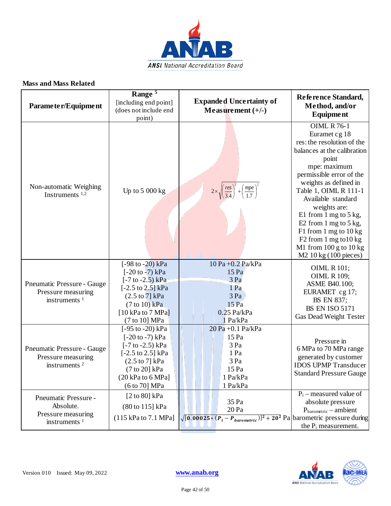

#### **Mass and Mass Related**

| Parameter/Equipment                                                          | Range <sup>5</sup><br>[including end point]<br>(does not include end<br>point)                                                                                                                             | <b>Expanded Uncertainty of</b><br>Measurement $(+/-)$                                          | Reference Standard,<br>Method, and/or<br>Equipment                                                                                                                                                                                                                                                                                                                                                                                                              |
|------------------------------------------------------------------------------|------------------------------------------------------------------------------------------------------------------------------------------------------------------------------------------------------------|------------------------------------------------------------------------------------------------|-----------------------------------------------------------------------------------------------------------------------------------------------------------------------------------------------------------------------------------------------------------------------------------------------------------------------------------------------------------------------------------------------------------------------------------------------------------------|
| Non-automatic Weighing<br>Instruments <sup>1,2</sup>                         | Up to $5000 kg$                                                                                                                                                                                            | $2 \times \sqrt{\left(\frac{res}{3.4}\right)^2 + \left(\frac{mpe}{1.7}\right)^2}$              | <b>OIML R 76-1</b><br>Euramet cg 18<br>res: the resolution of the<br>balances at the calibration<br>point<br>mpe: maximum<br>permissible error of the<br>weights as defined in<br>Table 1, OIML R 111-1<br>Available standard<br>weights are:<br>E1 from 1 mg to 5 kg,<br>E2 from $1 \text{ mg}$ to $5 \text{ kg}$ ,<br>F1 from 1 mg to 10 kg<br>F <sub>2</sub> from 1 mg to $10 \text{ kg}$<br>M1 from $100$ g to $10$ kg<br>M <sub>2</sub> 10 kg (100 pieces) |
| Pneumatic Pressure - Gauge<br>Pressure measuring<br>instruments $1$          | [ $-98$ to $-20$ ) kPa<br>$[-20 \text{ to } -7) \text{ kPa}$<br>$[-7 to -2.5) kPa$<br>$[-2.5 \text{ to } 2.5]$ kPa<br>$(2.5 \text{ to } 7)$ kPa<br>$(7 to 10)$ kPa<br>$[10 kPa$ to 7 MPa]<br>(7 to 10] MPa | $10 Pa + 0.2 Pa/kPa$<br>15 Pa<br>3 Pa<br>1 Pa<br>3 Pa<br>$15$ Pa<br>$0.25$ Pa/kPa<br>1 Pa/kPa  | <b>OIML R 101;</b><br><b>OIML R 109;</b><br>ASME B40.100;<br>EURAMET cg 17;<br>BS EN 837;<br><b>BS EN ISO 5171</b><br>Gas Dead Weight Tester                                                                                                                                                                                                                                                                                                                    |
| Pneumatic Pressure - Gauge<br>Pressure measuring<br>instruments <sup>2</sup> | $[-95 \text{ to } -20) \text{ kPa}$<br>$[-20 \text{ to } -7) \text{ kPa}$<br>$[-7 to -2.5) kPa$<br>[-2.5 to 2.5] kPa<br>$(2.5 \text{ to } 7)$ kPa<br>(7 to 20] kPa<br>(20 kPa to 6 MPa]<br>(6 to 70] MPa   | 20 Pa +0.1 Pa/kPa<br>15 Pa<br>3 Pa<br>1 Pa<br>3 Pa<br>15 Pa<br>1 Pa/kPa<br>1 Pa/kPa            | Pressure in<br>6 MPa to 70 MPa range<br>generated by customer<br><b>IDOS UPMP Transducer</b><br><b>Standard Pressure Gauge</b>                                                                                                                                                                                                                                                                                                                                  |
| Pneumatic Pressure -<br>Absolute.<br>Pressure measuring<br>instruments $1$   | [ $2$ to 80] kPa<br>(80 to 115] kPa<br>$(115 \text{ kPa}$ to $7.1 \text{ MPa}$ ]                                                                                                                           | 35 Pa<br>20 Pa<br>$\sqrt{[0.00025*(P_i-P_{barometric})]^2+20^2}$ Pa barometric pressure during | $P_i$ – measured value of<br>absolute pressure<br>$P_{\text{barometric}} - \text{ambient}$<br>the P <sub>i</sub> measurement.                                                                                                                                                                                                                                                                                                                                   |

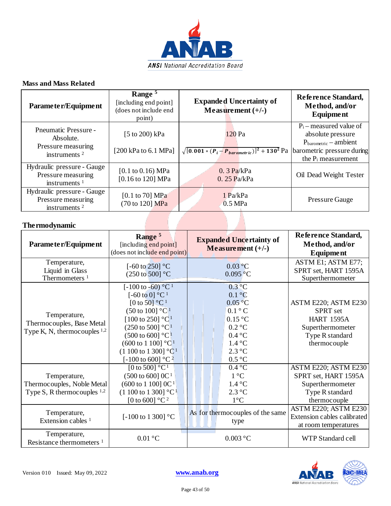

#### **Mass and Mass Related**

| Parameter/Equipment                                                        | Range <sup>5</sup><br>[including end point]<br>(does not include end<br>point) | <b>Expanded Uncertainty of</b><br>Measurement $(+/-)$              | Reference Standard,<br>Method, and/or<br>Equipment                                                                                                  |
|----------------------------------------------------------------------------|--------------------------------------------------------------------------------|--------------------------------------------------------------------|-----------------------------------------------------------------------------------------------------------------------------------------------------|
| Pneumatic Pressure -<br>Absolute.<br>Pressure measuring<br>instruments $2$ | [5 to 200) kPa<br>[200 kPa to $6.1$ MPa]                                       | $120$ Pa<br>$\sqrt{[0.001 * (P_i - P_{barometric})]^2 + 130^2}$ Pa | $P_i$ – measured value of<br>absolute pressure<br>$P_{\text{barometric}} -$ ambient<br>barometric pressure during<br>the P <sub>i</sub> measurement |
| Hydraulic pressure - Gauge<br>Pressure measuring<br>instruments $1$        | [0.1 to 0.16) MPa<br>[0.16 to 120] MPa                                         | $0.3$ Pa/kPa<br>$0.25$ Pa/kPa                                      | Oil Dead Weight Tester                                                                                                                              |
| Hydraulic pressure - Gauge<br>Pressure measuring<br>instruments $2$        | [0.1 to 70] $MPa$<br>(70 to 120] MPa                                           | $1$ Pa/kPa<br>0.5 MPa                                              | <b>Pressure Gauge</b>                                                                                                                               |
| The rmodynamic                                                             |                                                                                |                                                                    |                                                                                                                                                     |

#### **Thermodynamic**

| Parameter/Equipment                                                            | Range <sup>5</sup><br>[including end point]<br>(does not include end point)                                                                                                                                                                                                                                                                                                                                           | <b>Expanded Uncertainty of</b><br>Measurement $(+/-)$                                                                                                                                        | Reference Standard,<br>Method, and/or<br><b>Equipment</b>                                                           |
|--------------------------------------------------------------------------------|-----------------------------------------------------------------------------------------------------------------------------------------------------------------------------------------------------------------------------------------------------------------------------------------------------------------------------------------------------------------------------------------------------------------------|----------------------------------------------------------------------------------------------------------------------------------------------------------------------------------------------|---------------------------------------------------------------------------------------------------------------------|
| Temperature,<br>Liquid in Glass<br>Thermometers <sup>1</sup>                   | [-60 to 250] $^{\circ}$ C<br>$(250 \text{ to } 500)$ °C                                                                                                                                                                                                                                                                                                                                                               | $0.03$ °C<br>0.095 °C                                                                                                                                                                        | ASTM E1; ASTM E77;<br>SPRT set, HART 1595A<br>Superthermometer                                                      |
| Temperature,<br>Thermocouples, Base Metal<br>Type K, N, thermocouples $1,2$    | $[-100 \text{ to } -60)$ °C <sup>1</sup><br>[-60 to 0] $^{\circ}$ C <sup>1</sup><br>[0 to 50] $^{\circ}$ C <sup>1</sup><br>$(50 \text{ to } 100]$ °C <sup>1</sup><br>[100 to 250] $^{\circ}$ C <sup>1</sup><br>$(250 \text{ to } 500]$ °C <sup>1</sup><br>$(500 \text{ to } 600]$ °C <sup>1</sup><br>$(600 \text{ to } 1100]$ °C <sup>1</sup><br>$(1100 \text{ to } 1300]$ °C <sup>1</sup><br>[-100 to 600] °C $^{2}$ | $0.3$ °C<br>$0.1 \degree C$<br>$0.05\,^{\circ}\mathrm{C}$<br>$0.1 \degree C$<br>$0.15\text{ °C}$<br>$0.2\degree C$<br>$0.4\text{ °C}$<br>$1.4\text{ }^{\circ}C$<br>$2.3 \degree C$<br>0.5 °C | ASTM E220; ASTM E230<br><b>SPRT</b> set<br><b>HART 1595A</b><br>Superthermometer<br>Type R standard<br>thermocouple |
| Temperature,<br>Thermocouples, Noble Metal<br>Type S, R thermocouples $^{1,2}$ | [0 to 500] $^{\circ}C^{1}$<br>$(500 \text{ to } 600) \text{ } 0C^1$<br>$(600 \text{ to } 1100) \text{ } 0C1$<br>$(1\ 100\ \text{to}\ 1\ 300\ \text{°C}^1)$<br>[0 to 600] $^{\circ}$ C <sup>2</sup>                                                                                                                                                                                                                    | $0.4\text{ °C}$<br>$1^{\circ}C$<br>$1.4\text{ }^{\circ}C$<br>$2.3 \degree C$<br>$1^{\circ}C$                                                                                                 | ASTM E220; ASTM E230<br>SPRT set, HART 1595A<br>Superthermometer<br>Type R standard<br>thermocouple                 |
| Temperature,<br>Extension cables <sup>1</sup>                                  | [-100 to 1 300] $^{\circ}$ C                                                                                                                                                                                                                                                                                                                                                                                          | As for thermocouples of the same<br>type                                                                                                                                                     | ASTM E220; ASTM E230<br>Extension cables calibrated<br>at room temperatures                                         |
| Temperature,<br>Resistance thermometers <sup>1</sup>                           | $0.01\text{ °C}$                                                                                                                                                                                                                                                                                                                                                                                                      | $0.003$ °C                                                                                                                                                                                   | WTP Standard cell                                                                                                   |

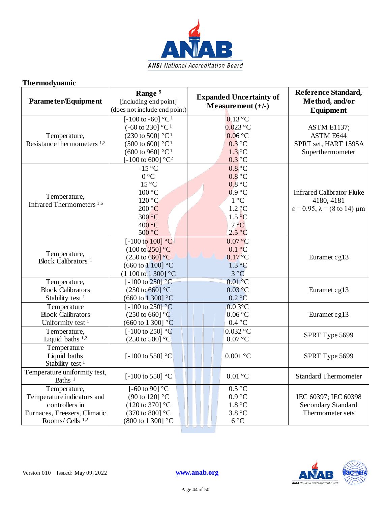

### **Thermodynamic**

| Parameter/Equipment                                                                                                        | Range <sup>5</sup><br>[including end point]<br>(does not include end point)                                                                                                                                                                             | <b>Expanded Uncertainty of</b><br>Measurement $(+/-)$                                                                                         | Reference Standard,<br>Method, and/or<br>Equipment                                                    |
|----------------------------------------------------------------------------------------------------------------------------|---------------------------------------------------------------------------------------------------------------------------------------------------------------------------------------------------------------------------------------------------------|-----------------------------------------------------------------------------------------------------------------------------------------------|-------------------------------------------------------------------------------------------------------|
| Temperature,<br>Resistance thermometers 1,2                                                                                | $\sqrt{[-100 \text{ to } -60] \text{ °C}^1}$<br>$(-60 \text{ to } 230]$ °C <sup>1</sup><br>$(230 \text{ to } 500)$ °C <sup>1</sup><br>$(500 \text{ to } 600]$ °C <sup>1</sup><br>$(600 \text{ to } 960]$ °C <sup>1</sup><br>[-100 to 600] $^{\circ}C^2$ | $0.13$ °C<br>$0.023$ °C<br>0.06 °C<br>$0.3$ °C<br>$1.3$ °C<br>$0.3$ °C                                                                        | <b>ASTM E1137;</b><br><b>ASTM E644</b><br>SPRT set, HART 1595A<br>Superthermometer                    |
| Temperature,<br>Infrared Thermometers <sup>1,6</sup>                                                                       | $-15^{\circ}$ C<br>$0^{\circ}C$<br>$15^{\circ}$ C<br>100 °C<br>120 °C<br>200 °C<br>300 °C<br>400 °C<br>500 °C                                                                                                                                           | $0.8$ <sup>o</sup> C<br>$0.8$ °C<br>0.8 °C<br>0.9 °C<br>$1^{\circ}C$<br>$1.2 \ndegree C$<br>$1.5\degree C$<br>$2^{\circ}C$<br>$2.5^{\circ}$ C | <b>Infrared Calibrator Fluke</b><br>4180, 4181<br>$\varepsilon$ = 0.95, $\lambda$ = (8 to 14) $\mu$ m |
| Temperature,<br>Block Calibrators <sup>1</sup>                                                                             | [ $-100 \text{ to } 100$ ] °C<br>$(100 \text{ to } 250)$ °C<br>$(250 \text{ to } 660)$ °C<br>(660 to 1 100] °C<br>$(1100 \text{ to } 1300)$ °C                                                                                                          | 0.07 °C<br>$0.1\degree C$<br>$0.17\,^{\circ}\mathrm{C}$<br>$1.3 \degree C$<br>$3^{\circ}C$                                                    | Euramet cg13                                                                                          |
| Temperature,<br><b>Block Calibrators</b><br>Stability test <sup>1</sup>                                                    | $\left[-100 \text{ to } 250\right]$ °C<br>$(250 \text{ to } 660)$ °C<br>$(660 \text{ to } 1300)$ °C                                                                                                                                                     | $0.01$ <sup>o</sup> C<br>0.03 °C<br>$0.2 \degree C$                                                                                           | Euramet cg13                                                                                          |
| Temperature<br><b>Block Calibrators</b><br>Uniformity test <sup>1</sup>                                                    | [-100 to 250] $^{\circ}$ C<br>$(250 \text{ to } 660)$ °C<br>$(660 \text{ to } 1300)$ °C                                                                                                                                                                 | $0.03\overline{C}$<br>$0.06\text{ °C}$<br>$0.4\text{ °C}$                                                                                     | Euramet cg13                                                                                          |
| Temperature,<br>Liquid baths $1,2$                                                                                         | [-100 to 250] $^{\circ}$ C<br>$(250 \text{ to } 500]$ °C                                                                                                                                                                                                | $0.032$ °C<br>0.07 °C                                                                                                                         | SPRT Type 5699                                                                                        |
| Temperature<br>Liquid baths<br>Stability test <sup>1</sup>                                                                 | [-100 to 550] $^{\circ}$ C                                                                                                                                                                                                                              | $0.001$ °C                                                                                                                                    | SPRT Type 5699                                                                                        |
| Temperature uniformity test,<br>Baths <sup>1</sup>                                                                         | [-100 to 550] $^{\circ}$ C                                                                                                                                                                                                                              | $0.01\text{ °C}$                                                                                                                              | <b>Standard Thermometer</b>                                                                           |
| Temperature,<br>Temperature indicators and<br>controllers in<br>Furnaces, Freezers, Climatic<br>Rooms/Cells <sup>1,2</sup> | [-60 to 90] $^{\circ}$ C<br>$(90 \text{ to } 120)$ °C<br>$(120 \text{ to } 370)$ °C<br>(370 to 800] °C<br>(800 to 1 300] °C                                                                                                                             | $0.5^{\circ}C$<br>0.9 °C<br>1.8 °C<br>3.8 °C<br>$6^{\circ}C$                                                                                  | IEC 60397; IEC 60398<br><b>Secondary Standard</b><br>Thermometer sets                                 |

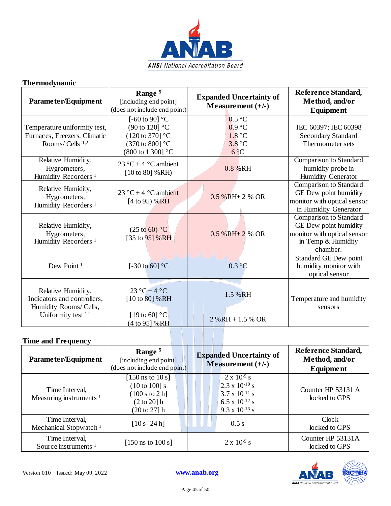

## **Thermodynamic**

| Parameter/Equipment                                                                                | Range <sup>5</sup><br>[including end point]<br>(does not include end point)                                                           | <b>Expanded Uncertainty of</b><br>Measurement $(+/-)$                  | Reference Standard,<br>Method, and/or<br>Equipment                                                               |
|----------------------------------------------------------------------------------------------------|---------------------------------------------------------------------------------------------------------------------------------------|------------------------------------------------------------------------|------------------------------------------------------------------------------------------------------------------|
| Temperature uniformity test,<br>Furnaces, Freezers, Climatic<br>Rooms/Cells <sup>1,2</sup>         | [-60 to 90] $^{\circ}$ C<br>(90 to 120] °C<br>$(120 \text{ to } 370)$ °C<br>$(370 \text{ to } 800)$ °C<br>$(800 \text{ to } 1300)$ °C | $0.5^{\circ}$ C<br>0.9 °C<br>1.8 °C<br>$3.8\text{ °C}$<br>$6^{\circ}C$ | IEC 60397; IEC 60398<br><b>Secondary Standard</b><br>Thermometer sets                                            |
| Relative Humidity,<br>Hygrometers,<br>Humidity Recorders <sup>1</sup>                              | 23 °C $\pm$ 4 °C ambient<br>$[10 \text{ to } 80]$ % RH)                                                                               | 0.8 % RH                                                               | Comparison to Standard<br>humidity probe in<br>Humidity Generator                                                |
| Relative Humidity,<br>Hygrometers,<br>Humidity Recorders <sup>1</sup>                              | 23 °C $\pm$ 4 °C ambient<br>$[4 \text{ to } 95)$ % RH                                                                                 | $0.5 \%$ RH+2% OR                                                      | Comparison to Standard<br>GE Dew point humidity<br>monitor with optical sensor<br>in Humidity Generator          |
| Relative Humidity,<br>Hygrometers,<br>Humidity Recorders <sup>1</sup>                              | $(25 \text{ to } 60)$ °C<br>[35 to $95$ ] %RH                                                                                         | $0.5\%$ RH+2 % OR                                                      | Comparison to Standard<br>GE Dew point humidity<br>monitor with optical sensor<br>in Temp & Humidity<br>chamber. |
| Dew Point <sup>1</sup>                                                                             | [ $-30$ to 60] $^{\circ}$ C                                                                                                           | 0.3 °C                                                                 | Standard GE Dew point<br>humidity monitor with<br>optical sensor                                                 |
| Relative Humidity,<br>Indicators and controllers,<br>Humidity Rooms/ Cells,<br>Uniformity test 1.2 | $23^{\circ}C \pm 4^{\circ}C$<br>$[10 \text{ to } 80]$ % RH<br>[19 to 60] $^{\circ}$ C<br>(4 to 95] %RH                                | 1.5 % RH<br>$2\%RH + 1.5\%$ OR                                         | Temperature and humidity<br>sensors                                                                              |

| Parameter/Equipment                                  | Range <sup>5</sup><br>[including end point]<br>(does not include end point)                                | <b>Expanded Uncertainty of</b><br>Measurement $(+/-)$                                                                            | <b>Reference Standard,</b><br>Method, and/or<br><b>Equipment</b> |
|------------------------------------------------------|------------------------------------------------------------------------------------------------------------|----------------------------------------------------------------------------------------------------------------------------------|------------------------------------------------------------------|
| Time Interval,<br>Measuring instruments <sup>1</sup> | $[150$ ns to 10 s]<br>$(10 \text{ to } 100)$ s<br>(100 s to 2 h]<br>$(2 \text{ to } 20)$ h<br>(20 to 27] h | $2 \times 10^{-9}$ s<br>$2.3 \times 10^{-10}$ s<br>$3.7 \times 10^{-11}$ s<br>$6.5 \times 10^{-12}$ s<br>$9.3 \times 10^{-13}$ s | Counter HP 53131 A<br>locked to GPS                              |
| Time Interval,<br>Mechanical Stopwatch <sup>1</sup>  | $[10 s - 24 h]$                                                                                            | 0.5 s                                                                                                                            | Clock<br>locked to GPS                                           |
| Time Interval,<br>Source instruments $1$             | [150 ns to $100 s$ ]                                                                                       | $2 \times 10^{-9}$ s                                                                                                             | Counter HP 53131A<br>locked to GPS                               |

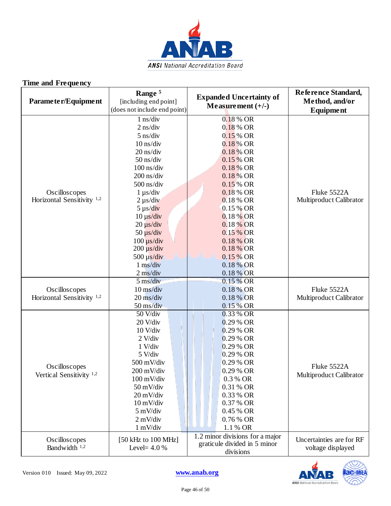

| Parameter/Equipment                                    | Range <sup>5</sup><br>[including end point]<br>(does not include end point)                                                                                                                                                                                                                                                                    | <b>Expanded Uncertainty of</b><br>Measurement $(+/-)$                                                                                                                                                                                                                | Reference Standard,<br>Method, and/or<br>Equipment |
|--------------------------------------------------------|------------------------------------------------------------------------------------------------------------------------------------------------------------------------------------------------------------------------------------------------------------------------------------------------------------------------------------------------|----------------------------------------------------------------------------------------------------------------------------------------------------------------------------------------------------------------------------------------------------------------------|----------------------------------------------------|
| Oscilloscopes<br>Horizontal Sensitivity $1,2$          | $1$ ns/div<br>$2$ ns/div<br>$5$ ns/div<br>$10$ ns/div<br>20 ns/div<br>$50$ ns/div<br>$100$ ns/div<br>$200$ ns/div<br>$500$ ns/div<br>$1 \mu s/div$<br>$2 \mu s/div$<br>$5 \mu s/div$<br>$10 \mu s/div$<br>$20 \mu s/div$<br>$50 \mu s/div$<br>$100 \mu s/div$<br>$200 \mu s/div$<br>$500 \mu s/div$<br>$1 \text{ ms}/\text{div}$<br>$2$ ms/div | 0.18 % OR<br>$0.18\%$ OR<br>$0.15\%$ OR<br>0.18 % OR<br>0.18 % OR<br>0.15 % OR<br>0.18 % OR<br>0.18 % OR<br>0.15 % OR<br>0.18 % OR<br>0.18 % OR<br>0.15 % OR<br>0.18 % OR<br>0.18 % OR<br>0.15 % OR<br>0.18 % OR<br>0.18 % OR<br>0.15 % OR<br>0.18 % OR<br>0.18 % OR | Fluke 5522A<br>Multiproduct Calibrator             |
| Oscilloscopes<br>Horizontal Sensitivity <sup>1,2</sup> | $5 \text{ ms}/\text{div}$<br>10 ms/div<br>$20 \text{ ms}/\text{div}$<br>50 ms/div                                                                                                                                                                                                                                                              | 0.15 % OR<br>0.18 % OR<br>0.18 % OR<br>0.15% OR                                                                                                                                                                                                                      | Fluke 5522A<br>Multiproduct Calibrator             |
| Oscilloscopes<br>Vertical Sensitivity <sup>1,2</sup>   | 50 V/div<br>20 V/div<br>$10$ V/div<br>$2$ V/div<br>1 V/div<br>5 V/div<br>500 mV/div<br>200 mV/div<br>100 mV/div<br>50 mV/div<br>20 mV/div<br>$10 \text{ mV}/\text{div}$<br>5 mV/div<br>$2$ mV/div<br>$1 \text{ mV}/\text{div}$                                                                                                                 | 0.33 % OR<br>$0.29%$ OR<br>$0.29%$ OR<br>$0.29%$ OR<br>0.29 % OR<br>0.29 % OR<br>0.29 % OR<br>0.29 % OR<br>0.3 % OR<br>0.31 % OR<br>0.33 % OR<br>0.37 % OR<br>0.45 % OR<br>0.76 % OR<br>1.1 % OR                                                                     | Fluke 5522A<br>Multiproduct Calibrator             |
| Oscilloscopes<br>Bandwidth 1,2                         | [50 kHz to 100 MHz]<br>Level= $4.0\%$                                                                                                                                                                                                                                                                                                          | 1.2 minor divisions for a major<br>graticule divided in 5 minor<br>divisions                                                                                                                                                                                         | Uncertainties are for RF<br>voltage displayed      |

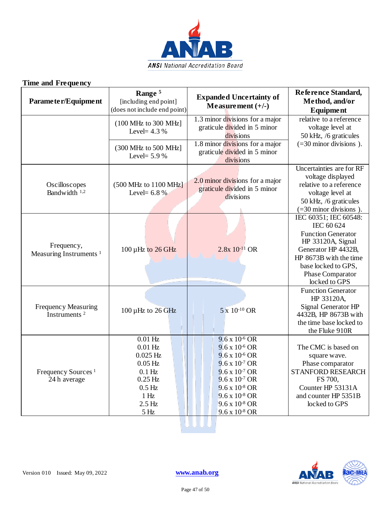

| (100 MHz to 300 MHz)<br>Level= $4.3\%$<br>(300 MHz to 500 MHz)<br>Level= $5.9\%$<br>(500 MHz to 1100 MHz)<br>Level= $6.8\%$ | 1.3 minor divisions for a major<br>graticule divided in 5 minor<br>divisions<br>1.8 minor divisions for a major<br>graticule divided in 5 minor<br>divisions                                                                                    | relative to a reference<br>voltage level at<br>50 kHz, /6 graticules<br>$(=30$ minor divisions).                                                                                                   |
|-----------------------------------------------------------------------------------------------------------------------------|-------------------------------------------------------------------------------------------------------------------------------------------------------------------------------------------------------------------------------------------------|----------------------------------------------------------------------------------------------------------------------------------------------------------------------------------------------------|
|                                                                                                                             |                                                                                                                                                                                                                                                 |                                                                                                                                                                                                    |
|                                                                                                                             |                                                                                                                                                                                                                                                 |                                                                                                                                                                                                    |
|                                                                                                                             | 2.0 minor divisions for a major<br>graticule divided in 5 minor<br>divisions                                                                                                                                                                    | Uncertainties are for RF<br>voltage displayed<br>relative to a reference<br>voltage level at<br>50 kHz, /6 graticules<br>$(=30$ minor divisions)                                                   |
| 100 µHz to 26 GHz                                                                                                           | $2.8x 10^{-11}$ OR                                                                                                                                                                                                                              | IEC 60351; IEC 60548:<br>IEC 60 624<br><b>Function Generator</b><br>HP 33120A, Signal<br>Generator HP 4432B,<br>HP 8673B with the time<br>base locked to GPS,<br>Phase Comparator<br>locked to GPS |
|                                                                                                                             | 5 x 10-10 OR                                                                                                                                                                                                                                    | <b>Function Generator</b><br>HP 33120A,<br>Signal Generator HP<br>4432B, HP 8673B with<br>the time base locked to<br>the Fluke 910R                                                                |
| $0.01$ Hz<br>$0.01$ Hz<br>$0.025$ Hz<br>$0.05$ Hz<br>$0.1$ Hz                                                               | $9.6 \times 10^{-6}$ OR<br>$9.6 \times 10^{-6}$ OR<br>$9.6 \times 10^{-6}$ OR<br>$9.6 \times 10^{-7}$ OR<br>$9.6 \times 10^{-7}$ OR<br>$9.6 \times 10^{-7}$ OR<br>$9.6 \times 10^{-8}$ OR<br>$9.6 \times 10^{-8}$ OR<br>$9.6 \times 10^{-8}$ OR | The CMC is based on<br>square wave.<br>Phase comparator<br>STANFORD RESEARCH<br>FS 700,<br>Counter HP 53131A<br>and counter HP 5351B<br>locked to GPS                                              |
|                                                                                                                             | 100 $\mu$ Hz to 26 GHz<br>$0.25$ Hz<br>$0.5$ Hz<br>1 <sub>Hz</sub><br>$2.5$ Hz                                                                                                                                                                  | $9.6 \times 10^{-8}$ OR<br>$5\,\mathrm{Hz}$                                                                                                                                                        |

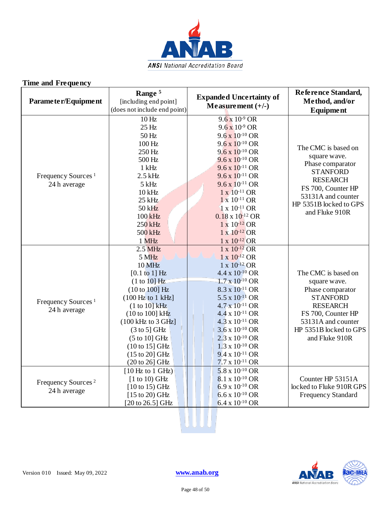

| Parameter/Equipment                            | Range <sup>5</sup><br>[including end point]<br>(does not include end point)                                                                                                                                                                                                                                                   | <b>Expanded Uncertainty of</b><br>Measurement $(+/-)$                                                                                                                                                                                                                                                                                                                                                                                           | Reference Standard,<br>Method, and/or<br><b>Equipment</b>                                                                                                                             |
|------------------------------------------------|-------------------------------------------------------------------------------------------------------------------------------------------------------------------------------------------------------------------------------------------------------------------------------------------------------------------------------|-------------------------------------------------------------------------------------------------------------------------------------------------------------------------------------------------------------------------------------------------------------------------------------------------------------------------------------------------------------------------------------------------------------------------------------------------|---------------------------------------------------------------------------------------------------------------------------------------------------------------------------------------|
| Frequency Sources <sup>1</sup><br>24 h average | 10 <sub>Hz</sub><br>25 Hz<br>50 Hz<br>100 Hz<br>250 Hz<br>500 Hz<br>$1$ kHz<br>$2.5$ kHz<br>$5$ kHz<br>$10$ kHz<br>$25$ kHz<br>50 kHz<br>100 kHz<br>250 kHz<br>500 kHz<br>1 MHz                                                                                                                                               | $9.6 \times 10^{-9}$ OR<br>$9.6 \times 10^{-9}$ OR<br>$9.6 \times 10^{-10}$ OR<br>$9.6 \times 10^{-10}$ OR<br>$9.6 \times 10^{-10}$ OR<br>$9.6 \times 10^{-10}$ OR<br>$9.6 \times 10^{-11}$ OR<br>$9.6 \times 10^{-11}$ OR<br>$9.6 \times 10^{-11}$ OR<br>$1 \times 10^{-11}$ OR<br>$1 \times 10^{-11}$ OR<br>$1 \times 10^{-11}$ OR<br>$0.18 \times 10^{-12}$ OR<br>$1 \times 10^{-12}$ OR<br>$1 \times 10^{-12}$ OR<br>$1 \times 10^{-12}$ OR | The CMC is based on<br>square wave.<br>Phase comparator<br><b>STANFORD</b><br><b>RESEARCH</b><br>FS 700, Counter HP<br>53131A and counter<br>HP 5351B locked to GPS<br>and Fluke 910R |
| Frequency Sources <sup>1</sup><br>24 h average | $2.5$ MHz<br>5 MHz<br><b>10 MHz</b><br>$[0.1 \text{ to } 1]$ Hz<br>(1 to 10] Hz<br>(10 to 100] Hz<br>(100 Hz to 1 kHz)<br>(1 to 10) kHz<br>(10 to 100] kHz<br>$(100 \text{ kHz to } 3 \text{ GHz}]$<br>$(3 \text{ to } 5)$ GHz<br>$(5 to 10)$ GHz<br>$(10 \text{ to } 15)$ GHz<br>$(15 \text{ to } 20)$ GHz<br>(20 to 26] GHz | $1 \times 10^{-12}$ OR<br>$1 \times 10^{-12}$ OR<br>$1 \times 10^{-12}$ OR<br>$4.4 \times 10^{-10}$ OR<br>$1.7 \times 10^{-10}$ OR<br>8.3 x 10-11 OR<br>$5.5 \times 10^{-11}$ OR<br>$4.7 - x 10^{-11}$ OR<br>$4.4 \times 10^{-11}$ OR<br>$4.3 \times 10^{-11}$ OR<br>$3.6 \times 10^{-10}$ OR<br>$2.3 \times 10^{-10}$ OR<br>$1.3 \times 10^{-10}$ OR<br>$9.4 \times 10^{-11}$ OR<br>$7.7 \times 10^{-11}$ OR                                   | The CMC is based on<br>square wave.<br>Phase comparator<br><b>STANFORD</b><br><b>RESEARCH</b><br>FS 700, Counter HP<br>53131A and counter<br>HP 5351B locked to GPS<br>and Fluke 910R |
| Frequency Sources <sup>2</sup><br>24 h average | [10 Hz to 1 GHz]<br>$[1 to 10)$ GHz<br>$[10 \text{ to } 15) \text{ GHz}$<br>[15 to 20) GHz<br>[20 to 26.5] GHz                                                                                                                                                                                                                | $5.8 \times 10^{-10}$ OR<br>8.1 x 10-10 OR<br>$6.9 \times 10^{-10}$ OR<br>$6.6 \times 10^{-10}$ OR<br>$6.4 \times 10^{-10}$ OR                                                                                                                                                                                                                                                                                                                  | Counter HP 53151A<br>locked to Fluke 910R GPS<br><b>Frequency Standard</b>                                                                                                            |



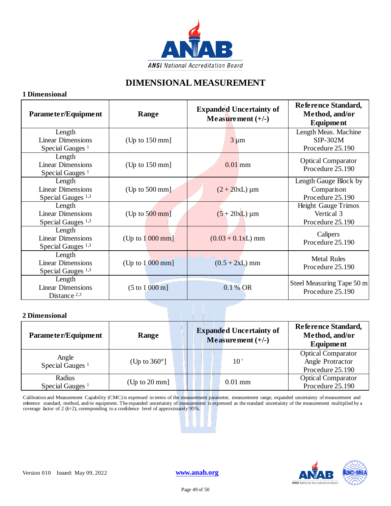

## **DIMENSIONAL MEASUREMENT**

#### **1 Dimensional**

| Parameter/Equipment                                                 | Range                              | <b>Expanded Uncertainty of</b><br>Measurement $(+/-)$ | Reference Standard,<br>Method, and/or<br><b>Equipment</b>    |
|---------------------------------------------------------------------|------------------------------------|-------------------------------------------------------|--------------------------------------------------------------|
| Length<br><b>Linear Dimensions</b><br>Special Gauges <sup>1</sup>   | $(Up \text{ to } 150 \text{ mm}]$  | $3 \mu m$                                             | Length Meas. Machine<br>SIP-302M<br>Procedure 25.190         |
| Length<br><b>Linear Dimensions</b><br>Special Gauges <sup>1</sup>   | $(Up \text{ to } 150 \text{ mm}]$  | $0.01$ mm                                             | <b>Optical Comparator</b><br>Procedure 25.190                |
| Length<br><b>Linear Dimensions</b><br>Special Gauges <sup>1,3</sup> | $(Up \text{ to } 500 \text{ mm})$  | $(2 + 20xL) \mu m$                                    | Length Gauge Block by<br>Comparison<br>Procedure 25.190      |
| Length<br><b>Linear Dimensions</b><br>Special Gauges <sup>1,3</sup> | $(Up \text{ to } 500 \text{ mm}]$  | $(5 + 20xL) \mu m$                                    | <b>Height Gauge Trimos</b><br>Vertical 3<br>Procedure 25.190 |
| Length<br><b>Linear Dimensions</b><br>Special Gauges <sup>1,3</sup> | $(Up \text{ to } 1000 \text{ mm}]$ | $(0.03 + 0.1xL)$ mm                                   | Calipers<br>Procedure 25.190                                 |
| Length<br><b>Linear Dimensions</b><br>Special Gauges <sup>1,3</sup> | $(Up \text{ to } 1000 \text{ mm}]$ | $(0.5 + 2xL)$ mm                                      | <b>Metal Rules</b><br>Procedure 25.190                       |
| Length<br><b>Linear Dimensions</b><br>Distance $2,3$                | (5 to 1000 m]                      | 0.1% OR                                               | Steel Measuring Tape 50 m<br>Procedure 25.190                |

#### **2 Dimensional**

| Parameter/Equipment                   | Range                            | <b>Expanded Uncertainty of</b><br>Measurement $(+/-)$ | Reference Standard,<br>Method, and/or<br><b>Equipment</b>         |
|---------------------------------------|----------------------------------|-------------------------------------------------------|-------------------------------------------------------------------|
| Angle<br>Special Gauges <sup>1</sup>  | (Up to $360^\circ$ ]             | 10                                                    | <b>Optical Comparator</b><br>Angle Protractor<br>Procedure 25.190 |
| Radius<br>Special Gauges <sup>1</sup> | $(Up \text{ to } 20 \text{ mm}]$ | $0.01$ mm                                             | <b>Optical Comparator</b><br>Procedure 25.190                     |

Calibration and Measurement Capability (CMC) is expressed in terms of the measurement parameter, measurement range, expanded uncertainty of measurement and reference standard, method, and/or equipment. The expanded uncertainty of measurement is expressed as the standard uncertainty of the measurement multiplied by a coverage factor of 2 (*k*=2), corresponding to a confidence level of approximately 95%.